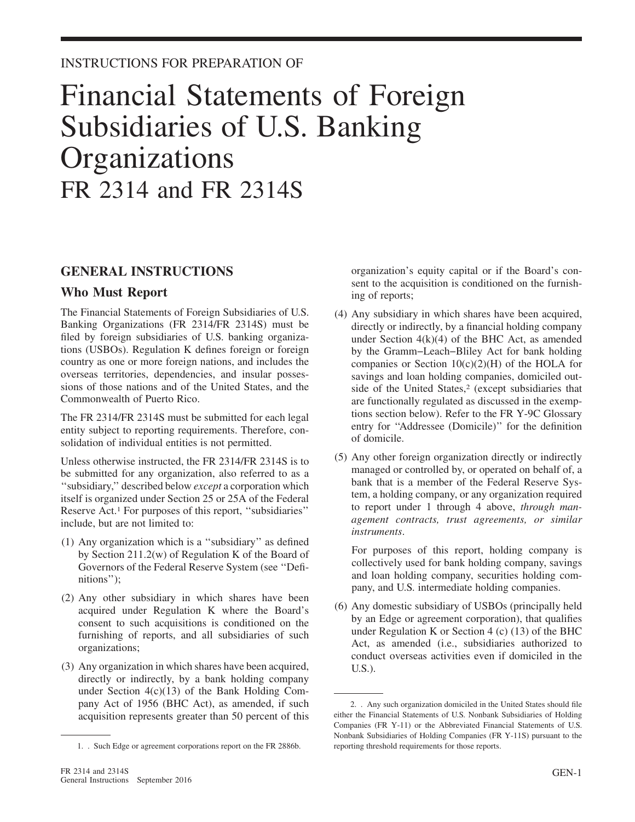## Financial Statements of Foreign Subsidiaries of U.S. Banking **Organizations** FR 2314 and FR 2314S

#### **GENERAL INSTRUCTIONS**

#### **Who Must Report**

The Financial Statements of Foreign Subsidiaries of U.S. Banking Organizations (FR 2314/FR 2314S) must be filed by foreign subsidiaries of U.S. banking organizations (USBOs). Regulation K defines foreign or foreign country as one or more foreign nations, and includes the overseas territories, dependencies, and insular possessions of those nations and of the United States, and the Commonwealth of Puerto Rico.

The FR 2314/FR 2314S must be submitted for each legal entity subject to reporting requirements. Therefore, consolidation of individual entities is not permitted.

Unless otherwise instructed, the FR 2314/FR 2314S is to be submitted for any organization, also referred to as a ''subsidiary,'' described below *except* a corporation which itself is organized under Section 25 or 25A of the Federal Reserve Act.1 For purposes of this report, ''subsidiaries'' include, but are not limited to:

- (1) Any organization which is a ''subsidiary'' as defined by Section 211.2(w) of Regulation K of the Board of Governors of the Federal Reserve System (see ''Definitions'');
- (2) Any other subsidiary in which shares have been acquired under Regulation K where the Board's consent to such acquisitions is conditioned on the furnishing of reports, and all subsidiaries of such organizations;
- (3) Any organization in which shares have been acquired, directly or indirectly, by a bank holding company under Section 4(c)(13) of the Bank Holding Company Act of 1956 (BHC Act), as amended, if such acquisition represents greater than 50 percent of this

organization's equity capital or if the Board's consent to the acquisition is conditioned on the furnishing of reports;

- (4) Any subsidiary in which shares have been acquired, directly or indirectly, by a financial holding company under Section  $4(k)(4)$  of the BHC Act, as amended by the Gramm−Leach−Bliley Act for bank holding companies or Section  $10(c)(2)(H)$  of the HOLA for savings and loan holding companies, domiciled outside of the United States,<sup>2</sup> (except subsidiaries that are functionally regulated as discussed in the exemptions section below). Refer to the FR Y-9C Glossary entry for ''Addressee (Domicile)'' for the definition of domicile.
- (5) Any other foreign organization directly or indirectly managed or controlled by, or operated on behalf of, a bank that is a member of the Federal Reserve System, a holding company, or any organization required to report under 1 through 4 above, *through management contracts, trust agreements, or similar instruments*.

For purposes of this report, holding company is collectively used for bank holding company, savings and loan holding company, securities holding company, and U.S. intermediate holding companies.

(6) Any domestic subsidiary of USBOs (principally held by an Edge or agreement corporation), that qualifies under Regulation K or Section 4 (c) (13) of the BHC Act, as amended (i.e., subsidiaries authorized to conduct overseas activities even if domiciled in the U.S.).

<sup>1. .</sup> Such Edge or agreement corporations report on the FR 2886b.

<sup>2. .</sup> Any such organization domiciled in the United States should file either the Financial Statements of U.S. Nonbank Subsidiaries of Holding Companies (FR Y-11) or the Abbreviated Financial Statements of U.S. Nonbank Subsidiaries of Holding Companies (FR Y-11S) pursuant to the reporting threshold requirements for those reports.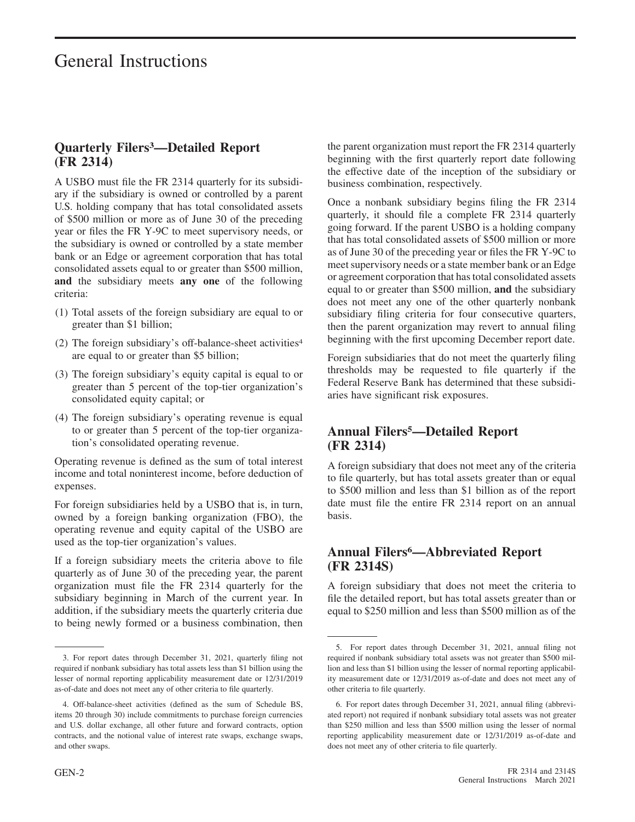#### **Quarterly Filers3—Detailed Report (FR 2314)**

A USBO must file the FR 2314 quarterly for its subsidiary if the subsidiary is owned or controlled by a parent U.S. holding company that has total consolidated assets of \$500 million or more as of June 30 of the preceding year or files the FR Y-9C to meet supervisory needs, or the subsidiary is owned or controlled by a state member bank or an Edge or agreement corporation that has total consolidated assets equal to or greater than \$500 million, **and** the subsidiary meets **any one** of the following criteria:

- (1) Total assets of the foreign subsidiary are equal to or greater than \$1 billion;
- (2) The foreign subsidiary's off-balance-sheet activities4 are equal to or greater than \$5 billion;
- (3) The foreign subsidiary's equity capital is equal to or greater than 5 percent of the top-tier organization's consolidated equity capital; or
- (4) The foreign subsidiary's operating revenue is equal to or greater than 5 percent of the top-tier organization's consolidated operating revenue.

Operating revenue is defined as the sum of total interest income and total noninterest income, before deduction of expenses.

For foreign subsidiaries held by a USBO that is, in turn, owned by a foreign banking organization (FBO), the operating revenue and equity capital of the USBO are used as the top-tier organization's values.

If a foreign subsidiary meets the criteria above to file quarterly as of June 30 of the preceding year, the parent organization must file the FR 2314 quarterly for the subsidiary beginning in March of the current year. In addition, if the subsidiary meets the quarterly criteria due to being newly formed or a business combination, then the parent organization must report the FR 2314 quarterly beginning with the first quarterly report date following the effective date of the inception of the subsidiary or business combination, respectively.

Once a nonbank subsidiary begins filing the FR 2314 quarterly, it should file a complete FR 2314 quarterly going forward. If the parent USBO is a holding company that has total consolidated assets of \$500 million or more as of June 30 of the preceding year or files the FR Y-9C to meet supervisory needs or a state member bank or an Edge or agreement corporation that has total consolidated assets equal to or greater than \$500 million, **and** the subsidiary does not meet any one of the other quarterly nonbank subsidiary filing criteria for four consecutive quarters, then the parent organization may revert to annual filing beginning with the first upcoming December report date.

Foreign subsidiaries that do not meet the quarterly filing thresholds may be requested to file quarterly if the Federal Reserve Bank has determined that these subsidiaries have significant risk exposures.

#### **Annual Filers5—Detailed Report (FR 2314)**

A foreign subsidiary that does not meet any of the criteria to file quarterly, but has total assets greater than or equal to \$500 million and less than \$1 billion as of the report date must file the entire FR 2314 report on an annual basis.

#### **Annual Filers6—Abbreviated Report (FR 2314S)**

A foreign subsidiary that does not meet the criteria to file the detailed report, but has total assets greater than or equal to \$250 million and less than \$500 million as of the

<sup>3.</sup> For report dates through December 31, 2021, quarterly filing not required if nonbank subsidiary has total assets less than \$1 billion using the lesser of normal reporting applicability measurement date or 12/31/2019 as-of-date and does not meet any of other criteria to file quarterly.

<sup>4.</sup> Off-balance-sheet activities (defined as the sum of Schedule BS, items 20 through 30) include commitments to purchase foreign currencies and U.S. dollar exchange, all other future and forward contracts, option contracts, and the notional value of interest rate swaps, exchange swaps, and other swaps.

<sup>5.</sup> For report dates through December 31, 2021, annual filing not required if nonbank subsidiary total assets was not greater than \$500 million and less than \$1 billion using the lesser of normal reporting applicability measurement date or 12/31/2019 as-of-date and does not meet any of other criteria to file quarterly.

<sup>6.</sup> For report dates through December 31, 2021, annual filing (abbreviated report) not required if nonbank subsidiary total assets was not greater than \$250 million and less than \$500 million using the lesser of normal reporting applicability measurement date or 12/31/2019 as-of-date and does not meet any of other criteria to file quarterly.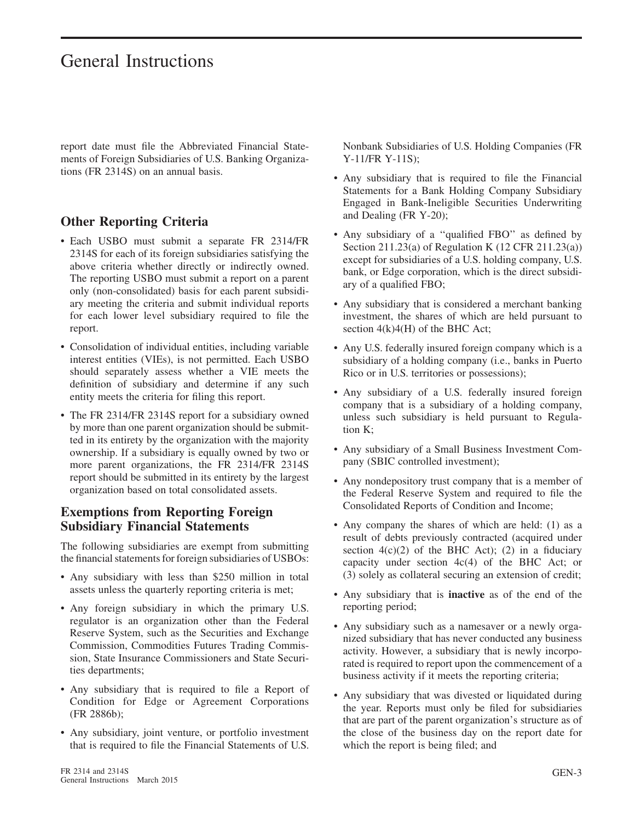report date must file the Abbreviated Financial Statements of Foreign Subsidiaries of U.S. Banking Organizations (FR 2314S) on an annual basis.

#### **Other Reporting Criteria**

- Each USBO must submit a separate FR 2314/FR 2314S for each of its foreign subsidiaries satisfying the above criteria whether directly or indirectly owned. The reporting USBO must submit a report on a parent only (non-consolidated) basis for each parent subsidiary meeting the criteria and submit individual reports for each lower level subsidiary required to file the report.
- Consolidation of individual entities, including variable interest entities (VIEs), is not permitted. Each USBO should separately assess whether a VIE meets the definition of subsidiary and determine if any such entity meets the criteria for filing this report.
- The FR 2314/FR 2314S report for a subsidiary owned by more than one parent organization should be submitted in its entirety by the organization with the majority ownership. If a subsidiary is equally owned by two or more parent organizations, the FR 2314/FR 2314S report should be submitted in its entirety by the largest organization based on total consolidated assets.

#### **Exemptions from Reporting Foreign Subsidiary Financial Statements**

The following subsidiaries are exempt from submitting the financial statements for foreign subsidiaries of USBOs:

- Any subsidiary with less than \$250 million in total assets unless the quarterly reporting criteria is met;
- Any foreign subsidiary in which the primary U.S. regulator is an organization other than the Federal Reserve System, such as the Securities and Exchange Commission, Commodities Futures Trading Commission, State Insurance Commissioners and State Securities departments;
- Any subsidiary that is required to file a Report of Condition for Edge or Agreement Corporations (FR 2886b);
- Any subsidiary, joint venture, or portfolio investment that is required to file the Financial Statements of U.S.

Nonbank Subsidiaries of U.S. Holding Companies (FR Y-11/FR Y-11S);

- Any subsidiary that is required to file the Financial Statements for a Bank Holding Company Subsidiary Engaged in Bank-Ineligible Securities Underwriting and Dealing (FR Y-20);
- Any subsidiary of a ''qualified FBO'' as defined by Section 211.23(a) of Regulation K (12 CFR 211.23(a)) except for subsidiaries of a U.S. holding company, U.S. bank, or Edge corporation, which is the direct subsidiary of a qualified FBO;
- Any subsidiary that is considered a merchant banking investment, the shares of which are held pursuant to section  $4(k)4(H)$  of the BHC Act;
- Any U.S. federally insured foreign company which is a subsidiary of a holding company (i.e., banks in Puerto Rico or in U.S. territories or possessions);
- Any subsidiary of a U.S. federally insured foreign company that is a subsidiary of a holding company, unless such subsidiary is held pursuant to Regulation K;
- Any subsidiary of a Small Business Investment Company (SBIC controlled investment);
- Any nondepository trust company that is a member of the Federal Reserve System and required to file the Consolidated Reports of Condition and Income;
- Any company the shares of which are held: (1) as a result of debts previously contracted (acquired under section  $4(c)(2)$  of the BHC Act); (2) in a fiduciary capacity under section 4c(4) of the BHC Act; or (3) solely as collateral securing an extension of credit;
- Any subsidiary that is **inactive** as of the end of the reporting period;
- Any subsidiary such as a namesaver or a newly organized subsidiary that has never conducted any business activity. However, a subsidiary that is newly incorporated is required to report upon the commencement of a business activity if it meets the reporting criteria;
- Any subsidiary that was divested or liquidated during the year. Reports must only be filed for subsidiaries that are part of the parent organization's structure as of the close of the business day on the report date for which the report is being filed; and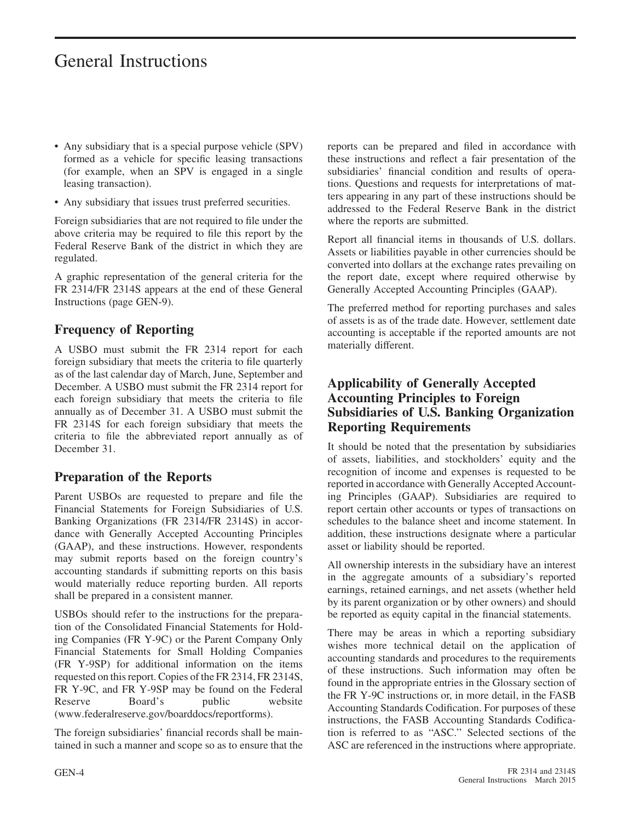- Any subsidiary that is a special purpose vehicle (SPV) formed as a vehicle for specific leasing transactions (for example, when an SPV is engaged in a single leasing transaction).
- Any subsidiary that issues trust preferred securities.

Foreign subsidiaries that are not required to file under the above criteria may be required to file this report by the Federal Reserve Bank of the district in which they are regulated.

A graphic representation of the general criteria for the FR 2314/FR 2314S appears at the end of these General Instructions (page GEN-9).

### **Frequency of Reporting**

A USBO must submit the FR 2314 report for each foreign subsidiary that meets the criteria to file quarterly as of the last calendar day of March, June, September and December. A USBO must submit the FR 2314 report for each foreign subsidiary that meets the criteria to file annually as of December 31. A USBO must submit the FR 2314S for each foreign subsidiary that meets the criteria to file the abbreviated report annually as of December 31.

#### **Preparation of the Reports**

Parent USBOs are requested to prepare and file the Financial Statements for Foreign Subsidiaries of U.S. Banking Organizations (FR 2314/FR 2314S) in accordance with Generally Accepted Accounting Principles (GAAP), and these instructions. However, respondents may submit reports based on the foreign country's accounting standards if submitting reports on this basis would materially reduce reporting burden. All reports shall be prepared in a consistent manner.

USBOs should refer to the instructions for the preparation of the Consolidated Financial Statements for Holding Companies (FR Y-9C) or the Parent Company Only Financial Statements for Small Holding Companies (FR Y-9SP) for additional information on the items requested on this report. Copies of the FR 2314, FR 2314S, FR Y-9C, and FR Y-9SP may be found on the Federal Reserve Board's public website (www.federalreserve.gov/boarddocs/reportforms).

The foreign subsidiaries' financial records shall be maintained in such a manner and scope so as to ensure that the reports can be prepared and filed in accordance with these instructions and reflect a fair presentation of the subsidiaries' financial condition and results of operations. Questions and requests for interpretations of matters appearing in any part of these instructions should be addressed to the Federal Reserve Bank in the district where the reports are submitted.

Report all financial items in thousands of U.S. dollars. Assets or liabilities payable in other currencies should be converted into dollars at the exchange rates prevailing on the report date, except where required otherwise by Generally Accepted Accounting Principles (GAAP).

The preferred method for reporting purchases and sales of assets is as of the trade date. However, settlement date accounting is acceptable if the reported amounts are not materially different.

#### **Applicability of Generally Accepted Accounting Principles to Foreign Subsidiaries of U.S. Banking Organization Reporting Requirements**

It should be noted that the presentation by subsidiaries of assets, liabilities, and stockholders' equity and the recognition of income and expenses is requested to be reported in accordance with Generally Accepted Accounting Principles (GAAP). Subsidiaries are required to report certain other accounts or types of transactions on schedules to the balance sheet and income statement. In addition, these instructions designate where a particular asset or liability should be reported.

All ownership interests in the subsidiary have an interest in the aggregate amounts of a subsidiary's reported earnings, retained earnings, and net assets (whether held by its parent organization or by other owners) and should be reported as equity capital in the financial statements.

There may be areas in which a reporting subsidiary wishes more technical detail on the application of accounting standards and procedures to the requirements of these instructions. Such information may often be found in the appropriate entries in the Glossary section of the FR Y-9C instructions or, in more detail, in the FASB Accounting Standards Codification. For purposes of these instructions, the FASB Accounting Standards Codification is referred to as ''ASC.'' Selected sections of the ASC are referenced in the instructions where appropriate.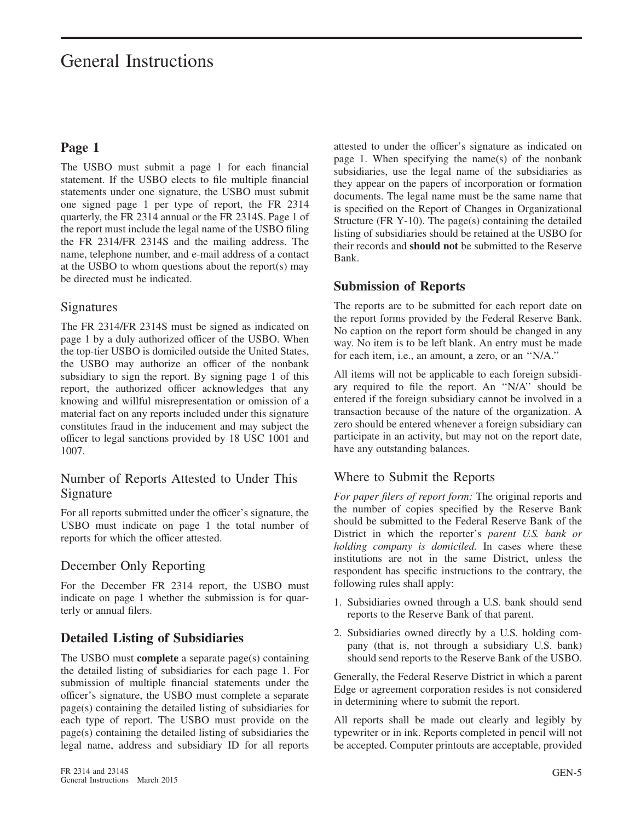#### **Page 1**

The USBO must submit a page 1 for each financial statement. If the USBO elects to file multiple financial statements under one signature, the USBO must submit one signed page 1 per type of report, the FR 2314 quarterly, the FR 2314 annual or the FR 2314S. Page 1 of the report must include the legal name of the USBO filing the FR 2314/FR 2314S and the mailing address. The name, telephone number, and e-mail address of a contact at the USBO to whom questions about the report(s) may be directed must be indicated.

#### **Signatures**

The FR 2314/FR 2314S must be signed as indicated on page 1 by a duly authorized officer of the USBO. When the top-tier USBO is domiciled outside the United States, the USBO may authorize an officer of the nonbank subsidiary to sign the report. By signing page 1 of this report, the authorized officer acknowledges that any knowing and willful misrepresentation or omission of a material fact on any reports included under this signature constitutes fraud in the inducement and may subject the officer to legal sanctions provided by 18 USC 1001 and 1007.

#### Number of Reports Attested to Under This Signature

For all reports submitted under the officer's signature, the USBO must indicate on page 1 the total number of reports for which the officer attested.

#### December Only Reporting

For the December FR 2314 report, the USBO must indicate on page 1 whether the submission is for quarterly or annual filers.

#### **Detailed Listing of Subsidiaries**

The USBO must **complete** a separate page(s) containing the detailed listing of subsidiaries for each page 1. For submission of multiple financial statements under the officer's signature, the USBO must complete a separate page(s) containing the detailed listing of subsidiaries for each type of report. The USBO must provide on the page(s) containing the detailed listing of subsidiaries the legal name, address and subsidiary ID for all reports attested to under the officer's signature as indicated on page 1. When specifying the name(s) of the nonbank subsidiaries, use the legal name of the subsidiaries as they appear on the papers of incorporation or formation documents. The legal name must be the same name that is specified on the Report of Changes in Organizational Structure (FR Y-10). The page(s) containing the detailed listing of subsidiaries should be retained at the USBO for their records and **should not** be submitted to the Reserve Bank.

#### **Submission of Reports**

The reports are to be submitted for each report date on the report forms provided by the Federal Reserve Bank. No caption on the report form should be changed in any way. No item is to be left blank. An entry must be made for each item, i.e., an amount, a zero, or an ''N/A.''

All items will not be applicable to each foreign subsidiary required to file the report. An ''N/A'' should be entered if the foreign subsidiary cannot be involved in a transaction because of the nature of the organization. A zero should be entered whenever a foreign subsidiary can participate in an activity, but may not on the report date, have any outstanding balances.

#### Where to Submit the Reports

*For paper filers of report form:* The original reports and the number of copies specified by the Reserve Bank should be submitted to the Federal Reserve Bank of the District in which the reporter's *parent U.S. bank or holding company is domiciled.* In cases where these institutions are not in the same District, unless the respondent has specific instructions to the contrary, the following rules shall apply:

- 1. Subsidiaries owned through a U.S. bank should send reports to the Reserve Bank of that parent.
- 2. Subsidiaries owned directly by a U.S. holding company (that is, not through a subsidiary U.S. bank) should send reports to the Reserve Bank of the USBO.

Generally, the Federal Reserve District in which a parent Edge or agreement corporation resides is not considered in determining where to submit the report.

All reports shall be made out clearly and legibly by typewriter or in ink. Reports completed in pencil will not be accepted. Computer printouts are acceptable, provided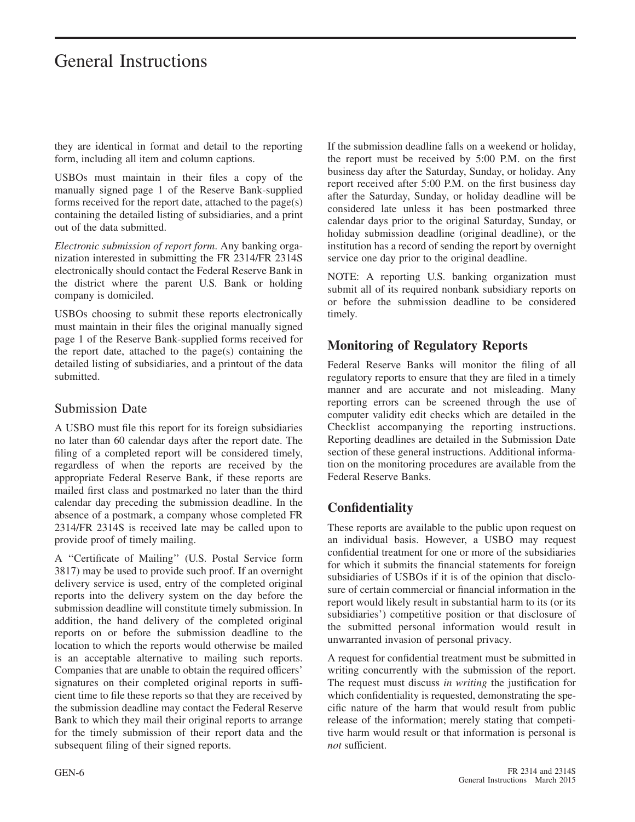they are identical in format and detail to the reporting form, including all item and column captions.

USBOs must maintain in their files a copy of the manually signed page 1 of the Reserve Bank-supplied forms received for the report date, attached to the page(s) containing the detailed listing of subsidiaries, and a print out of the data submitted.

*Electronic submission of report form*. Any banking organization interested in submitting the FR 2314/FR 2314S electronically should contact the Federal Reserve Bank in the district where the parent U.S. Bank or holding company is domiciled.

USBOs choosing to submit these reports electronically must maintain in their files the original manually signed page 1 of the Reserve Bank-supplied forms received for the report date, attached to the page(s) containing the detailed listing of subsidiaries, and a printout of the data submitted.

#### Submission Date

A USBO must file this report for its foreign subsidiaries no later than 60 calendar days after the report date. The filing of a completed report will be considered timely, regardless of when the reports are received by the appropriate Federal Reserve Bank, if these reports are mailed first class and postmarked no later than the third calendar day preceding the submission deadline. In the absence of a postmark, a company whose completed FR 2314/FR 2314S is received late may be called upon to provide proof of timely mailing.

A ''Certificate of Mailing'' (U.S. Postal Service form 3817) may be used to provide such proof. If an overnight delivery service is used, entry of the completed original reports into the delivery system on the day before the submission deadline will constitute timely submission. In addition, the hand delivery of the completed original reports on or before the submission deadline to the location to which the reports would otherwise be mailed is an acceptable alternative to mailing such reports. Companies that are unable to obtain the required officers' signatures on their completed original reports in sufficient time to file these reports so that they are received by the submission deadline may contact the Federal Reserve Bank to which they mail their original reports to arrange for the timely submission of their report data and the subsequent filing of their signed reports.

If the submission deadline falls on a weekend or holiday, the report must be received by 5:00 P.M. on the first business day after the Saturday, Sunday, or holiday. Any report received after 5:00 P.M. on the first business day after the Saturday, Sunday, or holiday deadline will be considered late unless it has been postmarked three calendar days prior to the original Saturday, Sunday, or holiday submission deadline (original deadline), or the institution has a record of sending the report by overnight service one day prior to the original deadline.

NOTE: A reporting U.S. banking organization must submit all of its required nonbank subsidiary reports on or before the submission deadline to be considered timely.

#### **Monitoring of Regulatory Reports**

Federal Reserve Banks will monitor the filing of all regulatory reports to ensure that they are filed in a timely manner and are accurate and not misleading. Many reporting errors can be screened through the use of computer validity edit checks which are detailed in the Checklist accompanying the reporting instructions. Reporting deadlines are detailed in the Submission Date section of these general instructions. Additional information on the monitoring procedures are available from the Federal Reserve Banks.

#### **Confidentiality**

These reports are available to the public upon request on an individual basis. However, a USBO may request confidential treatment for one or more of the subsidiaries for which it submits the financial statements for foreign subsidiaries of USBOs if it is of the opinion that disclosure of certain commercial or financial information in the report would likely result in substantial harm to its (or its subsidiaries') competitive position or that disclosure of the submitted personal information would result in unwarranted invasion of personal privacy.

A request for confidential treatment must be submitted in writing concurrently with the submission of the report. The request must discuss *in writing* the justification for which confidentiality is requested, demonstrating the specific nature of the harm that would result from public release of the information; merely stating that competitive harm would result or that information is personal is *not* sufficient.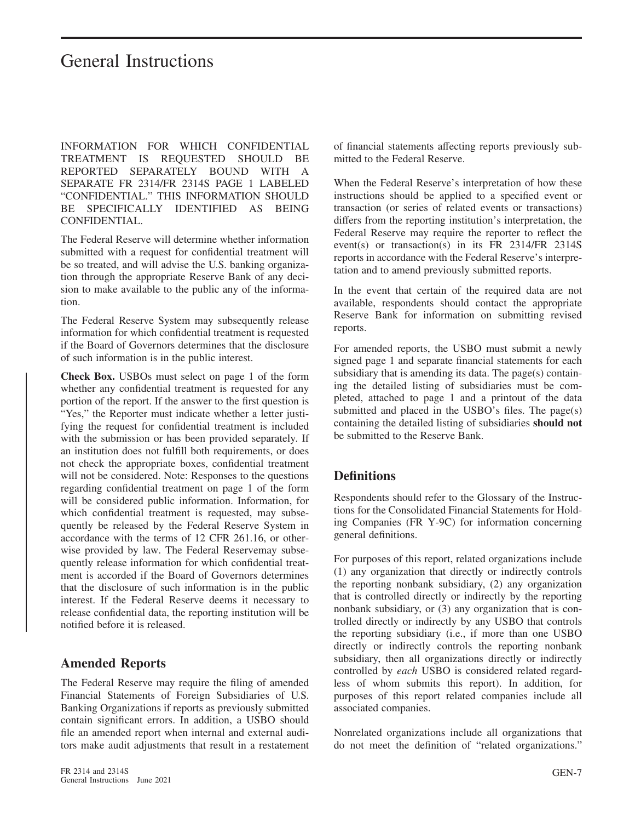INFORMATION FOR WHICH CONFIDENTIAL TREATMENT IS REQUESTED SHOULD BE REPORTED SEPARATELY BOUND WITH A SEPARATE FR 2314/FR 2314S PAGE 1 LABELED "CONFIDENTIAL." THIS INFORMATION SHOULD BE SPECIFICALLY IDENTIFIED AS BEING CONFIDENTIAL.

The Federal Reserve will determine whether information submitted with a request for confidential treatment will be so treated, and will advise the U.S. banking organization through the appropriate Reserve Bank of any decision to make available to the public any of the information.

The Federal Reserve System may subsequently release information for which confidential treatment is requested if the Board of Governors determines that the disclosure of such information is in the public interest.

**Check Box.** USBOs must select on page 1 of the form whether any confidential treatment is requested for any portion of the report. If the answer to the first question is "Yes," the Reporter must indicate whether a letter justifying the request for confidential treatment is included with the submission or has been provided separately. If an institution does not fulfill both requirements, or does not check the appropriate boxes, confidential treatment will not be considered. Note: Responses to the questions regarding confidential treatment on page 1 of the form will be considered public information. Information, for which confidential treatment is requested, may subsequently be released by the Federal Reserve System in accordance with the terms of 12 CFR 261.16, or otherwise provided by law. The Federal Reservemay subsequently release information for which confidential treatment is accorded if the Board of Governors determines that the disclosure of such information is in the public interest. If the Federal Reserve deems it necessary to release confidential data, the reporting institution will be notified before it is released.

#### **Amended Reports**

The Federal Reserve may require the filing of amended Financial Statements of Foreign Subsidiaries of U.S. Banking Organizations if reports as previously submitted contain significant errors. In addition, a USBO should file an amended report when internal and external auditors make audit adjustments that result in a restatement of financial statements affecting reports previously submitted to the Federal Reserve.

When the Federal Reserve's interpretation of how these instructions should be applied to a specified event or transaction (or series of related events or transactions) differs from the reporting institution's interpretation, the Federal Reserve may require the reporter to reflect the event(s) or transaction(s) in its FR 2314/FR 2314S reports in accordance with the Federal Reserve's interpretation and to amend previously submitted reports.

In the event that certain of the required data are not available, respondents should contact the appropriate Reserve Bank for information on submitting revised reports.

For amended reports, the USBO must submit a newly signed page 1 and separate financial statements for each subsidiary that is amending its data. The page(s) containing the detailed listing of subsidiaries must be completed, attached to page 1 and a printout of the data submitted and placed in the USBO's files. The page(s) containing the detailed listing of subsidiaries **should not** be submitted to the Reserve Bank.

#### **Definitions**

Respondents should refer to the Glossary of the Instructions for the Consolidated Financial Statements for Holding Companies (FR Y-9C) for information concerning general definitions.

For purposes of this report, related organizations include (1) any organization that directly or indirectly controls the reporting nonbank subsidiary, (2) any organization that is controlled directly or indirectly by the reporting nonbank subsidiary, or (3) any organization that is controlled directly or indirectly by any USBO that controls the reporting subsidiary (i.e., if more than one USBO directly or indirectly controls the reporting nonbank subsidiary, then all organizations directly or indirectly controlled by *each* USBO is considered related regardless of whom submits this report). In addition, for purposes of this report related companies include all associated companies.

Nonrelated organizations include all organizations that do not meet the definition of "related organizations."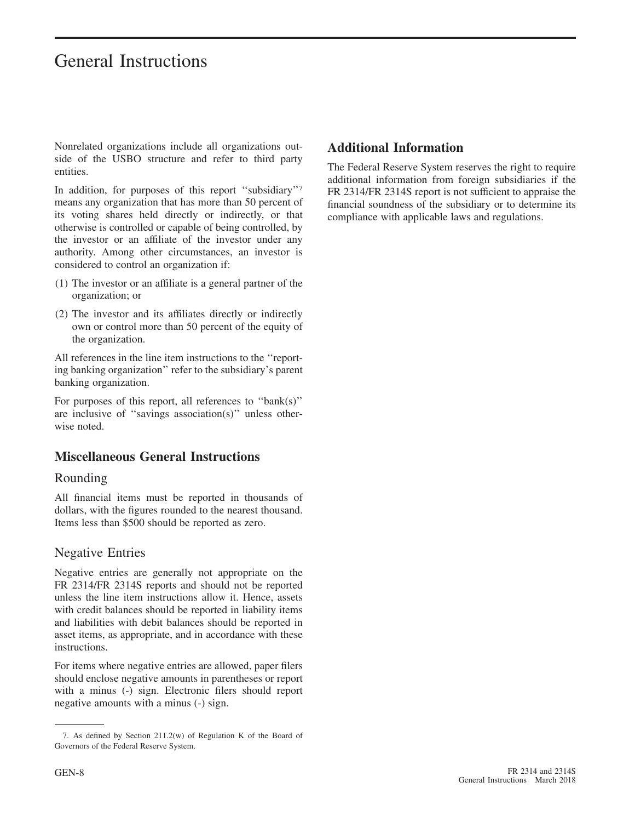Nonrelated organizations include all organizations outside of the USBO structure and refer to third party entities.

In addition, for purposes of this report ''subsidiary''7 means any organization that has more than 50 percent of its voting shares held directly or indirectly, or that otherwise is controlled or capable of being controlled, by the investor or an affiliate of the investor under any authority. Among other circumstances, an investor is considered to control an organization if:

- (1) The investor or an affiliate is a general partner of the organization; or
- (2) The investor and its affiliates directly or indirectly own or control more than 50 percent of the equity of the organization.

All references in the line item instructions to the ''reporting banking organization'' refer to the subsidiary's parent banking organization.

For purposes of this report, all references to ''bank(s)'' are inclusive of ''savings association(s)'' unless otherwise noted.

#### **Miscellaneous General Instructions**

#### Rounding

All financial items must be reported in thousands of dollars, with the figures rounded to the nearest thousand. Items less than \$500 should be reported as zero.

#### Negative Entries

Negative entries are generally not appropriate on the FR 2314/FR 2314S reports and should not be reported unless the line item instructions allow it. Hence, assets with credit balances should be reported in liability items and liabilities with debit balances should be reported in asset items, as appropriate, and in accordance with these instructions.

For items where negative entries are allowed, paper filers should enclose negative amounts in parentheses or report with a minus (-) sign. Electronic filers should report negative amounts with a minus (-) sign.

#### **Additional Information**

The Federal Reserve System reserves the right to require additional information from foreign subsidiaries if the FR 2314/FR 2314S report is not sufficient to appraise the financial soundness of the subsidiary or to determine its compliance with applicable laws and regulations.

<sup>7.</sup> As defined by Section 211.2(w) of Regulation K of the Board of Governors of the Federal Reserve System.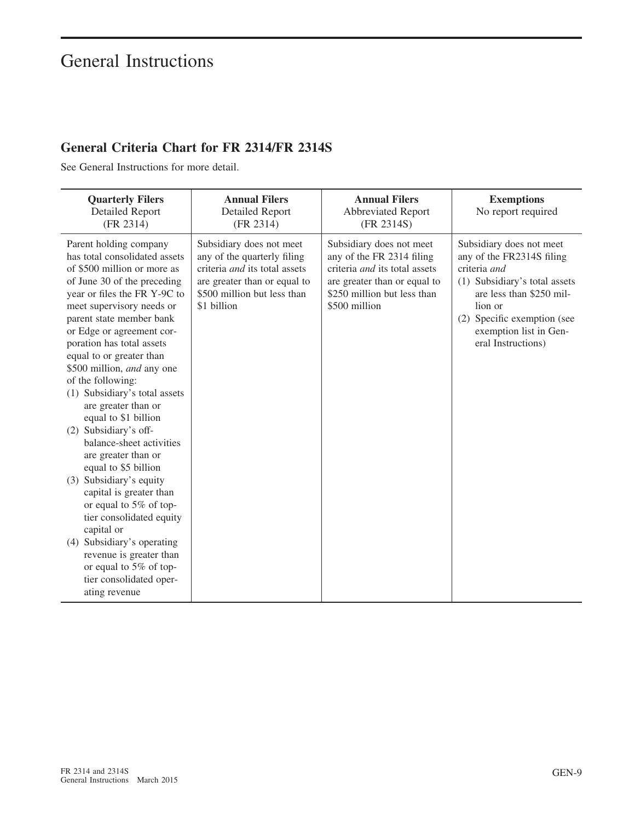### **General Criteria Chart for FR 2314/FR 2314S**

See General Instructions for more detail.

| <b>Quarterly Filers</b><br><b>Detailed Report</b><br>(FR 2314)                                                                                                                                                                                                                                                                                                                                                                                                                                                                                                                                                                                                                                                                                                                      | <b>Annual Filers</b><br><b>Detailed Report</b><br>(FR 2314)                                                                                                            | <b>Annual Filers</b><br><b>Abbreviated Report</b><br>(FR 2314S)                                                                                                        | <b>Exemptions</b><br>No report required                                                                                                                                                                                      |
|-------------------------------------------------------------------------------------------------------------------------------------------------------------------------------------------------------------------------------------------------------------------------------------------------------------------------------------------------------------------------------------------------------------------------------------------------------------------------------------------------------------------------------------------------------------------------------------------------------------------------------------------------------------------------------------------------------------------------------------------------------------------------------------|------------------------------------------------------------------------------------------------------------------------------------------------------------------------|------------------------------------------------------------------------------------------------------------------------------------------------------------------------|------------------------------------------------------------------------------------------------------------------------------------------------------------------------------------------------------------------------------|
| Parent holding company<br>has total consolidated assets<br>of \$500 million or more as<br>of June 30 of the preceding<br>year or files the FR Y-9C to<br>meet supervisory needs or<br>parent state member bank<br>or Edge or agreement cor-<br>poration has total assets<br>equal to or greater than<br>\$500 million, and any one<br>of the following:<br>(1) Subsidiary's total assets<br>are greater than or<br>equal to \$1 billion<br>(2) Subsidiary's off-<br>balance-sheet activities<br>are greater than or<br>equal to \$5 billion<br>(3) Subsidiary's equity<br>capital is greater than<br>or equal to 5% of top-<br>tier consolidated equity<br>capital or<br>(4) Subsidiary's operating<br>revenue is greater than<br>or equal to 5% of top-<br>tier consolidated oper- | Subsidiary does not meet<br>any of the quarterly filing<br>criteria and its total assets<br>are greater than or equal to<br>\$500 million but less than<br>\$1 billion | Subsidiary does not meet<br>any of the FR 2314 filing<br>criteria and its total assets<br>are greater than or equal to<br>\$250 million but less than<br>\$500 million | Subsidiary does not meet<br>any of the FR2314S filing<br>criteria and<br>(1) Subsidiary's total assets<br>are less than \$250 mil-<br>lion or<br>(2) Specific exemption (see<br>exemption list in Gen-<br>eral Instructions) |
| ating revenue                                                                                                                                                                                                                                                                                                                                                                                                                                                                                                                                                                                                                                                                                                                                                                       |                                                                                                                                                                        |                                                                                                                                                                        |                                                                                                                                                                                                                              |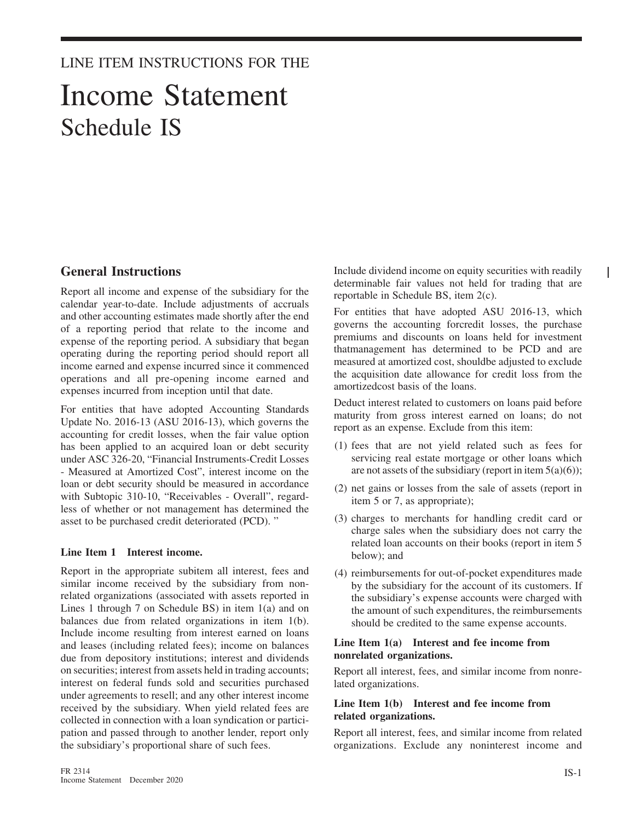#### LINE ITEM INSTRUCTIONS FOR THE

## Income Statement Schedule IS

#### **General Instructions**

Report all income and expense of the subsidiary for the calendar year-to-date. Include adjustments of accruals and other accounting estimates made shortly after the end of a reporting period that relate to the income and expense of the reporting period. A subsidiary that began operating during the reporting period should report all income earned and expense incurred since it commenced operations and all pre-opening income earned and expenses incurred from inception until that date.

For entities that have adopted Accounting Standards Update No. 2016-13 (ASU 2016-13), which governs the accounting for credit losses, when the fair value option has been applied to an acquired loan or debt security under ASC 326-20, "Financial Instruments-Credit Losses - Measured at Amortized Cost", interest income on the loan or debt security should be measured in accordance with Subtopic 310-10, "Receivables - Overall", regardless of whether or not management has determined the asset to be purchased credit deteriorated (PCD). "

#### **Line Item 1 Interest income.**

Report in the appropriate subitem all interest, fees and similar income received by the subsidiary from nonrelated organizations (associated with assets reported in Lines 1 through 7 on Schedule BS) in item 1(a) and on balances due from related organizations in item 1(b). Include income resulting from interest earned on loans and leases (including related fees); income on balances due from depository institutions; interest and dividends on securities; interest from assets held in trading accounts; interest on federal funds sold and securities purchased under agreements to resell; and any other interest income received by the subsidiary. When yield related fees are collected in connection with a loan syndication or participation and passed through to another lender, report only the subsidiary's proportional share of such fees.

Include dividend income on equity securities with readily determinable fair values not held for trading that are reportable in Schedule BS, item 2(c).

For entities that have adopted ASU 2016-13, which governs the accounting forcredit losses, the purchase premiums and discounts on loans held for investment thatmanagement has determined to be PCD and are measured at amortized cost, shouldbe adjusted to exclude the acquisition date allowance for credit loss from the amortizedcost basis of the loans.

Deduct interest related to customers on loans paid before maturity from gross interest earned on loans; do not report as an expense. Exclude from this item:

- (1) fees that are not yield related such as fees for servicing real estate mortgage or other loans which are not assets of the subsidiary (report in item  $5(a)(6)$ );
- (2) net gains or losses from the sale of assets (report in item 5 or 7, as appropriate);
- (3) charges to merchants for handling credit card or charge sales when the subsidiary does not carry the related loan accounts on their books (report in item 5 below); and
- (4) reimbursements for out-of-pocket expenditures made by the subsidiary for the account of its customers. If the subsidiary's expense accounts were charged with the amount of such expenditures, the reimbursements should be credited to the same expense accounts.

#### **Line Item 1(a) Interest and fee income from nonrelated organizations.**

Report all interest, fees, and similar income from nonrelated organizations.

#### **Line Item 1(b) Interest and fee income from related organizations.**

Report all interest, fees, and similar income from related organizations. Exclude any noninterest income and I.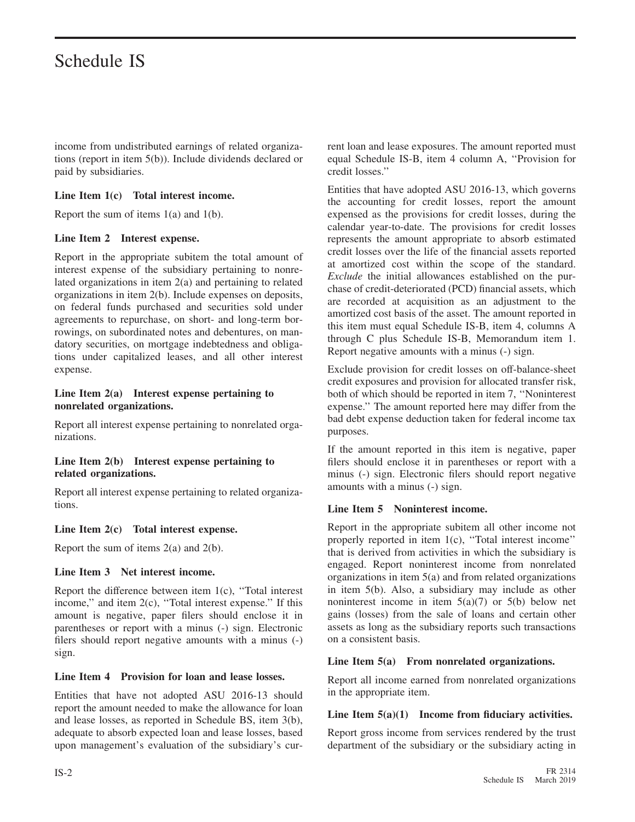income from undistributed earnings of related organizations (report in item 5(b)). Include dividends declared or paid by subsidiaries.

#### **Line Item 1(c) Total interest income.**

Report the sum of items  $1(a)$  and  $1(b)$ .

#### **Line Item 2 Interest expense.**

Report in the appropriate subitem the total amount of interest expense of the subsidiary pertaining to nonrelated organizations in item 2(a) and pertaining to related organizations in item 2(b). Include expenses on deposits, on federal funds purchased and securities sold under agreements to repurchase, on short- and long-term borrowings, on subordinated notes and debentures, on mandatory securities, on mortgage indebtedness and obligations under capitalized leases, and all other interest expense.

#### **Line Item 2(a) Interest expense pertaining to nonrelated organizations.**

Report all interest expense pertaining to nonrelated organizations.

#### **Line Item 2(b) Interest expense pertaining to related organizations.**

Report all interest expense pertaining to related organizations.

#### **Line Item 2(c) Total interest expense.**

Report the sum of items  $2(a)$  and  $2(b)$ .

#### **Line Item 3 Net interest income.**

Report the difference between item 1(c), ''Total interest income,'' and item 2(c), ''Total interest expense.'' If this amount is negative, paper filers should enclose it in parentheses or report with a minus (-) sign. Electronic filers should report negative amounts with a minus (-) sign.

#### **Line Item 4 Provision for loan and lease losses.**

Entities that have not adopted ASU 2016-13 should report the amount needed to make the allowance for loan and lease losses, as reported in Schedule BS, item 3(b), adequate to absorb expected loan and lease losses, based upon management's evaluation of the subsidiary's current loan and lease exposures. The amount reported must equal Schedule IS-B, item 4 column A, ''Provision for credit losses.''

Entities that have adopted ASU 2016-13, which governs the accounting for credit losses, report the amount expensed as the provisions for credit losses, during the calendar year-to-date. The provisions for credit losses represents the amount appropriate to absorb estimated credit losses over the life of the financial assets reported at amortized cost within the scope of the standard. *Exclude* the initial allowances established on the purchase of credit-deteriorated (PCD) financial assets, which are recorded at acquisition as an adjustment to the amortized cost basis of the asset. The amount reported in this item must equal Schedule IS-B, item 4, columns A through C plus Schedule IS-B, Memorandum item 1. Report negative amounts with a minus (-) sign.

Exclude provision for credit losses on off-balance-sheet credit exposures and provision for allocated transfer risk, both of which should be reported in item 7, ''Noninterest expense.'' The amount reported here may differ from the bad debt expense deduction taken for federal income tax purposes.

If the amount reported in this item is negative, paper filers should enclose it in parentheses or report with a minus (-) sign. Electronic filers should report negative amounts with a minus (-) sign.

#### **Line Item 5 Noninterest income.**

Report in the appropriate subitem all other income not properly reported in item 1(c), ''Total interest income'' that is derived from activities in which the subsidiary is engaged. Report noninterest income from nonrelated organizations in item 5(a) and from related organizations in item 5(b). Also, a subsidiary may include as other noninterest income in item  $5(a)(7)$  or  $5(b)$  below net gains (losses) from the sale of loans and certain other assets as long as the subsidiary reports such transactions on a consistent basis.

#### **Line Item 5(a) From nonrelated organizations.**

Report all income earned from nonrelated organizations in the appropriate item.

#### **Line Item 5(a)(1) Income from fiduciary activities.**

Report gross income from services rendered by the trust department of the subsidiary or the subsidiary acting in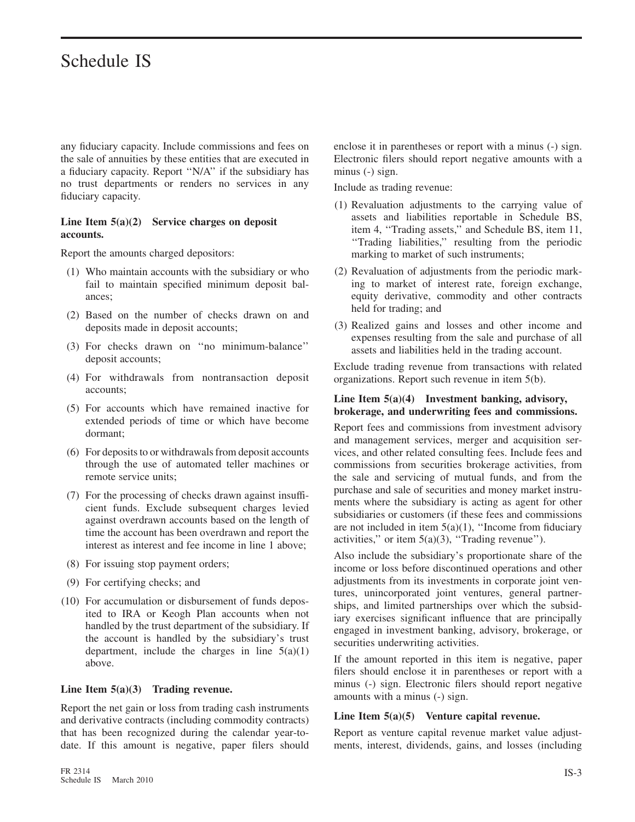any fiduciary capacity. Include commissions and fees on the sale of annuities by these entities that are executed in a fiduciary capacity. Report ''N/A'' if the subsidiary has no trust departments or renders no services in any fiduciary capacity.

#### **Line Item 5(a)(2) Service charges on deposit accounts.**

Report the amounts charged depositors:

- (1) Who maintain accounts with the subsidiary or who fail to maintain specified minimum deposit balances;
- (2) Based on the number of checks drawn on and deposits made in deposit accounts;
- (3) For checks drawn on ''no minimum-balance'' deposit accounts;
- (4) For withdrawals from nontransaction deposit accounts;
- (5) For accounts which have remained inactive for extended periods of time or which have become dormant;
- (6) For deposits to or withdrawals from deposit accounts through the use of automated teller machines or remote service units;
- (7) For the processing of checks drawn against insufficient funds. Exclude subsequent charges levied against overdrawn accounts based on the length of time the account has been overdrawn and report the interest as interest and fee income in line 1 above;
- (8) For issuing stop payment orders;
- (9) For certifying checks; and
- (10) For accumulation or disbursement of funds deposited to IRA or Keogh Plan accounts when not handled by the trust department of the subsidiary. If the account is handled by the subsidiary's trust department, include the charges in line  $5(a)(1)$ above.

#### **Line Item 5(a)(3) Trading revenue.**

Report the net gain or loss from trading cash instruments and derivative contracts (including commodity contracts) that has been recognized during the calendar year-todate. If this amount is negative, paper filers should enclose it in parentheses or report with a minus (-) sign. Electronic filers should report negative amounts with a minus (-) sign.

Include as trading revenue:

- (1) Revaluation adjustments to the carrying value of assets and liabilities reportable in Schedule BS, item 4, ''Trading assets,'' and Schedule BS, item 11, ''Trading liabilities,'' resulting from the periodic marking to market of such instruments;
- (2) Revaluation of adjustments from the periodic marking to market of interest rate, foreign exchange, equity derivative, commodity and other contracts held for trading; and
- (3) Realized gains and losses and other income and expenses resulting from the sale and purchase of all assets and liabilities held in the trading account.

Exclude trading revenue from transactions with related organizations. Report such revenue in item 5(b).

#### **Line Item 5(a)(4) Investment banking, advisory, brokerage, and underwriting fees and commissions.**

Report fees and commissions from investment advisory and management services, merger and acquisition services, and other related consulting fees. Include fees and commissions from securities brokerage activities, from the sale and servicing of mutual funds, and from the purchase and sale of securities and money market instruments where the subsidiary is acting as agent for other subsidiaries or customers (if these fees and commissions are not included in item  $5(a)(1)$ , "Income from fiduciary activities," or item  $5(a)(3)$ , "Trading revenue").

Also include the subsidiary's proportionate share of the income or loss before discontinued operations and other adjustments from its investments in corporate joint ventures, unincorporated joint ventures, general partnerships, and limited partnerships over which the subsidiary exercises significant influence that are principally engaged in investment banking, advisory, brokerage, or securities underwriting activities.

If the amount reported in this item is negative, paper filers should enclose it in parentheses or report with a minus (-) sign. Electronic filers should report negative amounts with a minus (-) sign.

#### **Line Item 5(a)(5) Venture capital revenue.**

Report as venture capital revenue market value adjustments, interest, dividends, gains, and losses (including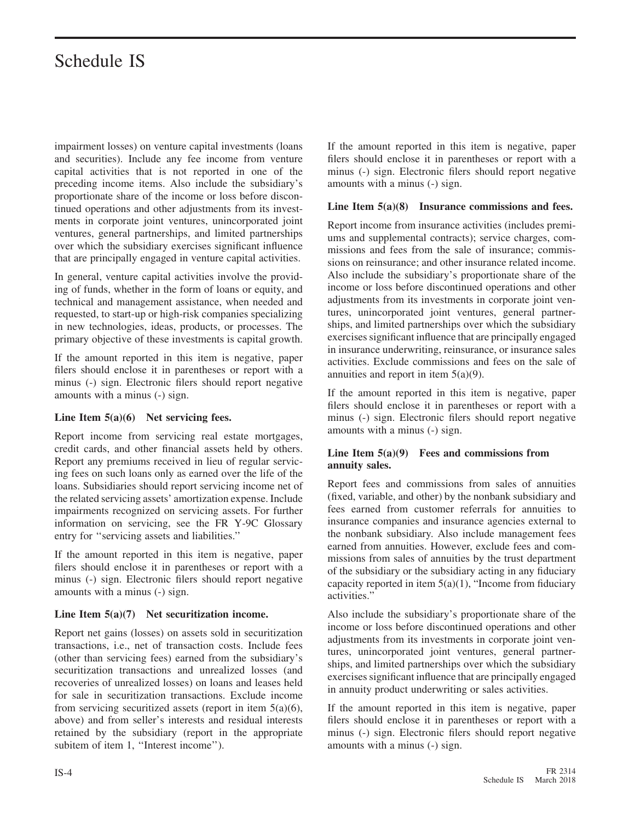impairment losses) on venture capital investments (loans and securities). Include any fee income from venture capital activities that is not reported in one of the preceding income items. Also include the subsidiary's proportionate share of the income or loss before discontinued operations and other adjustments from its investments in corporate joint ventures, unincorporated joint ventures, general partnerships, and limited partnerships over which the subsidiary exercises significant influence that are principally engaged in venture capital activities.

In general, venture capital activities involve the providing of funds, whether in the form of loans or equity, and technical and management assistance, when needed and requested, to start-up or high-risk companies specializing in new technologies, ideas, products, or processes. The primary objective of these investments is capital growth.

If the amount reported in this item is negative, paper filers should enclose it in parentheses or report with a minus (-) sign. Electronic filers should report negative amounts with a minus (-) sign.

#### **Line Item 5(a)(6) Net servicing fees.**

Report income from servicing real estate mortgages, credit cards, and other financial assets held by others. Report any premiums received in lieu of regular servicing fees on such loans only as earned over the life of the loans. Subsidiaries should report servicing income net of the related servicing assets' amortization expense. Include impairments recognized on servicing assets. For further information on servicing, see the FR Y-9C Glossary entry for ''servicing assets and liabilities.''

If the amount reported in this item is negative, paper filers should enclose it in parentheses or report with a minus (-) sign. Electronic filers should report negative amounts with a minus (-) sign.

#### **Line Item 5(a)(7) Net securitization income.**

Report net gains (losses) on assets sold in securitization transactions, i.e., net of transaction costs. Include fees (other than servicing fees) earned from the subsidiary's securitization transactions and unrealized losses (and recoveries of unrealized losses) on loans and leases held for sale in securitization transactions. Exclude income from servicing securitized assets (report in item  $5(a)(6)$ , above) and from seller's interests and residual interests retained by the subsidiary (report in the appropriate subitem of item 1, "Interest income").

If the amount reported in this item is negative, paper filers should enclose it in parentheses or report with a minus (-) sign. Electronic filers should report negative amounts with a minus (-) sign.

#### **Line Item 5(a)(8) Insurance commissions and fees.**

Report income from insurance activities (includes premiums and supplemental contracts); service charges, commissions and fees from the sale of insurance; commissions on reinsurance; and other insurance related income. Also include the subsidiary's proportionate share of the income or loss before discontinued operations and other adjustments from its investments in corporate joint ventures, unincorporated joint ventures, general partnerships, and limited partnerships over which the subsidiary exercises significant influence that are principally engaged in insurance underwriting, reinsurance, or insurance sales activities. Exclude commissions and fees on the sale of annuities and report in item 5(a)(9).

If the amount reported in this item is negative, paper filers should enclose it in parentheses or report with a minus (-) sign. Electronic filers should report negative amounts with a minus (-) sign.

#### **Line Item 5(a)(9) Fees and commissions from annuity sales.**

Report fees and commissions from sales of annuities (fixed, variable, and other) by the nonbank subsidiary and fees earned from customer referrals for annuities to insurance companies and insurance agencies external to the nonbank subsidiary. Also include management fees earned from annuities. However, exclude fees and commissions from sales of annuities by the trust department of the subsidiary or the subsidiary acting in any fiduciary capacity reported in item  $5(a)(1)$ , "Income from fiduciary activities."

Also include the subsidiary's proportionate share of the income or loss before discontinued operations and other adjustments from its investments in corporate joint ventures, unincorporated joint ventures, general partnerships, and limited partnerships over which the subsidiary exercises significant influence that are principally engaged in annuity product underwriting or sales activities.

If the amount reported in this item is negative, paper filers should enclose it in parentheses or report with a minus (-) sign. Electronic filers should report negative amounts with a minus (-) sign.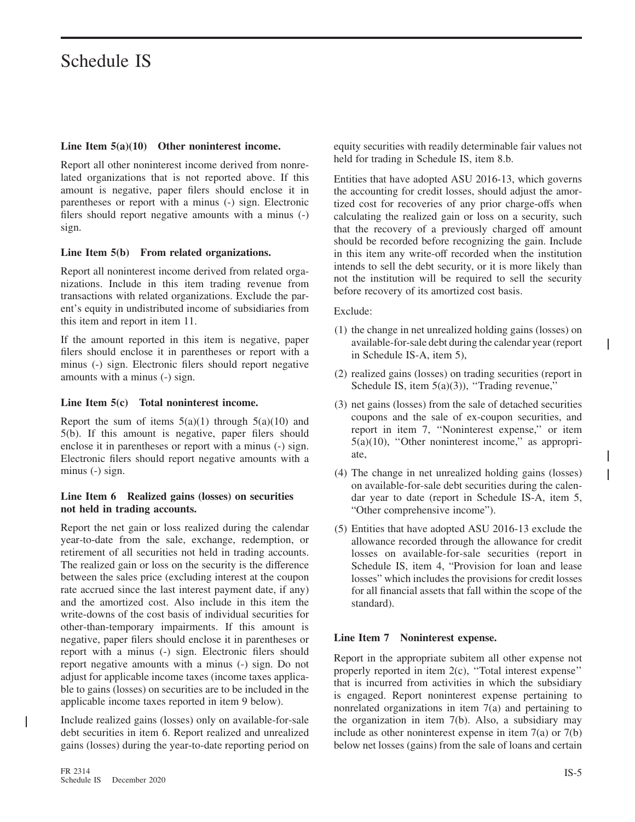#### **Line Item 5(a)(10) Other noninterest income.**

Report all other noninterest income derived from nonrelated organizations that is not reported above. If this amount is negative, paper filers should enclose it in parentheses or report with a minus (-) sign. Electronic filers should report negative amounts with a minus (-) sign.

#### **Line Item 5(b) From related organizations.**

Report all noninterest income derived from related organizations. Include in this item trading revenue from transactions with related organizations. Exclude the parent's equity in undistributed income of subsidiaries from this item and report in item 11.

If the amount reported in this item is negative, paper filers should enclose it in parentheses or report with a minus (-) sign. Electronic filers should report negative amounts with a minus (-) sign.

#### **Line Item 5(c) Total noninterest income.**

Report the sum of items  $5(a)(1)$  through  $5(a)(10)$  and 5(b). If this amount is negative, paper filers should enclose it in parentheses or report with a minus (-) sign. Electronic filers should report negative amounts with a minus (-) sign.

#### **Line Item 6 Realized gains (losses) on securities not held in trading accounts.**

Report the net gain or loss realized during the calendar year-to-date from the sale, exchange, redemption, or retirement of all securities not held in trading accounts. The realized gain or loss on the security is the difference between the sales price (excluding interest at the coupon rate accrued since the last interest payment date, if any) and the amortized cost. Also include in this item the write-downs of the cost basis of individual securities for other-than-temporary impairments. If this amount is negative, paper filers should enclose it in parentheses or report with a minus (-) sign. Electronic filers should report negative amounts with a minus (-) sign. Do not adjust for applicable income taxes (income taxes applicable to gains (losses) on securities are to be included in the applicable income taxes reported in item 9 below).

Include realized gains (losses) only on available-for-sale debt securities in item 6. Report realized and unrealized gains (losses) during the year-to-date reporting period on

 $\mathsf{I}$ 

equity securities with readily determinable fair values not held for trading in Schedule IS, item 8.b.

Entities that have adopted ASU 2016-13, which governs the accounting for credit losses, should adjust the amortized cost for recoveries of any prior charge-offs when calculating the realized gain or loss on a security, such that the recovery of a previously charged off amount should be recorded before recognizing the gain. Include in this item any write-off recorded when the institution intends to sell the debt security, or it is more likely than not the institution will be required to sell the security before recovery of its amortized cost basis.

Exclude:

- (1) the change in net unrealized holding gains (losses) on available-for-sale debt during the calendar year (report in Schedule IS-A, item 5),
- (2) realized gains (losses) on trading securities (report in Schedule IS, item 5(a)(3)), "Trading revenue,"
- (3) net gains (losses) from the sale of detached securities coupons and the sale of ex-coupon securities, and report in item 7, ''Noninterest expense,'' or item 5(a)(10), ''Other noninterest income,'' as appropriate,
- (4) The change in net unrealized holding gains (losses) on available-for-sale debt securities during the calendar year to date (report in Schedule IS-A, item 5, "Other comprehensive income").
- (5) Entities that have adopted ASU 2016-13 exclude the allowance recorded through the allowance for credit losses on available-for-sale securities (report in Schedule IS, item 4, "Provision for loan and lease losses" which includes the provisions for credit losses for all financial assets that fall within the scope of the standard).

#### **Line Item 7 Noninterest expense.**

Report in the appropriate subitem all other expense not properly reported in item 2(c), ''Total interest expense'' that is incurred from activities in which the subsidiary is engaged. Report noninterest expense pertaining to nonrelated organizations in item 7(a) and pertaining to the organization in item 7(b). Also, a subsidiary may include as other noninterest expense in item 7(a) or 7(b) below net losses (gains) from the sale of loans and certain

T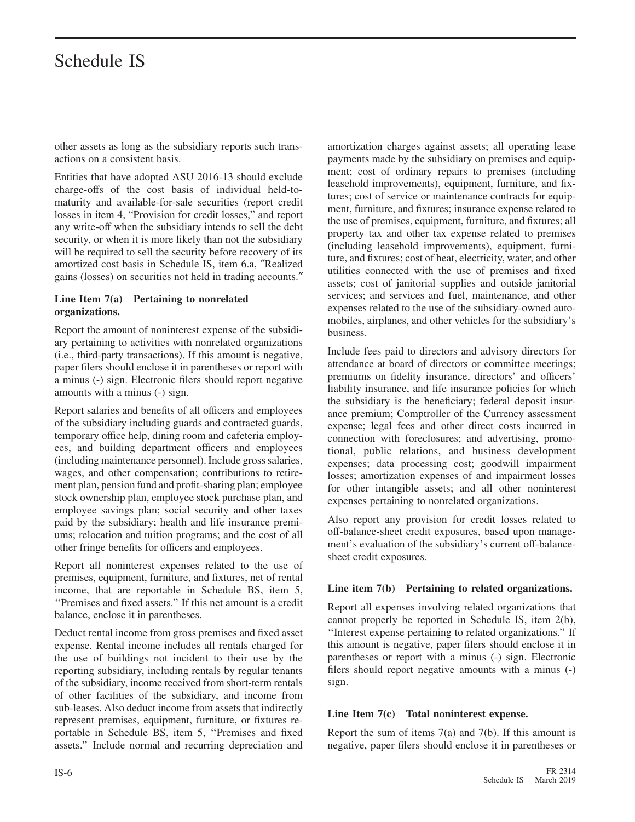other assets as long as the subsidiary reports such transactions on a consistent basis.

Entities that have adopted ASU 2016-13 should exclude charge-offs of the cost basis of individual held-tomaturity and available-for-sale securities (report credit losses in item 4, "Provision for credit losses," and report any write-off when the subsidiary intends to sell the debt security, or when it is more likely than not the subsidiary will be required to sell the security before recovery of its amortized cost basis in Schedule IS, item 6.a, ″Realized gains (losses) on securities not held in trading accounts.″

#### **Line Item 7(a) Pertaining to nonrelated organizations.**

Report the amount of noninterest expense of the subsidiary pertaining to activities with nonrelated organizations (i.e., third-party transactions). If this amount is negative, paper filers should enclose it in parentheses or report with a minus (-) sign. Electronic filers should report negative amounts with a minus (-) sign.

Report salaries and benefits of all officers and employees of the subsidiary including guards and contracted guards, temporary office help, dining room and cafeteria employees, and building department officers and employees (including maintenance personnel). Include gross salaries, wages, and other compensation; contributions to retirement plan, pension fund and profit-sharing plan; employee stock ownership plan, employee stock purchase plan, and employee savings plan; social security and other taxes paid by the subsidiary; health and life insurance premiums; relocation and tuition programs; and the cost of all other fringe benefits for officers and employees.

Report all noninterest expenses related to the use of premises, equipment, furniture, and fixtures, net of rental income, that are reportable in Schedule BS, item 5, ''Premises and fixed assets.'' If this net amount is a credit balance, enclose it in parentheses.

Deduct rental income from gross premises and fixed asset expense. Rental income includes all rentals charged for the use of buildings not incident to their use by the reporting subsidiary, including rentals by regular tenants of the subsidiary, income received from short-term rentals of other facilities of the subsidiary, and income from sub-leases. Also deduct income from assets that indirectly represent premises, equipment, furniture, or fixtures reportable in Schedule BS, item 5, ''Premises and fixed assets.'' Include normal and recurring depreciation and

amortization charges against assets; all operating lease payments made by the subsidiary on premises and equipment; cost of ordinary repairs to premises (including leasehold improvements), equipment, furniture, and fixtures; cost of service or maintenance contracts for equipment, furniture, and fixtures; insurance expense related to the use of premises, equipment, furniture, and fixtures; all property tax and other tax expense related to premises (including leasehold improvements), equipment, furniture, and fixtures; cost of heat, electricity, water, and other utilities connected with the use of premises and fixed assets; cost of janitorial supplies and outside janitorial services; and services and fuel, maintenance, and other expenses related to the use of the subsidiary-owned automobiles, airplanes, and other vehicles for the subsidiary's business.

Include fees paid to directors and advisory directors for attendance at board of directors or committee meetings; premiums on fidelity insurance, directors' and officers' liability insurance, and life insurance policies for which the subsidiary is the beneficiary; federal deposit insurance premium; Comptroller of the Currency assessment expense; legal fees and other direct costs incurred in connection with foreclosures; and advertising, promotional, public relations, and business development expenses; data processing cost; goodwill impairment losses; amortization expenses of and impairment losses for other intangible assets; and all other noninterest expenses pertaining to nonrelated organizations.

Also report any provision for credit losses related to off-balance-sheet credit exposures, based upon management's evaluation of the subsidiary's current off-balancesheet credit exposures.

#### **Line item 7(b) Pertaining to related organizations.**

Report all expenses involving related organizations that cannot properly be reported in Schedule IS, item 2(b), ''Interest expense pertaining to related organizations.'' If this amount is negative, paper filers should enclose it in parentheses or report with a minus (-) sign. Electronic filers should report negative amounts with a minus (-) sign.

#### **Line Item 7(c) Total noninterest expense.**

Report the sum of items  $7(a)$  and  $7(b)$ . If this amount is negative, paper filers should enclose it in parentheses or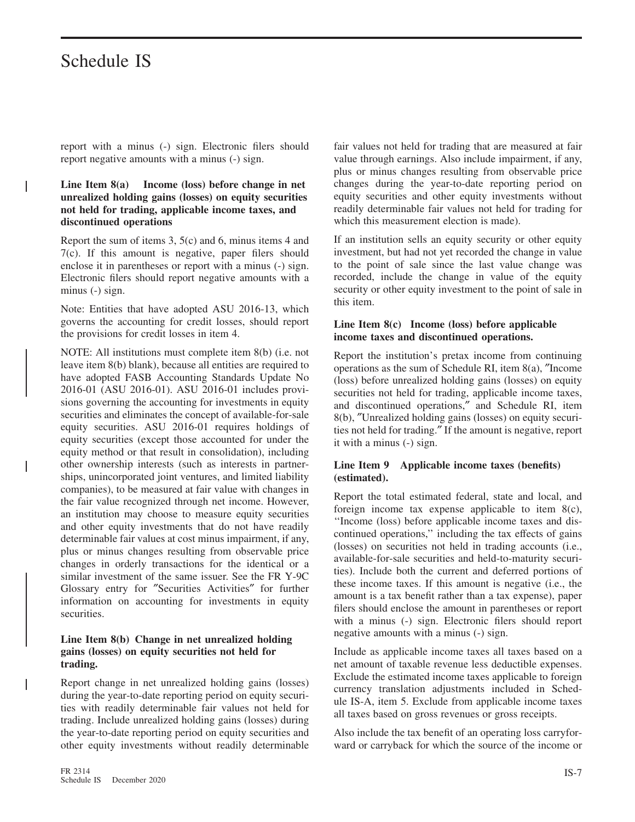L

Т

 $\overline{1}$ 

report with a minus (-) sign. Electronic filers should report negative amounts with a minus (-) sign.

#### **Line Item 8(a) Income (loss) before change in net unrealized holding gains (losses) on equity securities not held for trading, applicable income taxes, and discontinued operations**

Report the sum of items 3, 5(c) and 6, minus items 4 and 7(c). If this amount is negative, paper filers should enclose it in parentheses or report with a minus (-) sign. Electronic filers should report negative amounts with a minus (-) sign.

Note: Entities that have adopted ASU 2016-13, which governs the accounting for credit losses, should report the provisions for credit losses in item 4.

NOTE: All institutions must complete item 8(b) (i.e. not leave item 8(b) blank), because all entities are required to have adopted FASB Accounting Standards Update No 2016-01 (ASU 2016-01). ASU 2016-01 includes provisions governing the accounting for investments in equity securities and eliminates the concept of available-for-sale equity securities. ASU 2016-01 requires holdings of equity securities (except those accounted for under the equity method or that result in consolidation), including other ownership interests (such as interests in partnerships, unincorporated joint ventures, and limited liability companies), to be measured at fair value with changes in the fair value recognized through net income. However, an institution may choose to measure equity securities and other equity investments that do not have readily determinable fair values at cost minus impairment, if any, plus or minus changes resulting from observable price changes in orderly transactions for the identical or a similar investment of the same issuer. See the FR Y-9C Glossary entry for ″Securities Activities″ for further information on accounting for investments in equity securities.

#### **Line Item 8(b) Change in net unrealized holding gains (losses) on equity securities not held for trading.**

Report change in net unrealized holding gains (losses) during the year-to-date reporting period on equity securities with readily determinable fair values not held for trading. Include unrealized holding gains (losses) during the year-to-date reporting period on equity securities and other equity investments without readily determinable fair values not held for trading that are measured at fair value through earnings. Also include impairment, if any, plus or minus changes resulting from observable price changes during the year-to-date reporting period on equity securities and other equity investments without readily determinable fair values not held for trading for which this measurement election is made).

If an institution sells an equity security or other equity investment, but had not yet recorded the change in value to the point of sale since the last value change was recorded, include the change in value of the equity security or other equity investment to the point of sale in this item.

#### **Line Item 8(c) Income (loss) before applicable income taxes and discontinued operations.**

Report the institution's pretax income from continuing operations as the sum of Schedule RI, item 8(a), ″Income (loss) before unrealized holding gains (losses) on equity securities not held for trading, applicable income taxes, and discontinued operations,″ and Schedule RI, item 8(b), ″Unrealized holding gains (losses) on equity securities not held for trading.″ If the amount is negative, report it with a minus (-) sign.

#### **Line Item 9 Applicable income taxes (benefits) (estimated).**

Report the total estimated federal, state and local, and foreign income tax expense applicable to item 8(c), ''Income (loss) before applicable income taxes and discontinued operations,'' including the tax effects of gains (losses) on securities not held in trading accounts (i.e., available-for-sale securities and held-to-maturity securities). Include both the current and deferred portions of these income taxes. If this amount is negative (i.e., the amount is a tax benefit rather than a tax expense), paper filers should enclose the amount in parentheses or report with a minus (-) sign. Electronic filers should report negative amounts with a minus (-) sign.

Include as applicable income taxes all taxes based on a net amount of taxable revenue less deductible expenses. Exclude the estimated income taxes applicable to foreign currency translation adjustments included in Schedule IS-A, item 5. Exclude from applicable income taxes all taxes based on gross revenues or gross receipts.

Also include the tax benefit of an operating loss carryforward or carryback for which the source of the income or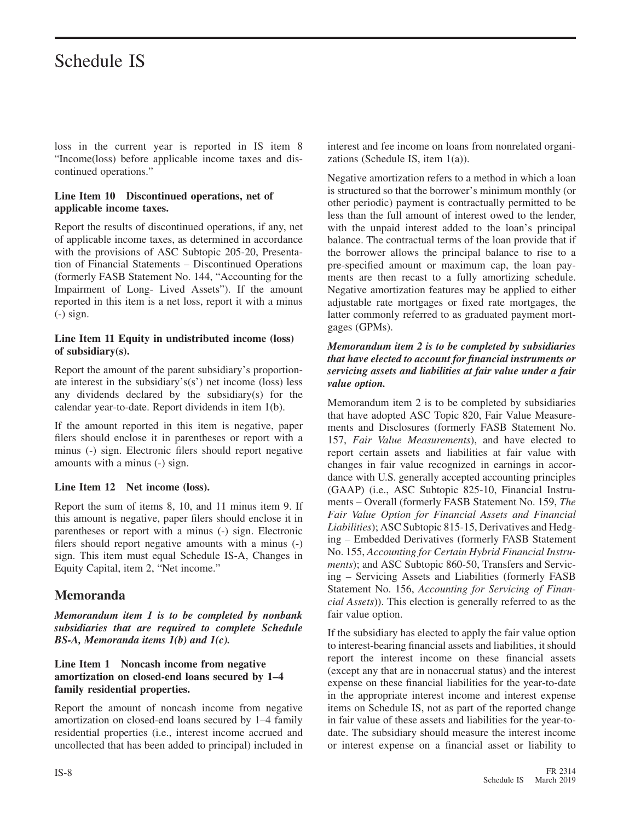loss in the current year is reported in IS item 8 "Income(loss) before applicable income taxes and discontinued operations."

#### **Line Item 10 Discontinued operations, net of applicable income taxes.**

Report the results of discontinued operations, if any, net of applicable income taxes, as determined in accordance with the provisions of ASC Subtopic 205-20, Presentation of Financial Statements – Discontinued Operations (formerly FASB Statement No. 144, "Accounting for the Impairment of Long- Lived Assets"). If the amount reported in this item is a net loss, report it with a minus (-) sign.

#### **Line Item 11 Equity in undistributed income (loss) of subsidiary(s).**

Report the amount of the parent subsidiary's proportionate interest in the subsidiary's(s') net income (loss) less any dividends declared by the subsidiary(s) for the calendar year-to-date. Report dividends in item 1(b).

If the amount reported in this item is negative, paper filers should enclose it in parentheses or report with a minus (-) sign. Electronic filers should report negative amounts with a minus (-) sign.

#### **Line Item 12 Net income (loss).**

Report the sum of items 8, 10, and 11 minus item 9. If this amount is negative, paper filers should enclose it in parentheses or report with a minus (-) sign. Electronic filers should report negative amounts with a minus (-) sign. This item must equal Schedule IS-A, Changes in Equity Capital, item 2, "Net income."

#### **Memoranda**

*Memorandum item 1 is to be completed by nonbank subsidiaries that are required to complete Schedule BS-A, Memoranda items 1(b) and 1(c).*

#### **Line Item 1 Noncash income from negative amortization on closed-end loans secured by 1–4 family residential properties.**

Report the amount of noncash income from negative amortization on closed-end loans secured by 1–4 family residential properties (i.e., interest income accrued and uncollected that has been added to principal) included in

interest and fee income on loans from nonrelated organizations (Schedule IS, item 1(a)).

Negative amortization refers to a method in which a loan is structured so that the borrower's minimum monthly (or other periodic) payment is contractually permitted to be less than the full amount of interest owed to the lender, with the unpaid interest added to the loan's principal balance. The contractual terms of the loan provide that if the borrower allows the principal balance to rise to a pre-specified amount or maximum cap, the loan payments are then recast to a fully amortizing schedule. Negative amortization features may be applied to either adjustable rate mortgages or fixed rate mortgages, the latter commonly referred to as graduated payment mortgages (GPMs).

#### *Memorandum item 2 is to be completed by subsidiaries that have elected to account for financial instruments or servicing assets and liabilities at fair value under a fair value option.*

Memorandum item 2 is to be completed by subsidiaries that have adopted ASC Topic 820, Fair Value Measurements and Disclosures (formerly FASB Statement No. 157, *Fair Value Measurements*), and have elected to report certain assets and liabilities at fair value with changes in fair value recognized in earnings in accordance with U.S. generally accepted accounting principles (GAAP) (i.e., ASC Subtopic 825-10, Financial Instruments – Overall (formerly FASB Statement No. 159, *The Fair Value Option for Financial Assets and Financial Liabilities*); ASC Subtopic 815-15, Derivatives and Hedging – Embedded Derivatives (formerly FASB Statement No. 155, *Accounting for Certain Hybrid Financial Instruments*); and ASC Subtopic 860-50, Transfers and Servicing – Servicing Assets and Liabilities (formerly FASB Statement No. 156, *Accounting for Servicing of Financial Assets*)). This election is generally referred to as the fair value option.

If the subsidiary has elected to apply the fair value option to interest-bearing financial assets and liabilities, it should report the interest income on these financial assets (except any that are in nonaccrual status) and the interest expense on these financial liabilities for the year-to-date in the appropriate interest income and interest expense items on Schedule IS, not as part of the reported change in fair value of these assets and liabilities for the year-todate. The subsidiary should measure the interest income or interest expense on a financial asset or liability to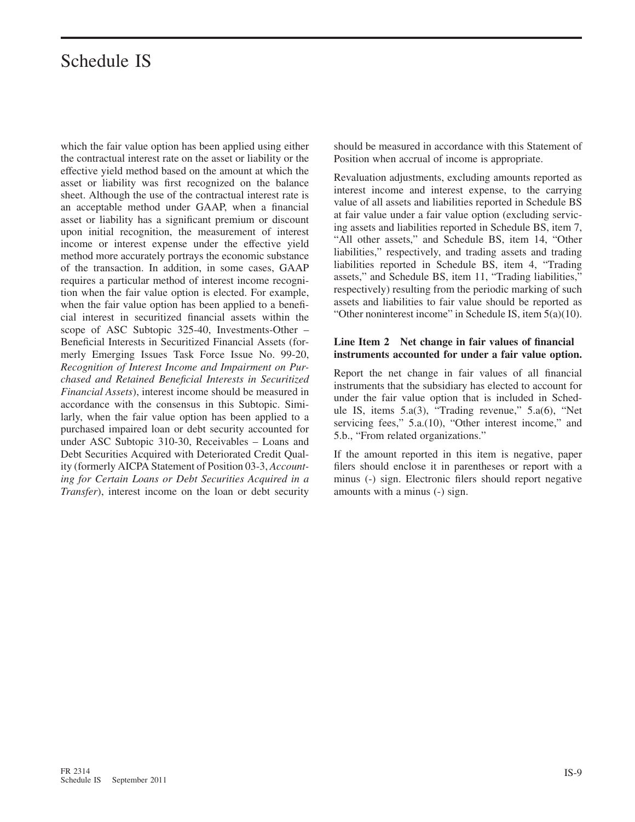which the fair value option has been applied using either the contractual interest rate on the asset or liability or the effective yield method based on the amount at which the asset or liability was first recognized on the balance sheet. Although the use of the contractual interest rate is an acceptable method under GAAP, when a financial asset or liability has a significant premium or discount upon initial recognition, the measurement of interest income or interest expense under the effective yield method more accurately portrays the economic substance of the transaction. In addition, in some cases, GAAP requires a particular method of interest income recognition when the fair value option is elected. For example, when the fair value option has been applied to a beneficial interest in securitized financial assets within the scope of ASC Subtopic 325-40, Investments-Other – Beneficial Interests in Securitized Financial Assets (formerly Emerging Issues Task Force Issue No. 99-20, *Recognition of Interest Income and Impairment on Purchased and Retained Beneficial Interests in Securitized Financial Assets*), interest income should be measured in accordance with the consensus in this Subtopic. Similarly, when the fair value option has been applied to a purchased impaired loan or debt security accounted for under ASC Subtopic 310-30, Receivables – Loans and Debt Securities Acquired with Deteriorated Credit Quality (formerly AICPA Statement of Position 03-3, *Accounting for Certain Loans or Debt Securities Acquired in a Transfer*), interest income on the loan or debt security should be measured in accordance with this Statement of Position when accrual of income is appropriate.

Revaluation adjustments, excluding amounts reported as interest income and interest expense, to the carrying value of all assets and liabilities reported in Schedule BS at fair value under a fair value option (excluding servicing assets and liabilities reported in Schedule BS, item 7, "All other assets," and Schedule BS, item 14, "Other liabilities," respectively, and trading assets and trading liabilities reported in Schedule BS, item 4, "Trading assets," and Schedule BS, item 11, "Trading liabilities," respectively) resulting from the periodic marking of such assets and liabilities to fair value should be reported as "Other noninterest income" in Schedule IS, item 5(a)(10).

#### **Line Item 2 Net change in fair values of financial instruments accounted for under a fair value option.**

Report the net change in fair values of all financial instruments that the subsidiary has elected to account for under the fair value option that is included in Schedule IS, items 5.a(3), "Trading revenue," 5.a(6), "Net servicing fees," 5.a.(10), "Other interest income," and 5.b., "From related organizations."

If the amount reported in this item is negative, paper filers should enclose it in parentheses or report with a minus (-) sign. Electronic filers should report negative amounts with a minus (-) sign.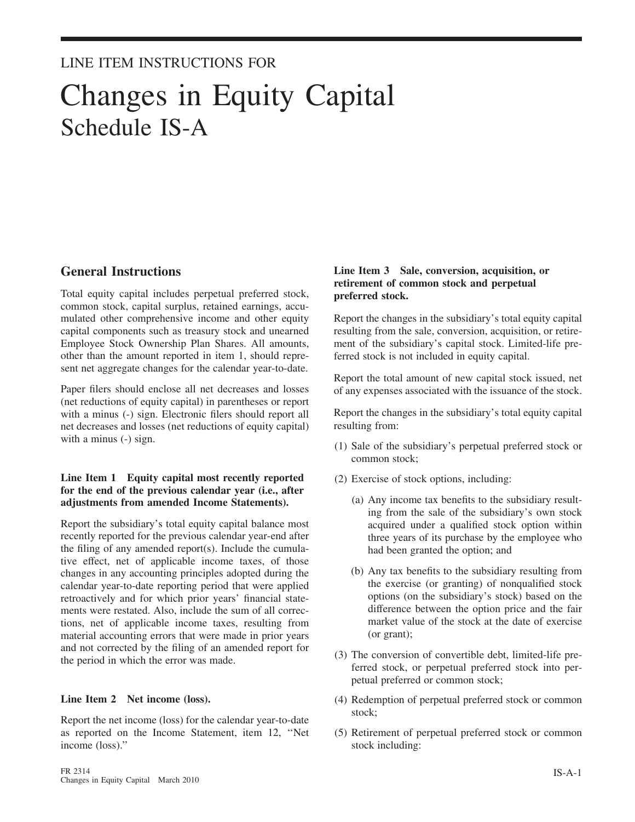### LINE ITEM INSTRUCTIONS FOR

## Changes in Equity Capital Schedule IS-A

#### **General Instructions**

Total equity capital includes perpetual preferred stock, common stock, capital surplus, retained earnings, accumulated other comprehensive income and other equity capital components such as treasury stock and unearned Employee Stock Ownership Plan Shares. All amounts, other than the amount reported in item 1, should represent net aggregate changes for the calendar year-to-date.

Paper filers should enclose all net decreases and losses (net reductions of equity capital) in parentheses or report with a minus (-) sign. Electronic filers should report all net decreases and losses (net reductions of equity capital) with a minus (-) sign.

#### **Line Item 1 Equity capital most recently reported for the end of the previous calendar year (i.e., after adjustments from amended Income Statements).**

Report the subsidiary's total equity capital balance most recently reported for the previous calendar year-end after the filing of any amended report(s). Include the cumulative effect, net of applicable income taxes, of those changes in any accounting principles adopted during the calendar year-to-date reporting period that were applied retroactively and for which prior years' financial statements were restated. Also, include the sum of all corrections, net of applicable income taxes, resulting from material accounting errors that were made in prior years and not corrected by the filing of an amended report for the period in which the error was made.

#### **Line Item 2 Net income (loss).**

Report the net income (loss) for the calendar year-to-date as reported on the Income Statement, item 12, ''Net income (loss).''

#### **Line Item 3 Sale, conversion, acquisition, or retirement of common stock and perpetual preferred stock.**

Report the changes in the subsidiary's total equity capital resulting from the sale, conversion, acquisition, or retirement of the subsidiary's capital stock. Limited-life preferred stock is not included in equity capital.

Report the total amount of new capital stock issued, net of any expenses associated with the issuance of the stock.

Report the changes in the subsidiary's total equity capital resulting from:

- (1) Sale of the subsidiary's perpetual preferred stock or common stock;
- (2) Exercise of stock options, including:
	- (a) Any income tax benefits to the subsidiary resulting from the sale of the subsidiary's own stock acquired under a qualified stock option within three years of its purchase by the employee who had been granted the option; and
	- (b) Any tax benefits to the subsidiary resulting from the exercise (or granting) of nonqualified stock options (on the subsidiary's stock) based on the difference between the option price and the fair market value of the stock at the date of exercise (or grant);
- (3) The conversion of convertible debt, limited-life preferred stock, or perpetual preferred stock into perpetual preferred or common stock;
- (4) Redemption of perpetual preferred stock or common stock;
- (5) Retirement of perpetual preferred stock or common stock including: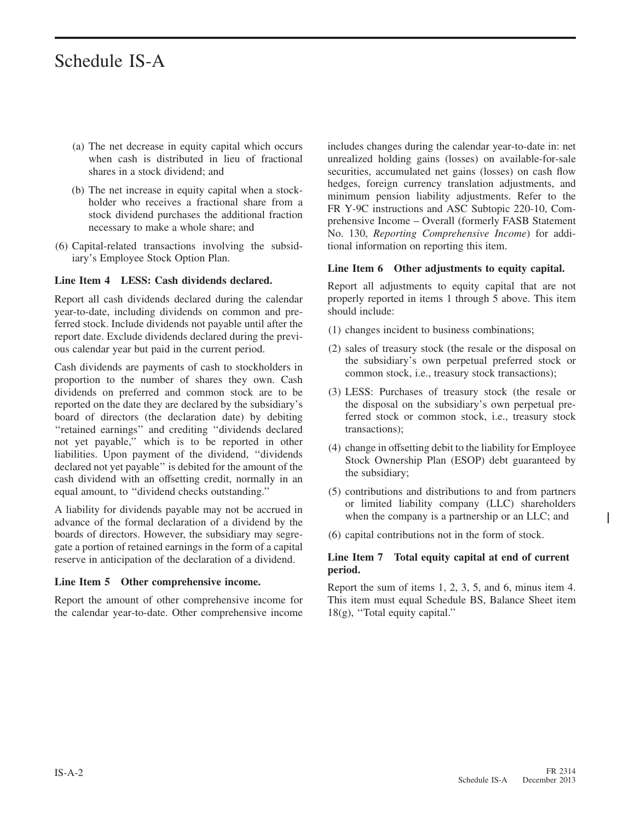- (a) The net decrease in equity capital which occurs when cash is distributed in lieu of fractional shares in a stock dividend; and
- (b) The net increase in equity capital when a stockholder who receives a fractional share from a stock dividend purchases the additional fraction necessary to make a whole share; and
- (6) Capital-related transactions involving the subsidiary's Employee Stock Option Plan.

#### **Line Item 4 LESS: Cash dividends declared.**

Report all cash dividends declared during the calendar year-to-date, including dividends on common and preferred stock. Include dividends not payable until after the report date. Exclude dividends declared during the previous calendar year but paid in the current period.

Cash dividends are payments of cash to stockholders in proportion to the number of shares they own. Cash dividends on preferred and common stock are to be reported on the date they are declared by the subsidiary's board of directors (the declaration date) by debiting ''retained earnings'' and crediting ''dividends declared not yet payable,'' which is to be reported in other liabilities. Upon payment of the dividend, ''dividends declared not yet payable'' is debited for the amount of the cash dividend with an offsetting credit, normally in an equal amount, to ''dividend checks outstanding.''

A liability for dividends payable may not be accrued in advance of the formal declaration of a dividend by the boards of directors. However, the subsidiary may segregate a portion of retained earnings in the form of a capital reserve in anticipation of the declaration of a dividend.

#### **Line Item 5 Other comprehensive income.**

Report the amount of other comprehensive income for the calendar year-to-date. Other comprehensive income includes changes during the calendar year-to-date in: net unrealized holding gains (losses) on available-for-sale securities, accumulated net gains (losses) on cash flow hedges, foreign currency translation adjustments, and minimum pension liability adjustments. Refer to the FR Y-9C instructions and ASC Subtopic 220-10, Comprehensive Income – Overall (formerly FASB Statement No. 130, *Reporting Comprehensive Income*) for additional information on reporting this item.

#### **Line Item 6 Other adjustments to equity capital.**

Report all adjustments to equity capital that are not properly reported in items 1 through 5 above. This item should include:

- (1) changes incident to business combinations;
- (2) sales of treasury stock (the resale or the disposal on the subsidiary's own perpetual preferred stock or common stock, i.e., treasury stock transactions);
- (3) LESS: Purchases of treasury stock (the resale or the disposal on the subsidiary's own perpetual preferred stock or common stock, i.e., treasury stock transactions);
- (4) change in offsetting debit to the liability for Employee Stock Ownership Plan (ESOP) debt guaranteed by the subsidiary;
- (5) contributions and distributions to and from partners or limited liability company (LLC) shareholders when the company is a partnership or an LLC; and
- (6) capital contributions not in the form of stock.

#### **Line Item 7 Total equity capital at end of current period.**

Report the sum of items 1, 2, 3, 5, and 6, minus item 4. This item must equal Schedule BS, Balance Sheet item 18(g), ''Total equity capital.''

ı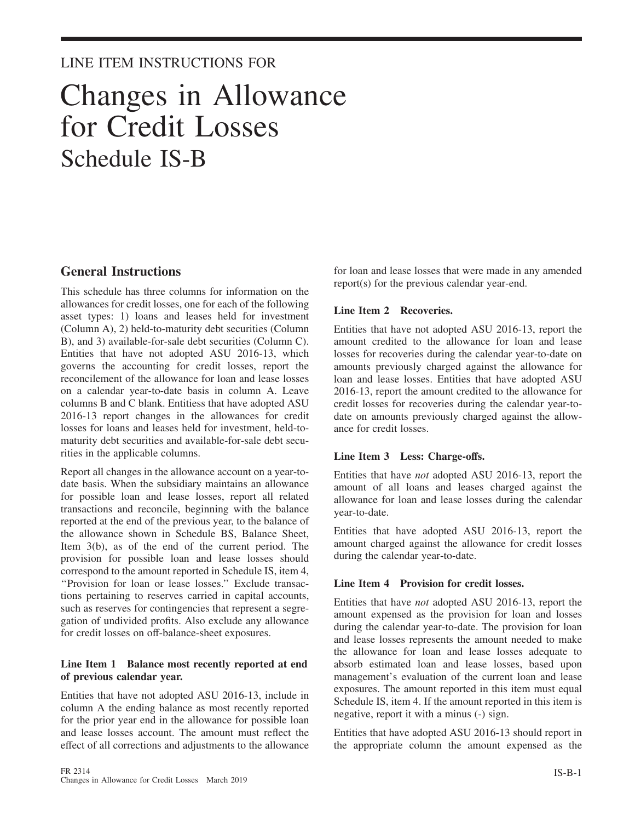#### LINE ITEM INSTRUCTIONS FOR

## Changes in Allowance for Credit Losses Schedule IS-B

#### **General Instructions**

This schedule has three columns for information on the allowances for credit losses, one for each of the following asset types: 1) loans and leases held for investment (Column A), 2) held-to-maturity debt securities (Column B), and 3) available-for-sale debt securities (Column C). Entities that have not adopted ASU 2016-13, which governs the accounting for credit losses, report the reconcilement of the allowance for loan and lease losses on a calendar year-to-date basis in column A. Leave columns B and C blank. Entitiess that have adopted ASU 2016-13 report changes in the allowances for credit losses for loans and leases held for investment, held-tomaturity debt securities and available-for-sale debt securities in the applicable columns.

Report all changes in the allowance account on a year-todate basis. When the subsidiary maintains an allowance for possible loan and lease losses, report all related transactions and reconcile, beginning with the balance reported at the end of the previous year, to the balance of the allowance shown in Schedule BS, Balance Sheet, Item 3(b), as of the end of the current period. The provision for possible loan and lease losses should correspond to the amount reported in Schedule IS, item 4, ''Provision for loan or lease losses.'' Exclude transactions pertaining to reserves carried in capital accounts, such as reserves for contingencies that represent a segregation of undivided profits. Also exclude any allowance for credit losses on off-balance-sheet exposures.

#### **Line Item 1 Balance most recently reported at end of previous calendar year.**

Entities that have not adopted ASU 2016-13, include in column A the ending balance as most recently reported for the prior year end in the allowance for possible loan and lease losses account. The amount must reflect the effect of all corrections and adjustments to the allowance

for loan and lease losses that were made in any amended report(s) for the previous calendar year-end.

#### **Line Item 2 Recoveries.**

Entities that have not adopted ASU 2016-13, report the amount credited to the allowance for loan and lease losses for recoveries during the calendar year-to-date on amounts previously charged against the allowance for loan and lease losses. Entities that have adopted ASU 2016-13, report the amount credited to the allowance for credit losses for recoveries during the calendar year-todate on amounts previously charged against the allowance for credit losses.

#### **Line Item 3 Less: Charge-offs.**

Entities that have *not* adopted ASU 2016-13, report the amount of all loans and leases charged against the allowance for loan and lease losses during the calendar year-to-date.

Entities that have adopted ASU 2016-13, report the amount charged against the allowance for credit losses during the calendar year-to-date.

#### **Line Item 4 Provision for credit losses.**

Entities that have *not* adopted ASU 2016-13, report the amount expensed as the provision for loan and losses during the calendar year-to-date. The provision for loan and lease losses represents the amount needed to make the allowance for loan and lease losses adequate to absorb estimated loan and lease losses, based upon management's evaluation of the current loan and lease exposures. The amount reported in this item must equal Schedule IS, item 4. If the amount reported in this item is negative, report it with a minus (-) sign.

Entities that have adopted ASU 2016-13 should report in the appropriate column the amount expensed as the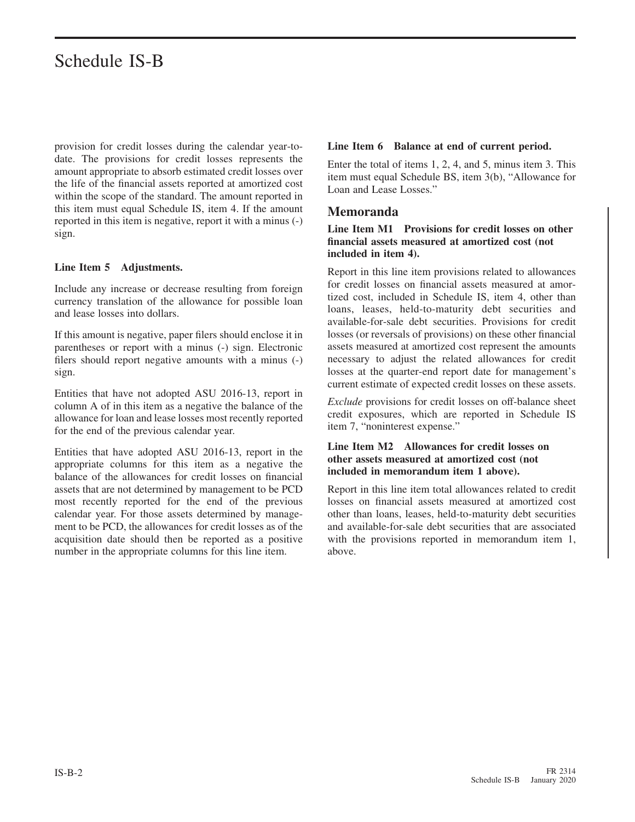provision for credit losses during the calendar year-todate. The provisions for credit losses represents the amount appropriate to absorb estimated credit losses over the life of the financial assets reported at amortized cost within the scope of the standard. The amount reported in this item must equal Schedule IS, item 4. If the amount reported in this item is negative, report it with a minus (-) sign.

#### **Line Item 5 Adjustments.**

Include any increase or decrease resulting from foreign currency translation of the allowance for possible loan and lease losses into dollars.

If this amount is negative, paper filers should enclose it in parentheses or report with a minus (-) sign. Electronic filers should report negative amounts with a minus (-) sign.

Entities that have not adopted ASU 2016-13, report in column A of in this item as a negative the balance of the allowance for loan and lease losses most recently reported for the end of the previous calendar year.

Entities that have adopted ASU 2016-13, report in the appropriate columns for this item as a negative the balance of the allowances for credit losses on financial assets that are not determined by management to be PCD most recently reported for the end of the previous calendar year. For those assets determined by management to be PCD, the allowances for credit losses as of the acquisition date should then be reported as a positive number in the appropriate columns for this line item.

#### **Line Item 6 Balance at end of current period.**

Enter the total of items 1, 2, 4, and 5, minus item 3. This item must equal Schedule BS, item 3(b), "Allowance for Loan and Lease Losses."

#### **Memoranda**

#### **Line Item M1 Provisions for credit losses on other financial assets measured at amortized cost (not included in item 4).**

Report in this line item provisions related to allowances for credit losses on financial assets measured at amortized cost, included in Schedule IS, item 4, other than loans, leases, held-to-maturity debt securities and available-for-sale debt securities. Provisions for credit losses (or reversals of provisions) on these other financial assets measured at amortized cost represent the amounts necessary to adjust the related allowances for credit losses at the quarter-end report date for management's current estimate of expected credit losses on these assets.

*Exclude* provisions for credit losses on off-balance sheet credit exposures, which are reported in Schedule IS item 7, "noninterest expense."

#### **Line Item M2 Allowances for credit losses on other assets measured at amortized cost (not included in memorandum item 1 above).**

Report in this line item total allowances related to credit losses on financial assets measured at amortized cost other than loans, leases, held-to-maturity debt securities and available-for-sale debt securities that are associated with the provisions reported in memorandum item 1, above.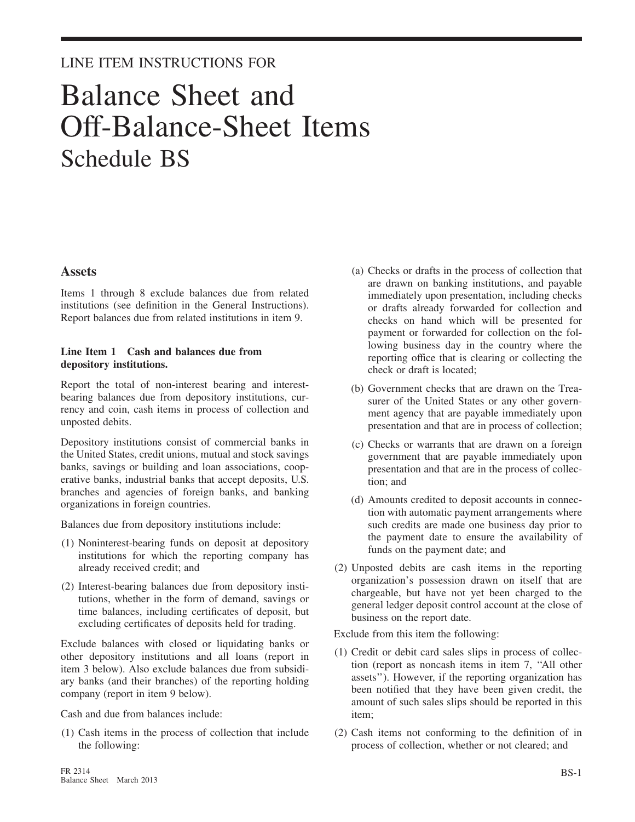### LINE ITEM INSTRUCTIONS FOR

## Balance Sheet and Off-Balance-Sheet Items Schedule BS

#### **Assets**

Items 1 through 8 exclude balances due from related institutions (see definition in the General Instructions). Report balances due from related institutions in item 9.

#### **Line Item 1 Cash and balances due from depository institutions.**

Report the total of non-interest bearing and interestbearing balances due from depository institutions, currency and coin, cash items in process of collection and unposted debits.

Depository institutions consist of commercial banks in the United States, credit unions, mutual and stock savings banks, savings or building and loan associations, cooperative banks, industrial banks that accept deposits, U.S. branches and agencies of foreign banks, and banking organizations in foreign countries.

Balances due from depository institutions include:

- (1) Noninterest-bearing funds on deposit at depository institutions for which the reporting company has already received credit; and
- (2) Interest-bearing balances due from depository institutions, whether in the form of demand, savings or time balances, including certificates of deposit, but excluding certificates of deposits held for trading.

Exclude balances with closed or liquidating banks or other depository institutions and all loans (report in item 3 below). Also exclude balances due from subsidiary banks (and their branches) of the reporting holding company (report in item 9 below).

Cash and due from balances include:

(1) Cash items in the process of collection that include the following:

- (a) Checks or drafts in the process of collection that are drawn on banking institutions, and payable immediately upon presentation, including checks or drafts already forwarded for collection and checks on hand which will be presented for payment or forwarded for collection on the following business day in the country where the reporting office that is clearing or collecting the check or draft is located;
- (b) Government checks that are drawn on the Treasurer of the United States or any other government agency that are payable immediately upon presentation and that are in process of collection;
- (c) Checks or warrants that are drawn on a foreign government that are payable immediately upon presentation and that are in the process of collection; and
- (d) Amounts credited to deposit accounts in connection with automatic payment arrangements where such credits are made one business day prior to the payment date to ensure the availability of funds on the payment date; and
- (2) Unposted debits are cash items in the reporting organization's possession drawn on itself that are chargeable, but have not yet been charged to the general ledger deposit control account at the close of business on the report date.

Exclude from this item the following:

- (1) Credit or debit card sales slips in process of collection (report as noncash items in item 7, ''All other assets''). However, if the reporting organization has been notified that they have been given credit, the amount of such sales slips should be reported in this item;
- (2) Cash items not conforming to the definition of in process of collection, whether or not cleared; and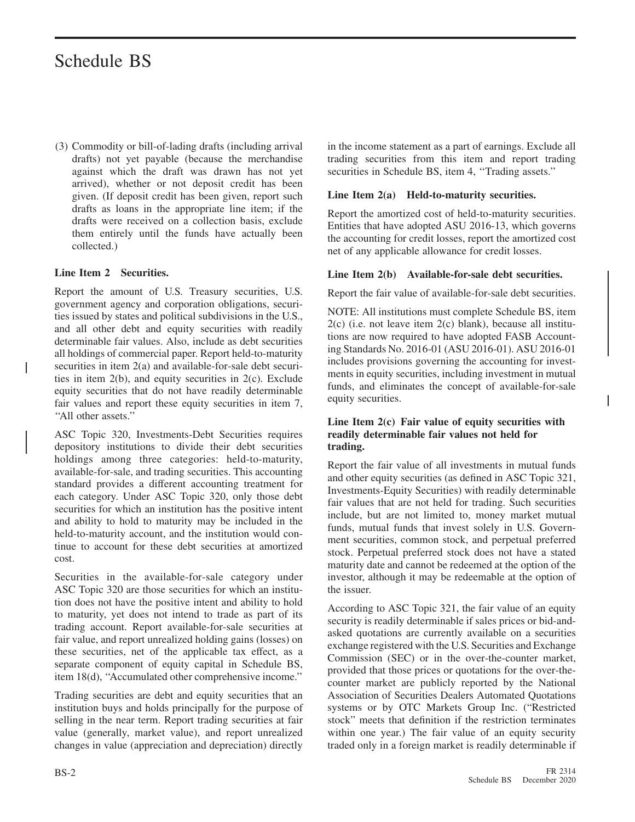(3) Commodity or bill-of-lading drafts (including arrival drafts) not yet payable (because the merchandise against which the draft was drawn has not yet arrived), whether or not deposit credit has been given. (If deposit credit has been given, report such drafts as loans in the appropriate line item; if the drafts were received on a collection basis, exclude them entirely until the funds have actually been collected.)

#### **Line Item 2 Securities.**

Report the amount of U.S. Treasury securities, U.S. government agency and corporation obligations, securities issued by states and political subdivisions in the U.S., and all other debt and equity securities with readily determinable fair values. Also, include as debt securities all holdings of commercial paper. Report held-to-maturity securities in item 2(a) and available-for-sale debt securities in item 2(b), and equity securities in 2(c). Exclude equity securities that do not have readily determinable fair values and report these equity securities in item 7, ''All other assets.''

ASC Topic 320, Investments-Debt Securities requires depository institutions to divide their debt securities holdings among three categories: held-to-maturity, available-for-sale, and trading securities. This accounting standard provides a different accounting treatment for each category. Under ASC Topic 320, only those debt securities for which an institution has the positive intent and ability to hold to maturity may be included in the held-to-maturity account, and the institution would continue to account for these debt securities at amortized cost.

Securities in the available-for-sale category under ASC Topic 320 are those securities for which an institution does not have the positive intent and ability to hold to maturity, yet does not intend to trade as part of its trading account. Report available-for-sale securities at fair value, and report unrealized holding gains (losses) on these securities, net of the applicable tax effect, as a separate component of equity capital in Schedule BS, item 18(d), ''Accumulated other comprehensive income.''

Trading securities are debt and equity securities that an institution buys and holds principally for the purpose of selling in the near term. Report trading securities at fair value (generally, market value), and report unrealized changes in value (appreciation and depreciation) directly

in the income statement as a part of earnings. Exclude all trading securities from this item and report trading securities in Schedule BS, item 4, ''Trading assets.''

#### **Line Item 2(a) Held-to-maturity securities.**

Report the amortized cost of held-to-maturity securities. Entities that have adopted ASU 2016-13, which governs the accounting for credit losses, report the amortized cost net of any applicable allowance for credit losses.

#### **Line Item 2(b) Available-for-sale debt securities.**

Report the fair value of available-for-sale debt securities.

NOTE: All institutions must complete Schedule BS, item 2(c) (i.e. not leave item 2(c) blank), because all institutions are now required to have adopted FASB Accounting Standards No. 2016-01 (ASU 2016-01). ASU 2016-01 includes provisions governing the accounting for investments in equity securities, including investment in mutual funds, and eliminates the concept of available-for-sale equity securities.

#### **Line Item 2(c) Fair value of equity securities with readily determinable fair values not held for trading.**

Report the fair value of all investments in mutual funds and other equity securities (as defined in ASC Topic 321, Investments-Equity Securities) with readily determinable fair values that are not held for trading. Such securities include, but are not limited to, money market mutual funds, mutual funds that invest solely in U.S. Government securities, common stock, and perpetual preferred stock. Perpetual preferred stock does not have a stated maturity date and cannot be redeemed at the option of the investor, although it may be redeemable at the option of the issuer.

According to ASC Topic 321, the fair value of an equity security is readily determinable if sales prices or bid-andasked quotations are currently available on a securities exchange registered with the U.S. Securities and Exchange Commission (SEC) or in the over-the-counter market, provided that those prices or quotations for the over-thecounter market are publicly reported by the National Association of Securities Dealers Automated Quotations systems or by OTC Markets Group Inc. ("Restricted stock" meets that definition if the restriction terminates within one year.) The fair value of an equity security traded only in a foreign market is readily determinable if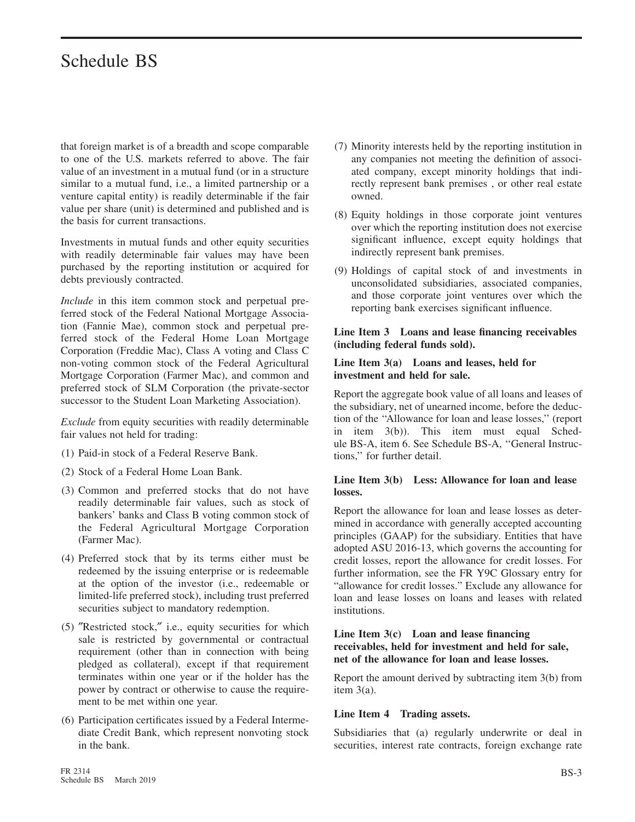that foreign market is of a breadth and scope comparable to one of the U.S. markets referred to above. The fair value of an investment in a mutual fund (or in a structure similar to a mutual fund, i.e., a limited partnership or a venture capital entity) is readily determinable if the fair value per share (unit) is determined and published and is the basis for current transactions.

Investments in mutual funds and other equity securities with readily determinable fair values may have been purchased by the reporting institution or acquired for debts previously contracted.

*Include* in this item common stock and perpetual preferred stock of the Federal National Mortgage Association (Fannie Mae), common stock and perpetual preferred stock of the Federal Home Loan Mortgage Corporation (Freddie Mac), Class A voting and Class C non-voting common stock of the Federal Agricultural Mortgage Corporation (Farmer Mac), and common and preferred stock of SLM Corporation (the private-sector successor to the Student Loan Marketing Association).

*Exclude* from equity securities with readily determinable fair values not held for trading:

- (1) Paid-in stock of a Federal Reserve Bank.
- (2) Stock of a Federal Home Loan Bank.
- (3) Common and preferred stocks that do not have readily determinable fair values, such as stock of bankers' banks and Class B voting common stock of the Federal Agricultural Mortgage Corporation (Farmer Mac).
- (4) Preferred stock that by its terms either must be redeemed by the issuing enterprise or is redeemable at the option of the investor (i.e., redeemable or limited-life preferred stock), including trust preferred securities subject to mandatory redemption.
- (5) ″Restricted stock,″ i.e., equity securities for which sale is restricted by governmental or contractual requirement (other than in connection with being pledged as collateral), except if that requirement terminates within one year or if the holder has the power by contract or otherwise to cause the requirement to be met within one year.
- (6) Participation certificates issued by a Federal Intermediate Credit Bank, which represent nonvoting stock in the bank.
- (7) Minority interests held by the reporting institution in any companies not meeting the definition of associated company, except minority holdings that indirectly represent bank premises , or other real estate owned.
- (8) Equity holdings in those corporate joint ventures over which the reporting institution does not exercise significant influence, except equity holdings that indirectly represent bank premises.
- (9) Holdings of capital stock of and investments in unconsolidated subsidiaries, associated companies, and those corporate joint ventures over which the reporting bank exercises significant influence.

#### **Line Item 3 Loans and lease financing receivables (including federal funds sold).**

#### **Line Item 3(a) Loans and leases, held for investment and held for sale.**

Report the aggregate book value of all loans and leases of the subsidiary, net of unearned income, before the deduction of the ''Allowance for loan and lease losses,'' (report in item 3(b)). This item must equal Schedule BS-A, item 6. See Schedule BS-A, ''General Instructions,'' for further detail.

#### **Line Item 3(b) Less: Allowance for loan and lease losses.**

Report the allowance for loan and lease losses as determined in accordance with generally accepted accounting principles (GAAP) for the subsidiary. Entities that have adopted ASU 2016-13, which governs the accounting for credit losses, report the allowance for credit losses. For further information, see the FR Y9C Glossary entry for "allowance for credit losses." Exclude any allowance for loan and lease losses on loans and leases with related institutions.

#### **Line Item 3(c) Loan and lease financing receivables, held for investment and held for sale, net of the allowance for loan and lease losses.**

Report the amount derived by subtracting item 3(b) from item 3(a).

#### **Line Item 4 Trading assets.**

Subsidiaries that (a) regularly underwrite or deal in securities, interest rate contracts, foreign exchange rate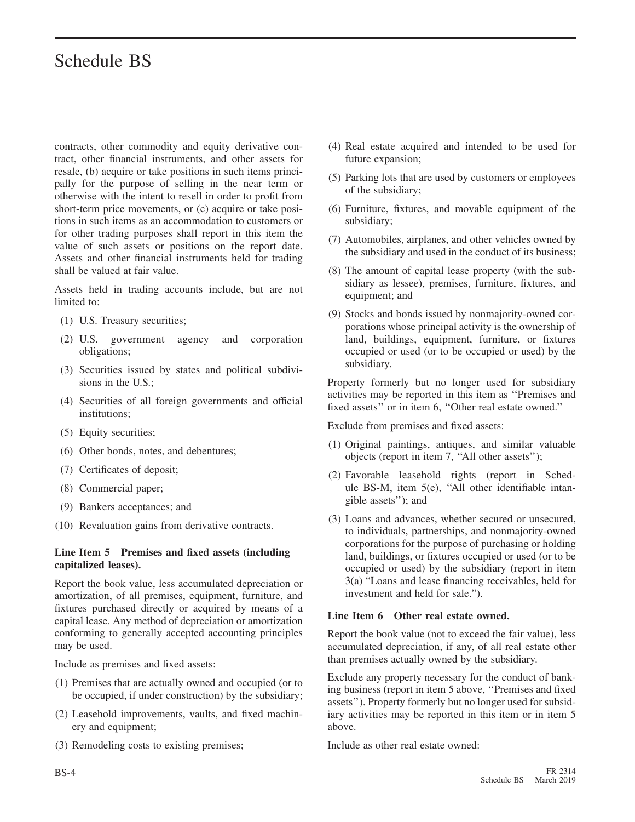contracts, other commodity and equity derivative contract, other financial instruments, and other assets for resale, (b) acquire or take positions in such items principally for the purpose of selling in the near term or otherwise with the intent to resell in order to profit from short-term price movements, or (c) acquire or take positions in such items as an accommodation to customers or for other trading purposes shall report in this item the value of such assets or positions on the report date. Assets and other financial instruments held for trading shall be valued at fair value.

Assets held in trading accounts include, but are not limited to:

- (1) U.S. Treasury securities;
- (2) U.S. government agency and corporation obligations;
- (3) Securities issued by states and political subdivisions in the U.S.;
- (4) Securities of all foreign governments and official institutions;
- (5) Equity securities;
- (6) Other bonds, notes, and debentures;
- (7) Certificates of deposit;
- (8) Commercial paper;
- (9) Bankers acceptances; and
- (10) Revaluation gains from derivative contracts.

#### **Line Item 5 Premises and fixed assets (including capitalized leases).**

Report the book value, less accumulated depreciation or amortization, of all premises, equipment, furniture, and fixtures purchased directly or acquired by means of a capital lease. Any method of depreciation or amortization conforming to generally accepted accounting principles may be used.

Include as premises and fixed assets:

- (1) Premises that are actually owned and occupied (or to be occupied, if under construction) by the subsidiary;
- (2) Leasehold improvements, vaults, and fixed machinery and equipment;
- (3) Remodeling costs to existing premises;
- (4) Real estate acquired and intended to be used for future expansion;
- (5) Parking lots that are used by customers or employees of the subsidiary;
- (6) Furniture, fixtures, and movable equipment of the subsidiary;
- (7) Automobiles, airplanes, and other vehicles owned by the subsidiary and used in the conduct of its business;
- (8) The amount of capital lease property (with the subsidiary as lessee), premises, furniture, fixtures, and equipment; and
- (9) Stocks and bonds issued by nonmajority-owned corporations whose principal activity is the ownership of land, buildings, equipment, furniture, or fixtures occupied or used (or to be occupied or used) by the subsidiary.

Property formerly but no longer used for subsidiary activities may be reported in this item as ''Premises and fixed assets'' or in item 6, ''Other real estate owned.''

Exclude from premises and fixed assets:

- (1) Original paintings, antiques, and similar valuable objects (report in item 7, ''All other assets'');
- (2) Favorable leasehold rights (report in Schedule BS-M, item 5(e), ''All other identifiable intangible assets''); and
- (3) Loans and advances, whether secured or unsecured, to individuals, partnerships, and nonmajority-owned corporations for the purpose of purchasing or holding land, buildings, or fixtures occupied or used (or to be occupied or used) by the subsidiary (report in item 3(a) "Loans and lease financing receivables, held for investment and held for sale.").

#### **Line Item 6 Other real estate owned.**

Report the book value (not to exceed the fair value), less accumulated depreciation, if any, of all real estate other than premises actually owned by the subsidiary.

Exclude any property necessary for the conduct of banking business (report in item 5 above, ''Premises and fixed assets''). Property formerly but no longer used for subsidiary activities may be reported in this item or in item 5 above.

Include as other real estate owned: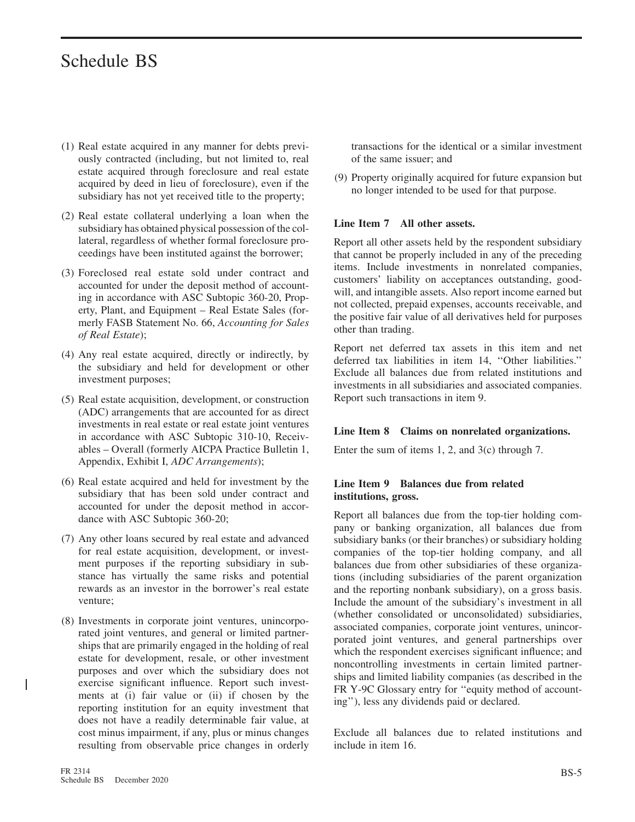- (1) Real estate acquired in any manner for debts previously contracted (including, but not limited to, real estate acquired through foreclosure and real estate acquired by deed in lieu of foreclosure), even if the subsidiary has not yet received title to the property;
- (2) Real estate collateral underlying a loan when the subsidiary has obtained physical possession of the collateral, regardless of whether formal foreclosure proceedings have been instituted against the borrower;
- (3) Foreclosed real estate sold under contract and accounted for under the deposit method of accounting in accordance with ASC Subtopic 360-20, Property, Plant, and Equipment – Real Estate Sales (formerly FASB Statement No. 66, *Accounting for Sales of Real Estate*);
- (4) Any real estate acquired, directly or indirectly, by the subsidiary and held for development or other investment purposes;
- (5) Real estate acquisition, development, or construction (ADC) arrangements that are accounted for as direct investments in real estate or real estate joint ventures in accordance with ASC Subtopic 310-10, Receivables – Overall (formerly AICPA Practice Bulletin 1, Appendix, Exhibit I, *ADC Arrangements*);
- (6) Real estate acquired and held for investment by the subsidiary that has been sold under contract and accounted for under the deposit method in accordance with ASC Subtopic 360-20;
- (7) Any other loans secured by real estate and advanced for real estate acquisition, development, or investment purposes if the reporting subsidiary in substance has virtually the same risks and potential rewards as an investor in the borrower's real estate venture;
- (8) Investments in corporate joint ventures, unincorporated joint ventures, and general or limited partnerships that are primarily engaged in the holding of real estate for development, resale, or other investment purposes and over which the subsidiary does not exercise significant influence. Report such investments at (i) fair value or (ii) if chosen by the reporting institution for an equity investment that does not have a readily determinable fair value, at cost minus impairment, if any, plus or minus changes resulting from observable price changes in orderly

transactions for the identical or a similar investment of the same issuer; and

(9) Property originally acquired for future expansion but no longer intended to be used for that purpose.

#### **Line Item 7 All other assets.**

Report all other assets held by the respondent subsidiary that cannot be properly included in any of the preceding items. Include investments in nonrelated companies, customers' liability on acceptances outstanding, goodwill, and intangible assets. Also report income earned but not collected, prepaid expenses, accounts receivable, and the positive fair value of all derivatives held for purposes other than trading.

Report net deferred tax assets in this item and net deferred tax liabilities in item 14, ''Other liabilities.'' Exclude all balances due from related institutions and investments in all subsidiaries and associated companies. Report such transactions in item 9.

#### **Line Item 8 Claims on nonrelated organizations.**

Enter the sum of items 1, 2, and 3(c) through 7.

#### **Line Item 9 Balances due from related institutions, gross.**

Report all balances due from the top-tier holding company or banking organization, all balances due from subsidiary banks (or their branches) or subsidiary holding companies of the top-tier holding company, and all balances due from other subsidiaries of these organizations (including subsidiaries of the parent organization and the reporting nonbank subsidiary), on a gross basis. Include the amount of the subsidiary's investment in all (whether consolidated or unconsolidated) subsidiaries, associated companies, corporate joint ventures, unincorporated joint ventures, and general partnerships over which the respondent exercises significant influence; and noncontrolling investments in certain limited partnerships and limited liability companies (as described in the FR Y-9C Glossary entry for "equity method of accounting''), less any dividends paid or declared.

Exclude all balances due to related institutions and include in item 16.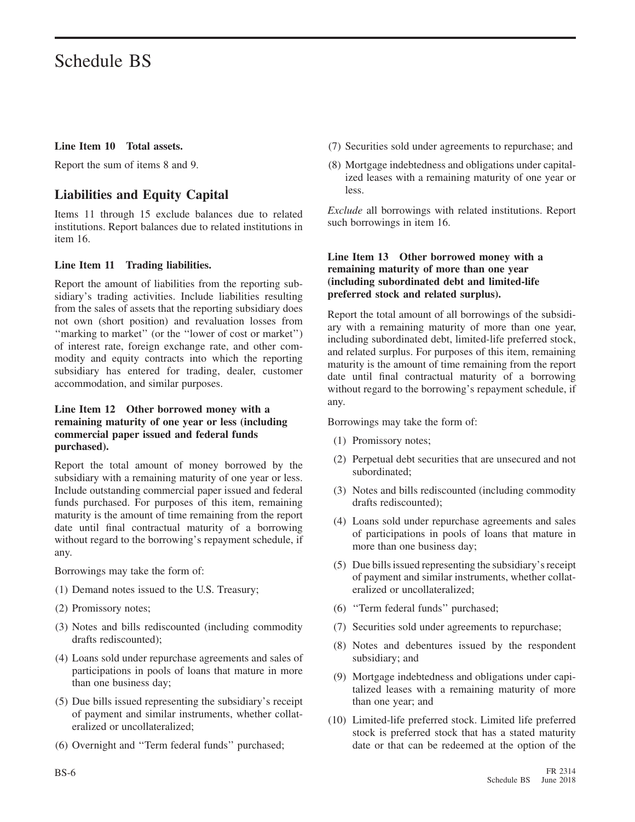#### **Line Item 10 Total assets.**

Report the sum of items 8 and 9.

#### **Liabilities and Equity Capital**

Items 11 through 15 exclude balances due to related institutions. Report balances due to related institutions in item 16.

#### **Line Item 11 Trading liabilities.**

Report the amount of liabilities from the reporting subsidiary's trading activities. Include liabilities resulting from the sales of assets that the reporting subsidiary does not own (short position) and revaluation losses from ''marking to market'' (or the ''lower of cost or market'') of interest rate, foreign exchange rate, and other commodity and equity contracts into which the reporting subsidiary has entered for trading, dealer, customer accommodation, and similar purposes.

#### **Line Item 12 Other borrowed money with a remaining maturity of one year or less (including commercial paper issued and federal funds purchased).**

Report the total amount of money borrowed by the subsidiary with a remaining maturity of one year or less. Include outstanding commercial paper issued and federal funds purchased. For purposes of this item, remaining maturity is the amount of time remaining from the report date until final contractual maturity of a borrowing without regard to the borrowing's repayment schedule, if any.

Borrowings may take the form of:

- (1) Demand notes issued to the U.S. Treasury;
- (2) Promissory notes;
- (3) Notes and bills rediscounted (including commodity drafts rediscounted);
- (4) Loans sold under repurchase agreements and sales of participations in pools of loans that mature in more than one business day;
- (5) Due bills issued representing the subsidiary's receipt of payment and similar instruments, whether collateralized or uncollateralized;
- (6) Overnight and ''Term federal funds'' purchased;
- (7) Securities sold under agreements to repurchase; and
- (8) Mortgage indebtedness and obligations under capitalized leases with a remaining maturity of one year or less.

*Exclude* all borrowings with related institutions. Report such borrowings in item 16.

#### **Line Item 13 Other borrowed money with a remaining maturity of more than one year (including subordinated debt and limited-life preferred stock and related surplus).**

Report the total amount of all borrowings of the subsidiary with a remaining maturity of more than one year, including subordinated debt, limited-life preferred stock, and related surplus. For purposes of this item, remaining maturity is the amount of time remaining from the report date until final contractual maturity of a borrowing without regard to the borrowing's repayment schedule, if any.

Borrowings may take the form of:

- (1) Promissory notes;
- (2) Perpetual debt securities that are unsecured and not subordinated;
- (3) Notes and bills rediscounted (including commodity drafts rediscounted);
- (4) Loans sold under repurchase agreements and sales of participations in pools of loans that mature in more than one business day;
- (5) Due bills issued representing the subsidiary's receipt of payment and similar instruments, whether collateralized or uncollateralized;
- (6) ''Term federal funds'' purchased;
- (7) Securities sold under agreements to repurchase;
- (8) Notes and debentures issued by the respondent subsidiary; and
- (9) Mortgage indebtedness and obligations under capitalized leases with a remaining maturity of more than one year; and
- (10) Limited-life preferred stock. Limited life preferred stock is preferred stock that has a stated maturity date or that can be redeemed at the option of the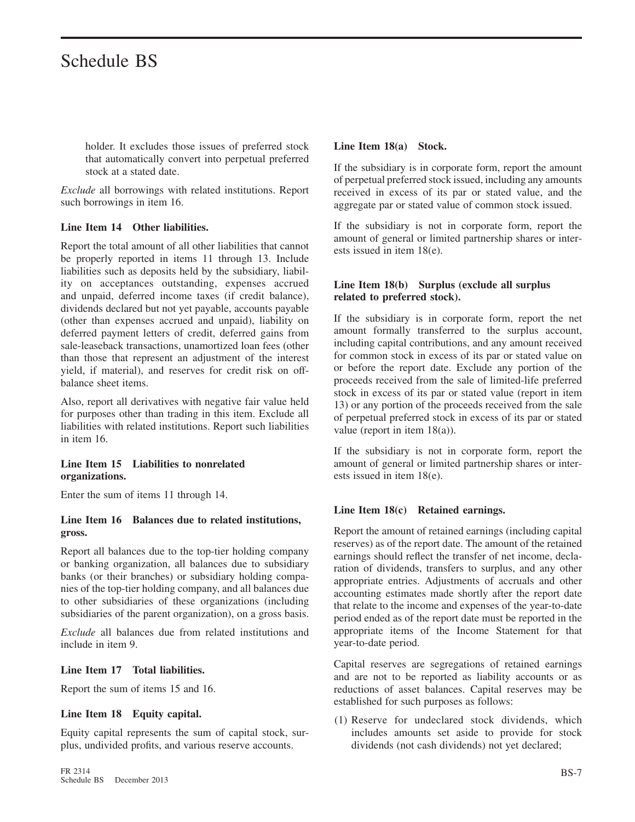holder. It excludes those issues of preferred stock that automatically convert into perpetual preferred stock at a stated date.

*Exclude* all borrowings with related institutions. Report such borrowings in item 16.

#### **Line Item 14 Other liabilities.**

Report the total amount of all other liabilities that cannot be properly reported in items 11 through 13. Include liabilities such as deposits held by the subsidiary, liability on acceptances outstanding, expenses accrued and unpaid, deferred income taxes (if credit balance), dividends declared but not yet payable, accounts payable (other than expenses accrued and unpaid), liability on deferred payment letters of credit, deferred gains from sale-leaseback transactions, unamortized loan fees (other than those that represent an adjustment of the interest yield, if material), and reserves for credit risk on offbalance sheet items.

Also, report all derivatives with negative fair value held for purposes other than trading in this item. Exclude all liabilities with related institutions. Report such liabilities in item 16.

#### **Line Item 15 Liabilities to nonrelated organizations.**

Enter the sum of items 11 through 14.

#### **Line Item 16 Balances due to related institutions, gross.**

Report all balances due to the top-tier holding company or banking organization, all balances due to subsidiary banks (or their branches) or subsidiary holding companies of the top-tier holding company, and all balances due to other subsidiaries of these organizations (including subsidiaries of the parent organization), on a gross basis.

*Exclude* all balances due from related institutions and include in item 9.

#### **Line Item 17 Total liabilities.**

Report the sum of items 15 and 16.

#### **Line Item 18 Equity capital.**

Equity capital represents the sum of capital stock, surplus, undivided profits, and various reserve accounts.

#### **Line Item 18(a) Stock.**

If the subsidiary is in corporate form, report the amount of perpetual preferred stock issued, including any amounts received in excess of its par or stated value, and the aggregate par or stated value of common stock issued.

If the subsidiary is not in corporate form, report the amount of general or limited partnership shares or interests issued in item 18(e).

#### **Line Item 18(b) Surplus (exclude all surplus related to preferred stock).**

If the subsidiary is in corporate form, report the net amount formally transferred to the surplus account, including capital contributions, and any amount received for common stock in excess of its par or stated value on or before the report date. Exclude any portion of the proceeds received from the sale of limited-life preferred stock in excess of its par or stated value (report in item 13) or any portion of the proceeds received from the sale of perpetual preferred stock in excess of its par or stated value (report in item 18(a)).

If the subsidiary is not in corporate form, report the amount of general or limited partnership shares or interests issued in item 18(e).

#### **Line Item 18(c) Retained earnings.**

Report the amount of retained earnings (including capital reserves) as of the report date. The amount of the retained earnings should reflect the transfer of net income, declaration of dividends, transfers to surplus, and any other appropriate entries. Adjustments of accruals and other accounting estimates made shortly after the report date that relate to the income and expenses of the year-to-date period ended as of the report date must be reported in the appropriate items of the Income Statement for that year-to-date period.

Capital reserves are segregations of retained earnings and are not to be reported as liability accounts or as reductions of asset balances. Capital reserves may be established for such purposes as follows:

(1) Reserve for undeclared stock dividends, which includes amounts set aside to provide for stock dividends (not cash dividends) not yet declared;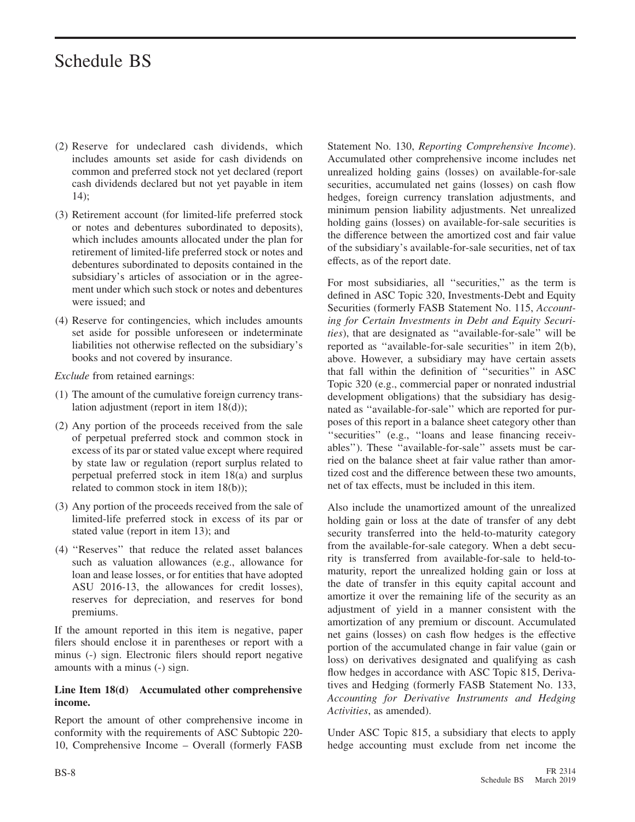- (2) Reserve for undeclared cash dividends, which includes amounts set aside for cash dividends on common and preferred stock not yet declared (report cash dividends declared but not yet payable in item 14);
- (3) Retirement account (for limited-life preferred stock or notes and debentures subordinated to deposits), which includes amounts allocated under the plan for retirement of limited-life preferred stock or notes and debentures subordinated to deposits contained in the subsidiary's articles of association or in the agreement under which such stock or notes and debentures were issued; and
- (4) Reserve for contingencies, which includes amounts set aside for possible unforeseen or indeterminate liabilities not otherwise reflected on the subsidiary's books and not covered by insurance.

*Exclude* from retained earnings:

- (1) The amount of the cumulative foreign currency translation adjustment (report in item 18(d));
- (2) Any portion of the proceeds received from the sale of perpetual preferred stock and common stock in excess of its par or stated value except where required by state law or regulation (report surplus related to perpetual preferred stock in item 18(a) and surplus related to common stock in item 18(b));
- (3) Any portion of the proceeds received from the sale of limited-life preferred stock in excess of its par or stated value (report in item 13); and
- (4) ''Reserves'' that reduce the related asset balances such as valuation allowances (e.g., allowance for loan and lease losses, or for entities that have adopted ASU 2016-13, the allowances for credit losses), reserves for depreciation, and reserves for bond premiums.

If the amount reported in this item is negative, paper filers should enclose it in parentheses or report with a minus (-) sign. Electronic filers should report negative amounts with a minus (-) sign.

#### **Line Item 18(d) Accumulated other comprehensive income.**

Report the amount of other comprehensive income in conformity with the requirements of ASC Subtopic 220- 10, Comprehensive Income – Overall (formerly FASB

Statement No. 130, *Reporting Comprehensive Income*). Accumulated other comprehensive income includes net unrealized holding gains (losses) on available-for-sale securities, accumulated net gains (losses) on cash flow hedges, foreign currency translation adjustments, and minimum pension liability adjustments. Net unrealized holding gains (losses) on available-for-sale securities is the difference between the amortized cost and fair value of the subsidiary's available-for-sale securities, net of tax effects, as of the report date.

For most subsidiaries, all ''securities,'' as the term is defined in ASC Topic 320, Investments-Debt and Equity Securities (formerly FASB Statement No. 115, *Accounting for Certain Investments in Debt and Equity Securities*), that are designated as ''available-for-sale'' will be reported as ''available-for-sale securities'' in item 2(b), above. However, a subsidiary may have certain assets that fall within the definition of ''securities'' in ASC Topic 320 (e.g., commercial paper or nonrated industrial development obligations) that the subsidiary has designated as ''available-for-sale'' which are reported for purposes of this report in a balance sheet category other than ''securities'' (e.g., ''loans and lease financing receivables''). These ''available-for-sale'' assets must be carried on the balance sheet at fair value rather than amortized cost and the difference between these two amounts, net of tax effects, must be included in this item.

Also include the unamortized amount of the unrealized holding gain or loss at the date of transfer of any debt security transferred into the held-to-maturity category from the available-for-sale category. When a debt security is transferred from available-for-sale to held-tomaturity, report the unrealized holding gain or loss at the date of transfer in this equity capital account and amortize it over the remaining life of the security as an adjustment of yield in a manner consistent with the amortization of any premium or discount. Accumulated net gains (losses) on cash flow hedges is the effective portion of the accumulated change in fair value (gain or loss) on derivatives designated and qualifying as cash flow hedges in accordance with ASC Topic 815, Derivatives and Hedging (formerly FASB Statement No. 133, *Accounting for Derivative Instruments and Hedging Activities*, as amended).

Under ASC Topic 815, a subsidiary that elects to apply hedge accounting must exclude from net income the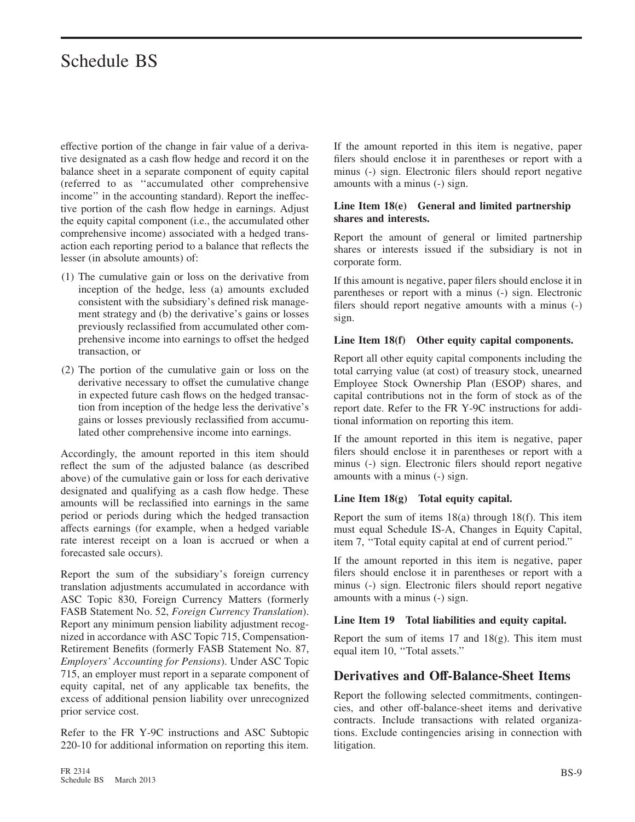effective portion of the change in fair value of a derivative designated as a cash flow hedge and record it on the balance sheet in a separate component of equity capital (referred to as ''accumulated other comprehensive income'' in the accounting standard). Report the ineffective portion of the cash flow hedge in earnings. Adjust the equity capital component (i.e., the accumulated other comprehensive income) associated with a hedged transaction each reporting period to a balance that reflects the lesser (in absolute amounts) of:

- (1) The cumulative gain or loss on the derivative from inception of the hedge, less (a) amounts excluded consistent with the subsidiary's defined risk management strategy and (b) the derivative's gains or losses previously reclassified from accumulated other comprehensive income into earnings to offset the hedged transaction, or
- (2) The portion of the cumulative gain or loss on the derivative necessary to offset the cumulative change in expected future cash flows on the hedged transaction from inception of the hedge less the derivative's gains or losses previously reclassified from accumulated other comprehensive income into earnings.

Accordingly, the amount reported in this item should reflect the sum of the adjusted balance (as described above) of the cumulative gain or loss for each derivative designated and qualifying as a cash flow hedge. These amounts will be reclassified into earnings in the same period or periods during which the hedged transaction affects earnings (for example, when a hedged variable rate interest receipt on a loan is accrued or when a forecasted sale occurs).

Report the sum of the subsidiary's foreign currency translation adjustments accumulated in accordance with ASC Topic 830, Foreign Currency Matters (formerly FASB Statement No. 52, *Foreign Currency Translation*). Report any minimum pension liability adjustment recognized in accordance with ASC Topic 715, Compensation-Retirement Benefits (formerly FASB Statement No. 87, *Employers' Accounting for Pensions*). Under ASC Topic 715, an employer must report in a separate component of equity capital, net of any applicable tax benefits, the excess of additional pension liability over unrecognized prior service cost.

Refer to the FR Y-9C instructions and ASC Subtopic 220-10 for additional information on reporting this item.

If the amount reported in this item is negative, paper filers should enclose it in parentheses or report with a minus (-) sign. Electronic filers should report negative amounts with a minus (-) sign.

#### **Line Item 18(e) General and limited partnership shares and interests.**

Report the amount of general or limited partnership shares or interests issued if the subsidiary is not in corporate form.

If this amount is negative, paper filers should enclose it in parentheses or report with a minus (-) sign. Electronic filers should report negative amounts with a minus (-) sign.

#### **Line Item 18(f) Other equity capital components.**

Report all other equity capital components including the total carrying value (at cost) of treasury stock, unearned Employee Stock Ownership Plan (ESOP) shares, and capital contributions not in the form of stock as of the report date. Refer to the FR Y-9C instructions for additional information on reporting this item.

If the amount reported in this item is negative, paper filers should enclose it in parentheses or report with a minus (-) sign. Electronic filers should report negative amounts with a minus (-) sign.

#### **Line Item 18(g) Total equity capital.**

Report the sum of items 18(a) through 18(f). This item must equal Schedule IS-A, Changes in Equity Capital, item 7, ''Total equity capital at end of current period.''

If the amount reported in this item is negative, paper filers should enclose it in parentheses or report with a minus (-) sign. Electronic filers should report negative amounts with a minus (-) sign.

#### **Line Item 19 Total liabilities and equity capital.**

Report the sum of items 17 and 18(g). This item must equal item 10, ''Total assets.''

#### **Derivatives and Off-Balance-Sheet Items**

Report the following selected commitments, contingencies, and other off-balance-sheet items and derivative contracts. Include transactions with related organizations. Exclude contingencies arising in connection with litigation.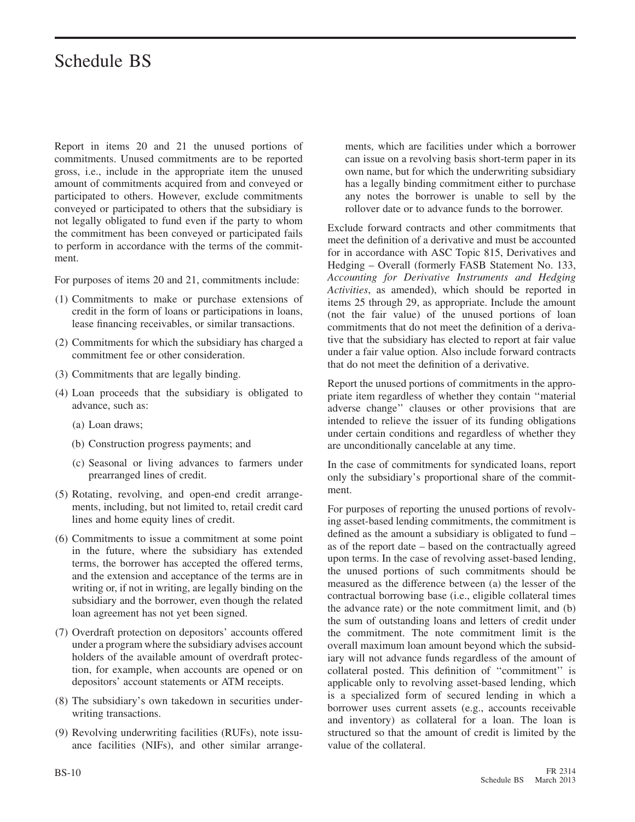Report in items 20 and 21 the unused portions of commitments. Unused commitments are to be reported gross, i.e., include in the appropriate item the unused amount of commitments acquired from and conveyed or participated to others. However, exclude commitments conveyed or participated to others that the subsidiary is not legally obligated to fund even if the party to whom the commitment has been conveyed or participated fails to perform in accordance with the terms of the commitment.

For purposes of items 20 and 21, commitments include:

- (1) Commitments to make or purchase extensions of credit in the form of loans or participations in loans, lease financing receivables, or similar transactions.
- (2) Commitments for which the subsidiary has charged a commitment fee or other consideration.
- (3) Commitments that are legally binding.
- (4) Loan proceeds that the subsidiary is obligated to advance, such as:
	- (a) Loan draws;
	- (b) Construction progress payments; and
	- (c) Seasonal or living advances to farmers under prearranged lines of credit.
- (5) Rotating, revolving, and open-end credit arrangements, including, but not limited to, retail credit card lines and home equity lines of credit.
- (6) Commitments to issue a commitment at some point in the future, where the subsidiary has extended terms, the borrower has accepted the offered terms, and the extension and acceptance of the terms are in writing or, if not in writing, are legally binding on the subsidiary and the borrower, even though the related loan agreement has not yet been signed.
- (7) Overdraft protection on depositors' accounts offered under a program where the subsidiary advises account holders of the available amount of overdraft protection, for example, when accounts are opened or on depositors' account statements or ATM receipts.
- (8) The subsidiary's own takedown in securities underwriting transactions.
- (9) Revolving underwriting facilities (RUFs), note issuance facilities (NIFs), and other similar arrange-

ments, which are facilities under which a borrower can issue on a revolving basis short-term paper in its own name, but for which the underwriting subsidiary has a legally binding commitment either to purchase any notes the borrower is unable to sell by the rollover date or to advance funds to the borrower.

Exclude forward contracts and other commitments that meet the definition of a derivative and must be accounted for in accordance with ASC Topic 815, Derivatives and Hedging – Overall (formerly FASB Statement No. 133, *Accounting for Derivative Instruments and Hedging Activities*, as amended), which should be reported in items 25 through 29, as appropriate. Include the amount (not the fair value) of the unused portions of loan commitments that do not meet the definition of a derivative that the subsidiary has elected to report at fair value under a fair value option. Also include forward contracts that do not meet the definition of a derivative.

Report the unused portions of commitments in the appropriate item regardless of whether they contain ''material adverse change'' clauses or other provisions that are intended to relieve the issuer of its funding obligations under certain conditions and regardless of whether they are unconditionally cancelable at any time.

In the case of commitments for syndicated loans, report only the subsidiary's proportional share of the commitment.

For purposes of reporting the unused portions of revolving asset-based lending commitments, the commitment is defined as the amount a subsidiary is obligated to fund – as of the report date – based on the contractually agreed upon terms. In the case of revolving asset-based lending, the unused portions of such commitments should be measured as the difference between (a) the lesser of the contractual borrowing base (i.e., eligible collateral times the advance rate) or the note commitment limit, and (b) the sum of outstanding loans and letters of credit under the commitment. The note commitment limit is the overall maximum loan amount beyond which the subsidiary will not advance funds regardless of the amount of collateral posted. This definition of ''commitment'' is applicable only to revolving asset-based lending, which is a specialized form of secured lending in which a borrower uses current assets (e.g., accounts receivable and inventory) as collateral for a loan. The loan is structured so that the amount of credit is limited by the value of the collateral.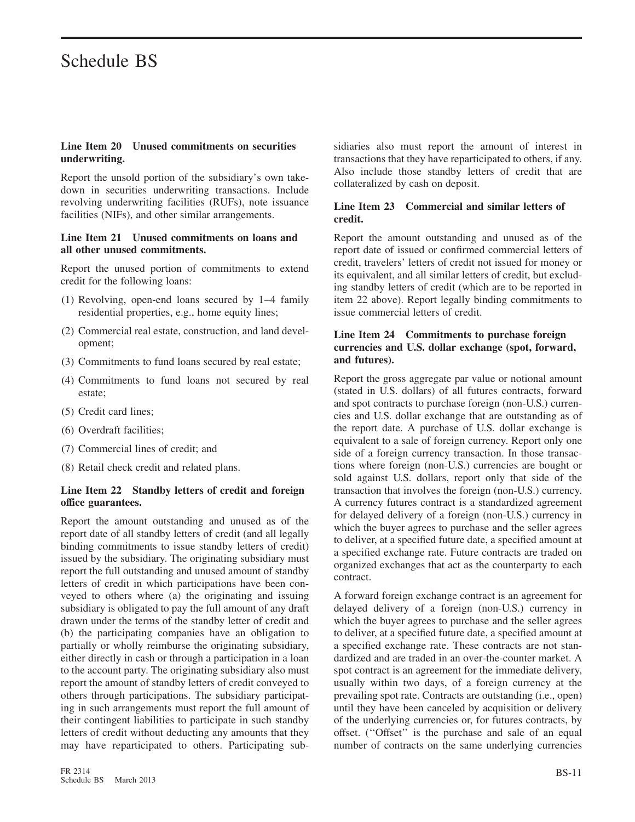#### **Line Item 20 Unused commitments on securities underwriting.**

Report the unsold portion of the subsidiary's own takedown in securities underwriting transactions. Include revolving underwriting facilities (RUFs), note issuance facilities (NIFs), and other similar arrangements.

#### **Line Item 21 Unused commitments on loans and all other unused commitments.**

Report the unused portion of commitments to extend credit for the following loans:

- (1) Revolving, open-end loans secured by 1−4 family residential properties, e.g., home equity lines;
- (2) Commercial real estate, construction, and land development;
- (3) Commitments to fund loans secured by real estate;
- (4) Commitments to fund loans not secured by real estate;
- (5) Credit card lines;
- (6) Overdraft facilities;
- (7) Commercial lines of credit; and
- (8) Retail check credit and related plans.

#### **Line Item 22 Standby letters of credit and foreign office guarantees.**

Report the amount outstanding and unused as of the report date of all standby letters of credit (and all legally binding commitments to issue standby letters of credit) issued by the subsidiary. The originating subsidiary must report the full outstanding and unused amount of standby letters of credit in which participations have been conveyed to others where (a) the originating and issuing subsidiary is obligated to pay the full amount of any draft drawn under the terms of the standby letter of credit and (b) the participating companies have an obligation to partially or wholly reimburse the originating subsidiary, either directly in cash or through a participation in a loan to the account party. The originating subsidiary also must report the amount of standby letters of credit conveyed to others through participations. The subsidiary participating in such arrangements must report the full amount of their contingent liabilities to participate in such standby letters of credit without deducting any amounts that they may have reparticipated to others. Participating subsidiaries also must report the amount of interest in transactions that they have reparticipated to others, if any. Also include those standby letters of credit that are collateralized by cash on deposit.

#### **Line Item 23 Commercial and similar letters of credit.**

Report the amount outstanding and unused as of the report date of issued or confirmed commercial letters of credit, travelers' letters of credit not issued for money or its equivalent, and all similar letters of credit, but excluding standby letters of credit (which are to be reported in item 22 above). Report legally binding commitments to issue commercial letters of credit.

#### **Line Item 24 Commitments to purchase foreign currencies and U.S. dollar exchange (spot, forward, and futures).**

Report the gross aggregate par value or notional amount (stated in U.S. dollars) of all futures contracts, forward and spot contracts to purchase foreign (non-U.S.) currencies and U.S. dollar exchange that are outstanding as of the report date. A purchase of U.S. dollar exchange is equivalent to a sale of foreign currency. Report only one side of a foreign currency transaction. In those transactions where foreign (non-U.S.) currencies are bought or sold against U.S. dollars, report only that side of the transaction that involves the foreign (non-U.S.) currency. A currency futures contract is a standardized agreement for delayed delivery of a foreign (non-U.S.) currency in which the buyer agrees to purchase and the seller agrees to deliver, at a specified future date, a specified amount at a specified exchange rate. Future contracts are traded on organized exchanges that act as the counterparty to each contract.

A forward foreign exchange contract is an agreement for delayed delivery of a foreign (non-U.S.) currency in which the buyer agrees to purchase and the seller agrees to deliver, at a specified future date, a specified amount at a specified exchange rate. These contracts are not standardized and are traded in an over-the-counter market. A spot contract is an agreement for the immediate delivery, usually within two days, of a foreign currency at the prevailing spot rate. Contracts are outstanding (i.e., open) until they have been canceled by acquisition or delivery of the underlying currencies or, for futures contracts, by offset. (''Offset'' is the purchase and sale of an equal number of contracts on the same underlying currencies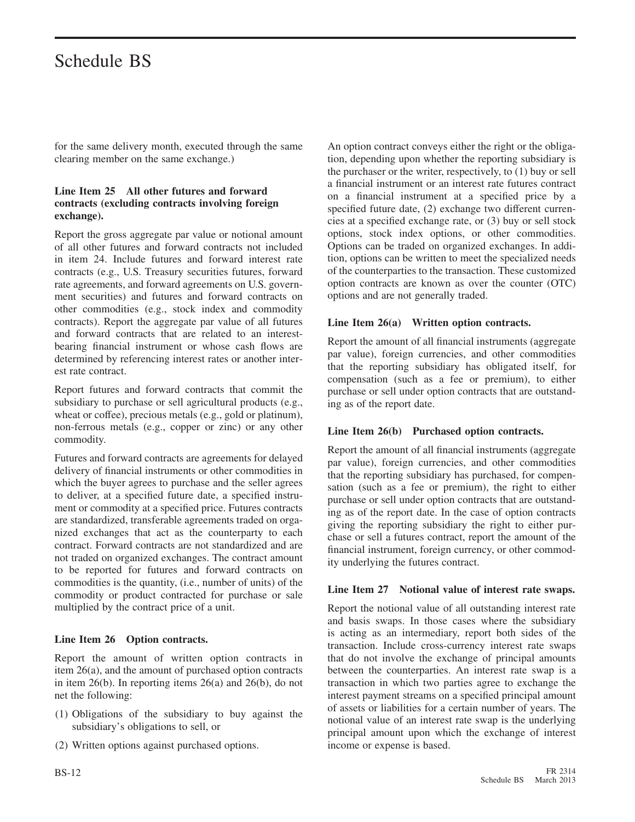for the same delivery month, executed through the same clearing member on the same exchange.)

#### **Line Item 25 All other futures and forward contracts (excluding contracts involving foreign exchange).**

Report the gross aggregate par value or notional amount of all other futures and forward contracts not included in item 24. Include futures and forward interest rate contracts (e.g., U.S. Treasury securities futures, forward rate agreements, and forward agreements on U.S. government securities) and futures and forward contracts on other commodities (e.g., stock index and commodity contracts). Report the aggregate par value of all futures and forward contracts that are related to an interestbearing financial instrument or whose cash flows are determined by referencing interest rates or another interest rate contract.

Report futures and forward contracts that commit the subsidiary to purchase or sell agricultural products (e.g., wheat or coffee), precious metals (e.g., gold or platinum), non-ferrous metals (e.g., copper or zinc) or any other commodity.

Futures and forward contracts are agreements for delayed delivery of financial instruments or other commodities in which the buyer agrees to purchase and the seller agrees to deliver, at a specified future date, a specified instrument or commodity at a specified price. Futures contracts are standardized, transferable agreements traded on organized exchanges that act as the counterparty to each contract. Forward contracts are not standardized and are not traded on organized exchanges. The contract amount to be reported for futures and forward contracts on commodities is the quantity, (i.e., number of units) of the commodity or product contracted for purchase or sale multiplied by the contract price of a unit.

#### **Line Item 26 Option contracts.**

Report the amount of written option contracts in item 26(a), and the amount of purchased option contracts in item 26(b). In reporting items 26(a) and 26(b), do not net the following:

- (1) Obligations of the subsidiary to buy against the subsidiary's obligations to sell, or
- (2) Written options against purchased options.

An option contract conveys either the right or the obligation, depending upon whether the reporting subsidiary is the purchaser or the writer, respectively, to (1) buy or sell a financial instrument or an interest rate futures contract on a financial instrument at a specified price by a specified future date, (2) exchange two different currencies at a specified exchange rate, or (3) buy or sell stock options, stock index options, or other commodities. Options can be traded on organized exchanges. In addition, options can be written to meet the specialized needs of the counterparties to the transaction. These customized option contracts are known as over the counter (OTC) options and are not generally traded.

#### **Line Item 26(a) Written option contracts.**

Report the amount of all financial instruments (aggregate par value), foreign currencies, and other commodities that the reporting subsidiary has obligated itself, for compensation (such as a fee or premium), to either purchase or sell under option contracts that are outstanding as of the report date.

#### **Line Item 26(b) Purchased option contracts.**

Report the amount of all financial instruments (aggregate par value), foreign currencies, and other commodities that the reporting subsidiary has purchased, for compensation (such as a fee or premium), the right to either purchase or sell under option contracts that are outstanding as of the report date. In the case of option contracts giving the reporting subsidiary the right to either purchase or sell a futures contract, report the amount of the financial instrument, foreign currency, or other commodity underlying the futures contract.

#### **Line Item 27 Notional value of interest rate swaps.**

Report the notional value of all outstanding interest rate and basis swaps. In those cases where the subsidiary is acting as an intermediary, report both sides of the transaction. Include cross-currency interest rate swaps that do not involve the exchange of principal amounts between the counterparties. An interest rate swap is a transaction in which two parties agree to exchange the interest payment streams on a specified principal amount of assets or liabilities for a certain number of years. The notional value of an interest rate swap is the underlying principal amount upon which the exchange of interest income or expense is based.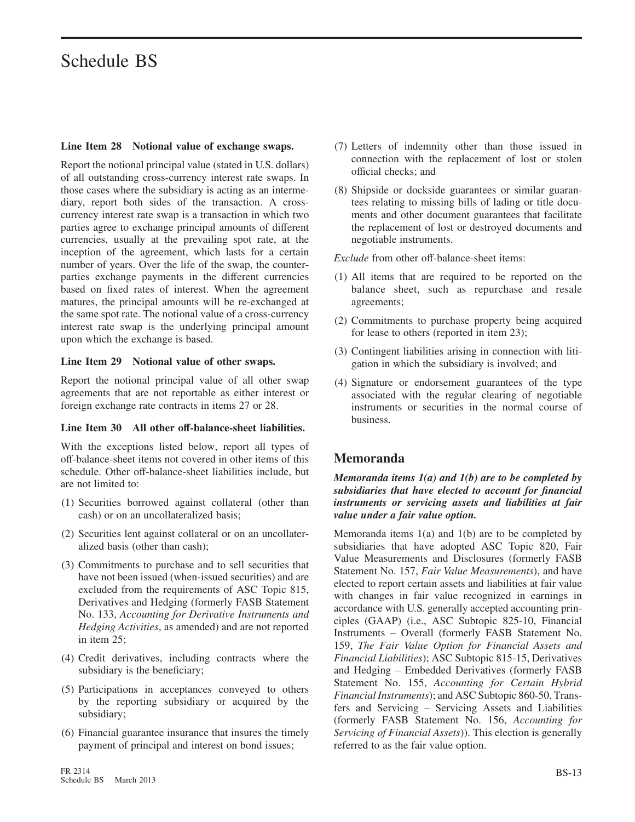#### **Line Item 28 Notional value of exchange swaps.**

Report the notional principal value (stated in U.S. dollars) of all outstanding cross-currency interest rate swaps. In those cases where the subsidiary is acting as an intermediary, report both sides of the transaction. A crosscurrency interest rate swap is a transaction in which two parties agree to exchange principal amounts of different currencies, usually at the prevailing spot rate, at the inception of the agreement, which lasts for a certain number of years. Over the life of the swap, the counterparties exchange payments in the different currencies based on fixed rates of interest. When the agreement matures, the principal amounts will be re-exchanged at the same spot rate. The notional value of a cross-currency interest rate swap is the underlying principal amount upon which the exchange is based.

#### **Line Item 29 Notional value of other swaps.**

Report the notional principal value of all other swap agreements that are not reportable as either interest or foreign exchange rate contracts in items 27 or 28.

#### **Line Item 30 All other off-balance-sheet liabilities.**

With the exceptions listed below, report all types of off-balance-sheet items not covered in other items of this schedule. Other off-balance-sheet liabilities include, but are not limited to:

- (1) Securities borrowed against collateral (other than cash) or on an uncollateralized basis;
- (2) Securities lent against collateral or on an uncollateralized basis (other than cash);
- (3) Commitments to purchase and to sell securities that have not been issued (when-issued securities) and are excluded from the requirements of ASC Topic 815, Derivatives and Hedging (formerly FASB Statement No. 133, *Accounting for Derivative Instruments and Hedging Activities*, as amended) and are not reported in item 25;
- (4) Credit derivatives, including contracts where the subsidiary is the beneficiary;
- (5) Participations in acceptances conveyed to others by the reporting subsidiary or acquired by the subsidiary;
- (6) Financial guarantee insurance that insures the timely payment of principal and interest on bond issues;
- (7) Letters of indemnity other than those issued in connection with the replacement of lost or stolen official checks; and
- (8) Shipside or dockside guarantees or similar guarantees relating to missing bills of lading or title documents and other document guarantees that facilitate the replacement of lost or destroyed documents and negotiable instruments.

*Exclude* from other off-balance-sheet items:

- (1) All items that are required to be reported on the balance sheet, such as repurchase and resale agreements;
- (2) Commitments to purchase property being acquired for lease to others (reported in item 23);
- (3) Contingent liabilities arising in connection with litigation in which the subsidiary is involved; and
- (4) Signature or endorsement guarantees of the type associated with the regular clearing of negotiable instruments or securities in the normal course of business.

#### **Memoranda**

#### *Memoranda items 1(a) and 1(b) are to be completed by subsidiaries that have elected to account for financial instruments or servicing assets and liabilities at fair value under a fair value option.*

Memoranda items 1(a) and 1(b) are to be completed by subsidiaries that have adopted ASC Topic 820, Fair Value Measurements and Disclosures (formerly FASB Statement No. 157, *Fair Value Measurements*), and have elected to report certain assets and liabilities at fair value with changes in fair value recognized in earnings in accordance with U.S. generally accepted accounting principles (GAAP) (i.e., ASC Subtopic 825-10, Financial Instruments – Overall (formerly FASB Statement No. 159, *The Fair Value Option for Financial Assets and Financial Liabilities*); ASC Subtopic 815-15, Derivatives and Hedging – Embedded Derivatives (formerly FASB Statement No. 155, *Accounting for Certain Hybrid Financial Instruments*); and ASC Subtopic 860-50, Transfers and Servicing – Servicing Assets and Liabilities (formerly FASB Statement No. 156, *Accounting for Servicing of Financial Assets*)). This election is generally referred to as the fair value option.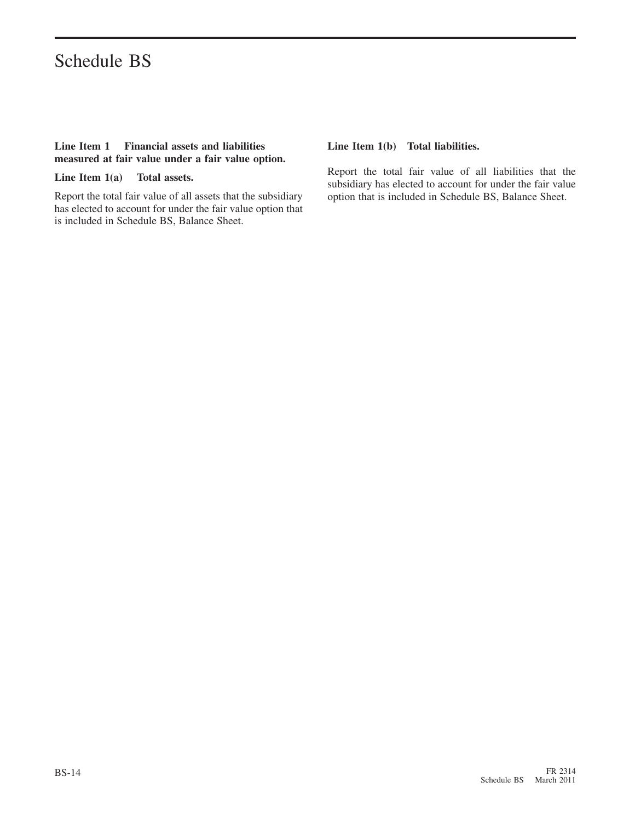#### **Line Item 1 Financial assets and liabilities measured at fair value under a fair value option.**

**Line Item 1(a) Total assets.**

Report the total fair value of all assets that the subsidiary has elected to account for under the fair value option that is included in Schedule BS, Balance Sheet.

#### **Line Item 1(b) Total liabilities.**

Report the total fair value of all liabilities that the subsidiary has elected to account for under the fair value option that is included in Schedule BS, Balance Sheet.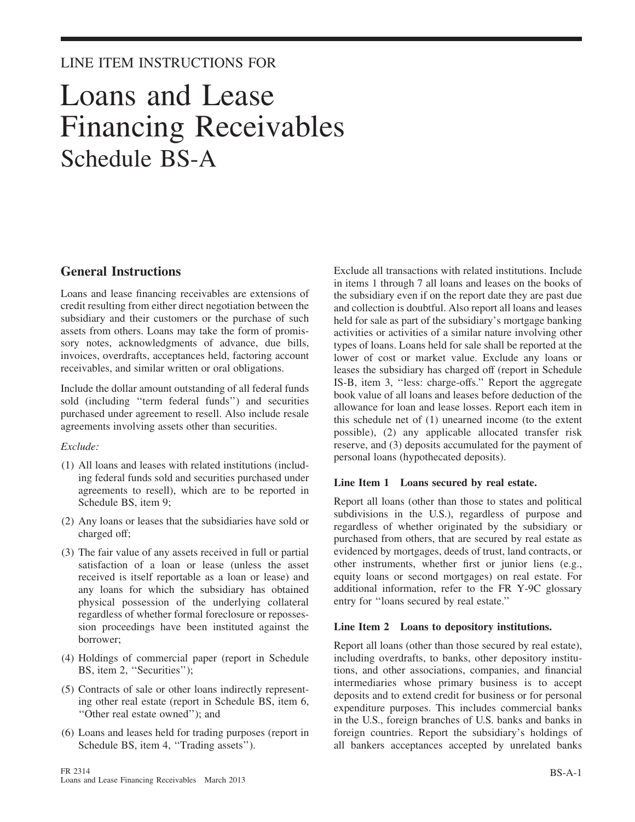#### LINE ITEM INSTRUCTIONS FOR

## Loans and Lease Financing Receivables Schedule BS-A

#### **General Instructions**

Loans and lease financing receivables are extensions of credit resulting from either direct negotiation between the subsidiary and their customers or the purchase of such assets from others. Loans may take the form of promissory notes, acknowledgments of advance, due bills, invoices, overdrafts, acceptances held, factoring account receivables, and similar written or oral obligations.

Include the dollar amount outstanding of all federal funds sold (including ''term federal funds'') and securities purchased under agreement to resell. Also include resale agreements involving assets other than securities.

#### *Exclude:*

- (1) All loans and leases with related institutions (including federal funds sold and securities purchased under agreements to resell), which are to be reported in Schedule BS, item 9;
- (2) Any loans or leases that the subsidiaries have sold or charged off;
- (3) The fair value of any assets received in full or partial satisfaction of a loan or lease (unless the asset received is itself reportable as a loan or lease) and any loans for which the subsidiary has obtained physical possession of the underlying collateral regardless of whether formal foreclosure or repossession proceedings have been instituted against the borrower;
- (4) Holdings of commercial paper (report in Schedule BS, item 2, ''Securities'');
- (5) Contracts of sale or other loans indirectly representing other real estate (report in Schedule BS, item 6, ''Other real estate owned''); and
- (6) Loans and leases held for trading purposes (report in Schedule BS, item 4, "Trading assets").

Exclude all transactions with related institutions. Include in items 1 through 7 all loans and leases on the books of the subsidiary even if on the report date they are past due and collection is doubtful. Also report all loans and leases held for sale as part of the subsidiary's mortgage banking activities or activities of a similar nature involving other types of loans. Loans held for sale shall be reported at the lower of cost or market value. Exclude any loans or leases the subsidiary has charged off (report in Schedule IS-B, item 3, ''less: charge-offs.'' Report the aggregate book value of all loans and leases before deduction of the allowance for loan and lease losses. Report each item in this schedule net of (1) unearned income (to the extent possible), (2) any applicable allocated transfer risk reserve, and (3) deposits accumulated for the payment of personal loans (hypothecated deposits).

#### **Line Item 1 Loans secured by real estate.**

Report all loans (other than those to states and political subdivisions in the U.S.), regardless of purpose and regardless of whether originated by the subsidiary or purchased from others, that are secured by real estate as evidenced by mortgages, deeds of trust, land contracts, or other instruments, whether first or junior liens (e.g., equity loans or second mortgages) on real estate. For additional information, refer to the FR Y-9C glossary entry for ''loans secured by real estate.''

#### **Line Item 2 Loans to depository institutions.**

Report all loans (other than those secured by real estate), including overdrafts, to banks, other depository institutions, and other associations, companies, and financial intermediaries whose primary business is to accept deposits and to extend credit for business or for personal expenditure purposes. This includes commercial banks in the U.S., foreign branches of U.S. banks and banks in foreign countries. Report the subsidiary's holdings of all bankers acceptances accepted by unrelated banks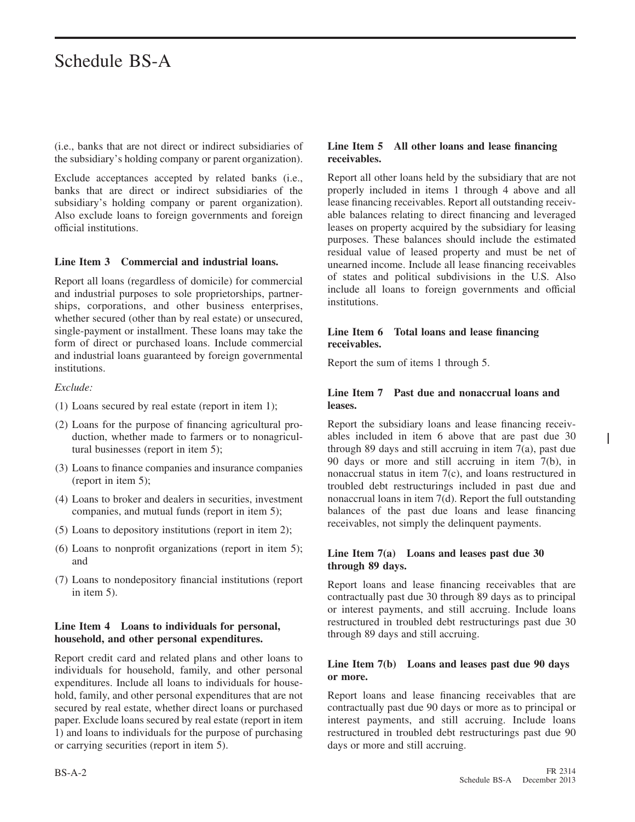(i.e., banks that are not direct or indirect subsidiaries of the subsidiary's holding company or parent organization).

Exclude acceptances accepted by related banks (i.e., banks that are direct or indirect subsidiaries of the subsidiary's holding company or parent organization). Also exclude loans to foreign governments and foreign official institutions.

#### **Line Item 3 Commercial and industrial loans.**

Report all loans (regardless of domicile) for commercial and industrial purposes to sole proprietorships, partnerships, corporations, and other business enterprises, whether secured (other than by real estate) or unsecured, single-payment or installment. These loans may take the form of direct or purchased loans. Include commercial and industrial loans guaranteed by foreign governmental institutions.

#### *Exclude:*

- (1) Loans secured by real estate (report in item 1);
- (2) Loans for the purpose of financing agricultural production, whether made to farmers or to nonagricultural businesses (report in item 5);
- (3) Loans to finance companies and insurance companies (report in item 5);
- (4) Loans to broker and dealers in securities, investment companies, and mutual funds (report in item 5);
- (5) Loans to depository institutions (report in item 2);
- (6) Loans to nonprofit organizations (report in item 5); and
- (7) Loans to nondepository financial institutions (report in item 5).

#### **Line Item 4 Loans to individuals for personal, household, and other personal expenditures.**

Report credit card and related plans and other loans to individuals for household, family, and other personal expenditures. Include all loans to individuals for household, family, and other personal expenditures that are not secured by real estate, whether direct loans or purchased paper. Exclude loans secured by real estate (report in item 1) and loans to individuals for the purpose of purchasing or carrying securities (report in item 5).

#### **Line Item 5 All other loans and lease financing receivables.**

Report all other loans held by the subsidiary that are not properly included in items 1 through 4 above and all lease financing receivables. Report all outstanding receivable balances relating to direct financing and leveraged leases on property acquired by the subsidiary for leasing purposes. These balances should include the estimated residual value of leased property and must be net of unearned income. Include all lease financing receivables of states and political subdivisions in the U.S. Also include all loans to foreign governments and official institutions.

#### **Line Item 6 Total loans and lease financing receivables.**

Report the sum of items 1 through 5.

#### **Line Item 7 Past due and nonaccrual loans and leases.**

Report the subsidiary loans and lease financing receivables included in item 6 above that are past due 30 through 89 days and still accruing in item 7(a), past due 90 days or more and still accruing in item 7(b), in nonaccrual status in item 7(c), and loans restructured in troubled debt restructurings included in past due and nonaccrual loans in item 7(d). Report the full outstanding balances of the past due loans and lease financing receivables, not simply the delinquent payments.

#### **Line Item 7(a) Loans and leases past due 30 through 89 days.**

Report loans and lease financing receivables that are contractually past due 30 through 89 days as to principal or interest payments, and still accruing. Include loans restructured in troubled debt restructurings past due 30 through 89 days and still accruing.

#### **Line Item 7(b) Loans and leases past due 90 days or more.**

Report loans and lease financing receivables that are contractually past due 90 days or more as to principal or interest payments, and still accruing. Include loans restructured in troubled debt restructurings past due 90 days or more and still accruing.

I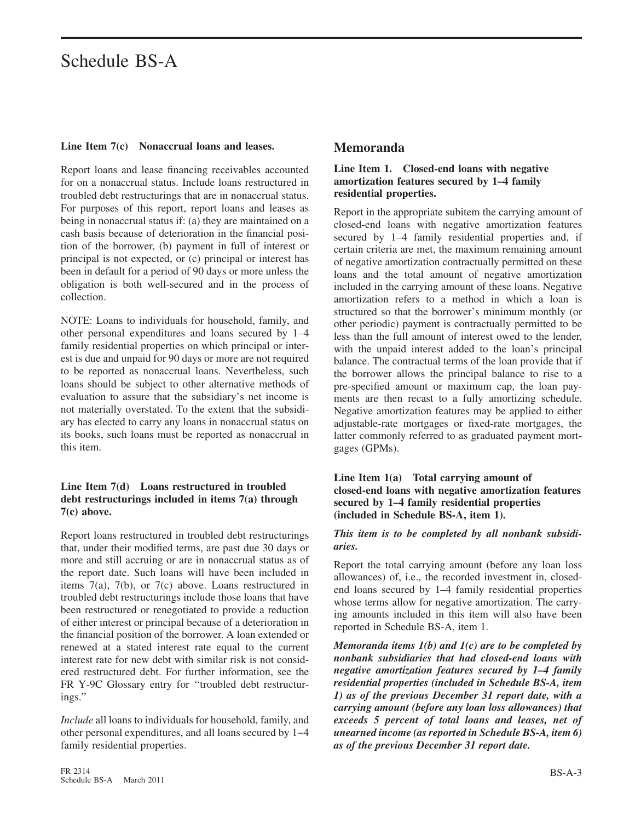#### **Line Item 7(c) Nonaccrual loans and leases.**

Report loans and lease financing receivables accounted for on a nonaccrual status. Include loans restructured in troubled debt restructurings that are in nonaccrual status. For purposes of this report, report loans and leases as being in nonaccrual status if: (a) they are maintained on a cash basis because of deterioration in the financial position of the borrower, (b) payment in full of interest or principal is not expected, or (c) principal or interest has been in default for a period of 90 days or more unless the obligation is both well-secured and in the process of collection.

NOTE: Loans to individuals for household, family, and other personal expenditures and loans secured by 1–4 family residential properties on which principal or interest is due and unpaid for 90 days or more are not required to be reported as nonaccrual loans. Nevertheless, such loans should be subject to other alternative methods of evaluation to assure that the subsidiary's net income is not materially overstated. To the extent that the subsidiary has elected to carry any loans in nonaccrual status on its books, such loans must be reported as nonaccrual in this item.

#### **Line Item 7(d) Loans restructured in troubled debt restructurings included in items 7(a) through 7(c) above.**

Report loans restructured in troubled debt restructurings that, under their modified terms, are past due 30 days or more and still accruing or are in nonaccrual status as of the report date. Such loans will have been included in items 7(a), 7(b), or 7(c) above. Loans restructured in troubled debt restructurings include those loans that have been restructured or renegotiated to provide a reduction of either interest or principal because of a deterioration in the financial position of the borrower. A loan extended or renewed at a stated interest rate equal to the current interest rate for new debt with similar risk is not considered restructured debt. For further information, see the FR Y-9C Glossary entry for "troubled debt restructurings.''

*Include* all loans to individuals for household, family, and other personal expenditures, and all loans secured by 1−4 family residential properties.

#### **Memoranda**

#### **Line Item 1. Closed-end loans with negative amortization features secured by 1–4 family residential properties.**

Report in the appropriate subitem the carrying amount of closed-end loans with negative amortization features secured by 1–4 family residential properties and, if certain criteria are met, the maximum remaining amount of negative amortization contractually permitted on these loans and the total amount of negative amortization included in the carrying amount of these loans. Negative amortization refers to a method in which a loan is structured so that the borrower's minimum monthly (or other periodic) payment is contractually permitted to be less than the full amount of interest owed to the lender, with the unpaid interest added to the loan's principal balance. The contractual terms of the loan provide that if the borrower allows the principal balance to rise to a pre-specified amount or maximum cap, the loan payments are then recast to a fully amortizing schedule. Negative amortization features may be applied to either adjustable-rate mortgages or fixed-rate mortgages, the latter commonly referred to as graduated payment mortgages (GPMs).

#### **Line Item 1(a) Total carrying amount of closed-end loans with negative amortization features secured by 1–4 family residential properties (included in Schedule BS-A, item 1).**

#### *This item is to be completed by all nonbank subsidiaries.*

Report the total carrying amount (before any loan loss allowances) of, i.e., the recorded investment in, closedend loans secured by 1–4 family residential properties whose terms allow for negative amortization. The carrying amounts included in this item will also have been reported in Schedule BS-A, item 1.

*Memoranda items 1(b) and 1(c) are to be completed by nonbank subsidiaries that had closed-end loans with negative amortization features secured by 1–4 family residential properties (included in Schedule BS-A, item 1) as of the previous December 31 report date, with a carrying amount (before any loan loss allowances) that exceeds 5 percent of total loans and leases, net of unearned income (as reported in Schedule BS-A, item 6) as of the previous December 31 report date.*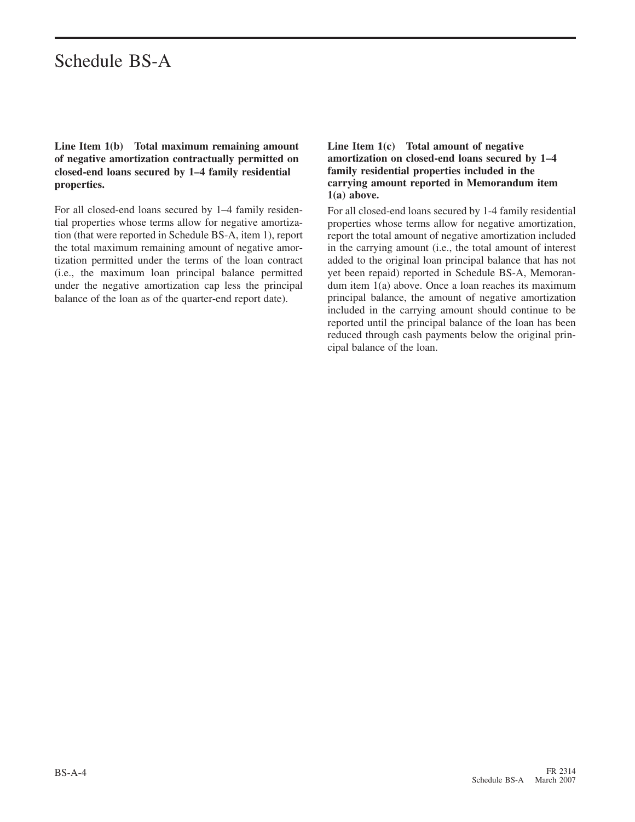#### **Line Item 1(b) Total maximum remaining amount of negative amortization contractually permitted on closed-end loans secured by 1–4 family residential properties.**

For all closed-end loans secured by 1–4 family residential properties whose terms allow for negative amortization (that were reported in Schedule BS-A, item 1), report the total maximum remaining amount of negative amortization permitted under the terms of the loan contract (i.e., the maximum loan principal balance permitted under the negative amortization cap less the principal balance of the loan as of the quarter-end report date).

#### **Line Item 1(c) Total amount of negative amortization on closed-end loans secured by 1–4 family residential properties included in the carrying amount reported in Memorandum item 1(a) above.**

For all closed-end loans secured by 1-4 family residential properties whose terms allow for negative amortization, report the total amount of negative amortization included in the carrying amount (i.e., the total amount of interest added to the original loan principal balance that has not yet been repaid) reported in Schedule BS-A, Memorandum item 1(a) above. Once a loan reaches its maximum principal balance, the amount of negative amortization included in the carrying amount should continue to be reported until the principal balance of the loan has been reduced through cash payments below the original principal balance of the loan.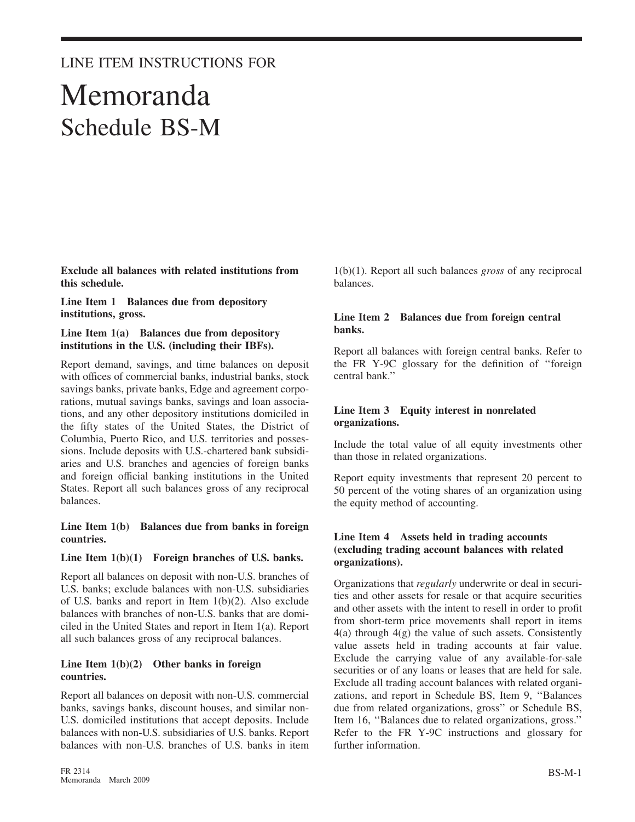### LINE ITEM INSTRUCTIONS FOR

## Memoranda Schedule BS-M

**Exclude all balances with related institutions from this schedule.**

**Line Item 1 Balances due from depository institutions, gross.**

#### **Line Item 1(a) Balances due from depository institutions in the U.S. (including their IBFs).**

Report demand, savings, and time balances on deposit with offices of commercial banks, industrial banks, stock savings banks, private banks, Edge and agreement corporations, mutual savings banks, savings and loan associations, and any other depository institutions domiciled in the fifty states of the United States, the District of Columbia, Puerto Rico, and U.S. territories and possessions. Include deposits with U.S.-chartered bank subsidiaries and U.S. branches and agencies of foreign banks and foreign official banking institutions in the United States. Report all such balances gross of any reciprocal balances.

#### **Line Item 1(b) Balances due from banks in foreign countries.**

#### **Line Item 1(b)(1) Foreign branches of U.S. banks.**

Report all balances on deposit with non-U.S. branches of U.S. banks; exclude balances with non-U.S. subsidiaries of U.S. banks and report in Item 1(b)(2). Also exclude balances with branches of non-U.S. banks that are domiciled in the United States and report in Item 1(a). Report all such balances gross of any reciprocal balances.

#### **Line Item 1(b)(2) Other banks in foreign countries.**

Report all balances on deposit with non-U.S. commercial banks, savings banks, discount houses, and similar non-U.S. domiciled institutions that accept deposits. Include balances with non-U.S. subsidiaries of U.S. banks. Report balances with non-U.S. branches of U.S. banks in item

1(b)(1). Report all such balances *gross* of any reciprocal balances.

#### **Line Item 2 Balances due from foreign central banks.**

Report all balances with foreign central banks. Refer to the FR Y-9C glossary for the definition of ''foreign central bank.''

#### **Line Item 3 Equity interest in nonrelated organizations.**

Include the total value of all equity investments other than those in related organizations.

Report equity investments that represent 20 percent to 50 percent of the voting shares of an organization using the equity method of accounting.

#### **Line Item 4 Assets held in trading accounts (excluding trading account balances with related organizations).**

Organizations that *regularly* underwrite or deal in securities and other assets for resale or that acquire securities and other assets with the intent to resell in order to profit from short-term price movements shall report in items 4(a) through 4(g) the value of such assets. Consistently value assets held in trading accounts at fair value. Exclude the carrying value of any available-for-sale securities or of any loans or leases that are held for sale. Exclude all trading account balances with related organizations, and report in Schedule BS, Item 9, ''Balances due from related organizations, gross'' or Schedule BS, Item 16, ''Balances due to related organizations, gross.'' Refer to the FR Y-9C instructions and glossary for further information.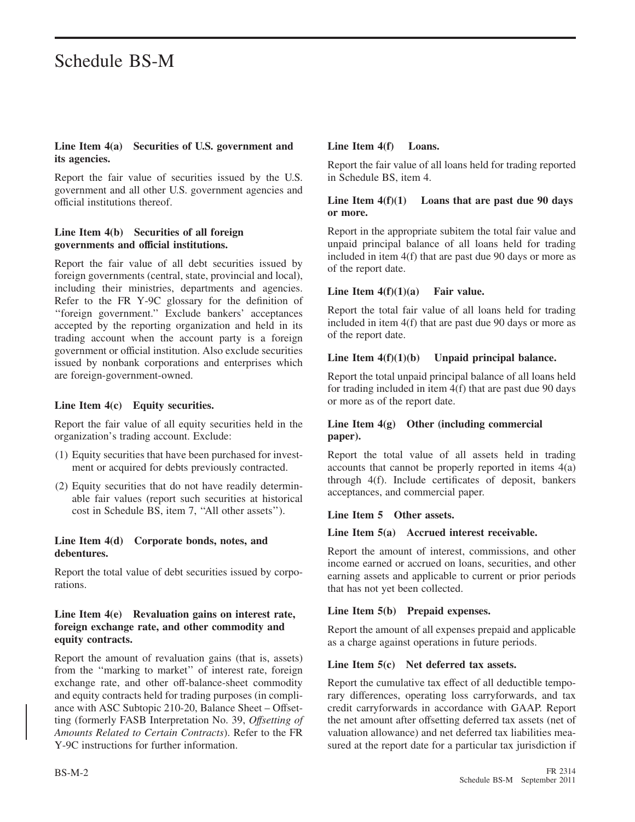#### **Line Item 4(a) Securities of U.S. government and its agencies.**

Report the fair value of securities issued by the U.S. government and all other U.S. government agencies and official institutions thereof.

#### **Line Item 4(b) Securities of all foreign governments and official institutions.**

Report the fair value of all debt securities issued by foreign governments (central, state, provincial and local), including their ministries, departments and agencies. Refer to the FR Y-9C glossary for the definition of ''foreign government.'' Exclude bankers' acceptances accepted by the reporting organization and held in its trading account when the account party is a foreign government or official institution. Also exclude securities issued by nonbank corporations and enterprises which are foreign-government-owned.

#### **Line Item 4(c) Equity securities.**

Report the fair value of all equity securities held in the organization's trading account. Exclude:

- (1) Equity securities that have been purchased for investment or acquired for debts previously contracted.
- (2) Equity securities that do not have readily determinable fair values (report such securities at historical cost in Schedule BS, item 7, ''All other assets'').

#### **Line Item 4(d) Corporate bonds, notes, and debentures.**

Report the total value of debt securities issued by corporations.

#### **Line Item 4(e) Revaluation gains on interest rate, foreign exchange rate, and other commodity and equity contracts.**

Report the amount of revaluation gains (that is, assets) from the ''marking to market'' of interest rate, foreign exchange rate, and other off-balance-sheet commodity and equity contracts held for trading purposes (in compliance with ASC Subtopic 210-20, Balance Sheet – Offsetting (formerly FASB Interpretation No. 39, *Offsetting of Amounts Related to Certain Contracts*). Refer to the FR Y-9C instructions for further information.

#### **Line Item 4(f) Loans.**

Report the fair value of all loans held for trading reported in Schedule BS, item 4.

#### **Line Item 4(f)(1) Loans that are past due 90 days or more.**

Report in the appropriate subitem the total fair value and unpaid principal balance of all loans held for trading included in item 4(f) that are past due 90 days or more as of the report date.

#### **Line Item 4(f)(1)(a) Fair value.**

Report the total fair value of all loans held for trading included in item 4(f) that are past due 90 days or more as of the report date.

#### **Line Item 4(f)(1)(b) Unpaid principal balance.**

Report the total unpaid principal balance of all loans held for trading included in item 4(f) that are past due 90 days or more as of the report date.

#### **Line Item 4(g) Other (including commercial paper).**

Report the total value of all assets held in trading accounts that cannot be properly reported in items 4(a) through 4(f). Include certificates of deposit, bankers acceptances, and commercial paper.

#### **Line Item 5 Other assets.**

#### **Line Item 5(a) Accrued interest receivable.**

Report the amount of interest, commissions, and other income earned or accrued on loans, securities, and other earning assets and applicable to current or prior periods that has not yet been collected.

#### **Line Item 5(b) Prepaid expenses.**

Report the amount of all expenses prepaid and applicable as a charge against operations in future periods.

#### Line Item 5(c) Net deferred tax assets.

Report the cumulative tax effect of all deductible temporary differences, operating loss carryforwards, and tax credit carryforwards in accordance with GAAP. Report the net amount after offsetting deferred tax assets (net of valuation allowance) and net deferred tax liabilities measured at the report date for a particular tax jurisdiction if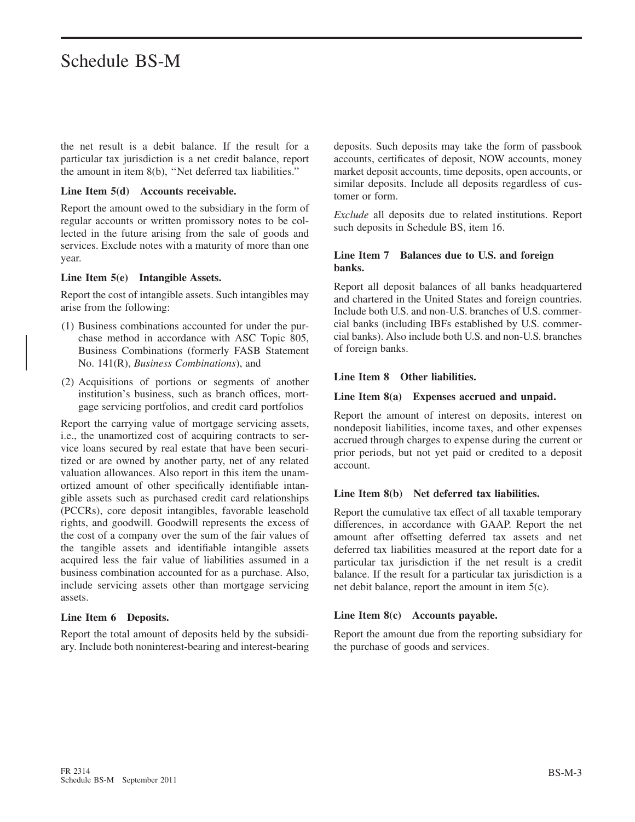the net result is a debit balance. If the result for a particular tax jurisdiction is a net credit balance, report the amount in item 8(b), ''Net deferred tax liabilities.''

#### **Line Item 5(d) Accounts receivable.**

Report the amount owed to the subsidiary in the form of regular accounts or written promissory notes to be collected in the future arising from the sale of goods and services. Exclude notes with a maturity of more than one year.

#### **Line Item 5(e) Intangible Assets.**

Report the cost of intangible assets. Such intangibles may arise from the following:

- (1) Business combinations accounted for under the purchase method in accordance with ASC Topic 805, Business Combinations (formerly FASB Statement No. 141(R), *Business Combinations*), and
- (2) Acquisitions of portions or segments of another institution's business, such as branch offices, mortgage servicing portfolios, and credit card portfolios

Report the carrying value of mortgage servicing assets, i.e., the unamortized cost of acquiring contracts to service loans secured by real estate that have been securitized or are owned by another party, net of any related valuation allowances. Also report in this item the unamortized amount of other specifically identifiable intangible assets such as purchased credit card relationships (PCCRs), core deposit intangibles, favorable leasehold rights, and goodwill. Goodwill represents the excess of the cost of a company over the sum of the fair values of the tangible assets and identifiable intangible assets acquired less the fair value of liabilities assumed in a business combination accounted for as a purchase. Also, include servicing assets other than mortgage servicing assets.

#### **Line Item 6 Deposits.**

Report the total amount of deposits held by the subsidiary. Include both noninterest-bearing and interest-bearing deposits. Such deposits may take the form of passbook accounts, certificates of deposit, NOW accounts, money market deposit accounts, time deposits, open accounts, or similar deposits. Include all deposits regardless of customer or form.

*Exclude* all deposits due to related institutions. Report such deposits in Schedule BS, item 16.

#### **Line Item 7 Balances due to U.S. and foreign banks.**

Report all deposit balances of all banks headquartered and chartered in the United States and foreign countries. Include both U.S. and non-U.S. branches of U.S. commercial banks (including IBFs established by U.S. commercial banks). Also include both U.S. and non-U.S. branches of foreign banks.

#### **Line Item 8 Other liabilities.**

#### **Line Item 8(a) Expenses accrued and unpaid.**

Report the amount of interest on deposits, interest on nondeposit liabilities, income taxes, and other expenses accrued through charges to expense during the current or prior periods, but not yet paid or credited to a deposit account.

#### **Line Item 8(b) Net deferred tax liabilities.**

Report the cumulative tax effect of all taxable temporary differences, in accordance with GAAP. Report the net amount after offsetting deferred tax assets and net deferred tax liabilities measured at the report date for a particular tax jurisdiction if the net result is a credit balance. If the result for a particular tax jurisdiction is a net debit balance, report the amount in item 5(c).

#### **Line Item 8(c) Accounts payable.**

Report the amount due from the reporting subsidiary for the purchase of goods and services.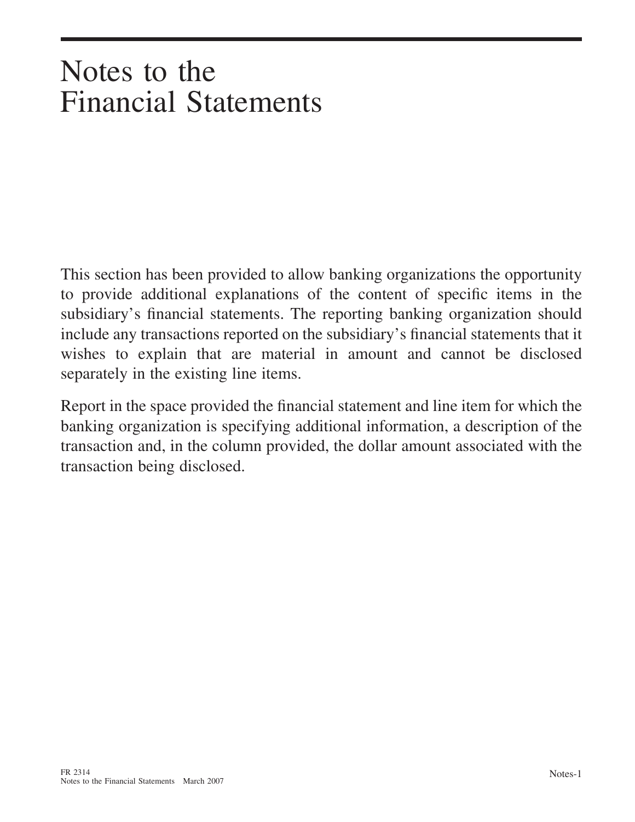# Notes to the Financial Statements

This section has been provided to allow banking organizations the opportunity to provide additional explanations of the content of specific items in the subsidiary's financial statements. The reporting banking organization should include any transactions reported on the subsidiary's financial statements that it wishes to explain that are material in amount and cannot be disclosed separately in the existing line items.

Report in the space provided the financial statement and line item for which the banking organization is specifying additional information, a description of the transaction and, in the column provided, the dollar amount associated with the transaction being disclosed.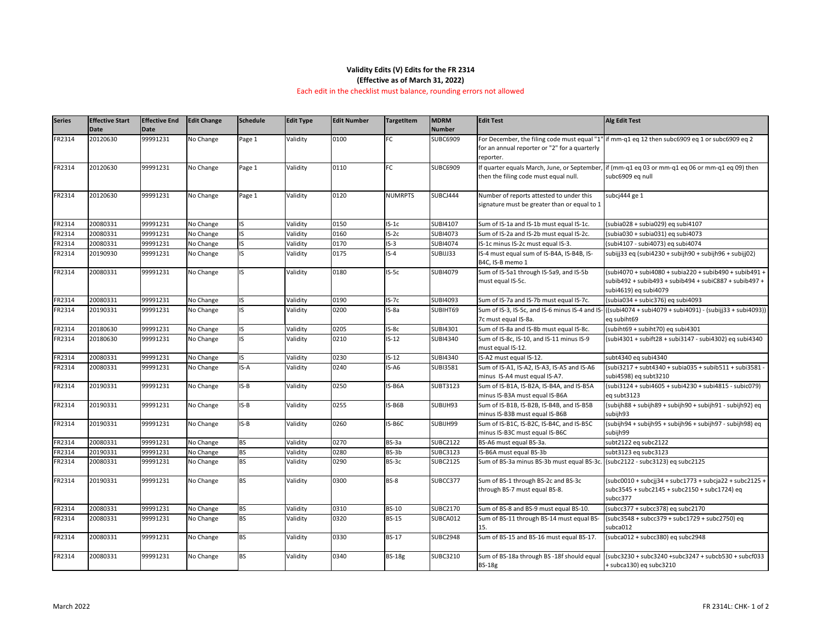#### **Edit Test Alg Edit Test**

 $nm$ -q1 eq 12 then subc6909 eq 1 or subc6909 eq 2

 $mm$ -q1 eq 03 or mm-q1 eq 06 or mm-q1 eq 09) then bc6909 eq null

 $\frac{1}{10}$ ibia028 + subia029) eq subi4107  $\frac{1}{10}$ bia030 + subia031) eq subi4073  $nbi4107 - subi4073)$  eq subi4074

 $\frac{1}{33}$  eq (subi4230 + subijh90 + subijh96 + subijj02)

 $u$ bi4070 + subi4080 + subia220 + subib490 + subib491 + subib492 + subib493 + subib494 + subiC887 + subib497 + bi4619) eq subi4079

 $B(z)$ ibia $034 + S$ ubic $376$ ) eq subi $4093$ 

ubi4074 + subi4079 + subi4091) - (subijj33 + subi4093)) subiht69

 $F<sub>1</sub>$  ibiht69 + subiht70) eq subi4301

| <b>Series</b> | <b>Effective Start</b> | <b>Effective End</b> | <b>Edit Change</b> | Schedule  | <b>Edit Type</b> | <b>Edit Number</b> | <b>TargetItem</b> | <b>MDRM</b>     | <b>Edit Test</b>                                                      | <b>Alg Edit Test</b>     |
|---------------|------------------------|----------------------|--------------------|-----------|------------------|--------------------|-------------------|-----------------|-----------------------------------------------------------------------|--------------------------|
|               | Date                   | <b>Date</b>          |                    |           |                  |                    |                   | Number          |                                                                       |                          |
| FR2314        | 20120630               | 99991231             | No Change          | Page 1    | Validity         | 0100               | FC                | <b>SUBC6909</b> | For December, the filing code must equal "1" if mm-q1 eq 12 then su   |                          |
|               |                        |                      |                    |           |                  |                    |                   |                 | for an annual reporter or "2" for a quarterly                         |                          |
|               |                        |                      |                    |           |                  |                    |                   |                 | reporter.                                                             |                          |
| FR2314        | 20120630               | 99991231             | No Change          | Page 1    | Validity         | 0110               | FC                | <b>SUBC6909</b> | f quarter equals March, June, or September, if (mm-q1 eq 03 or mn     |                          |
|               |                        |                      |                    |           |                  |                    |                   |                 | then the filing code must equal null.                                 | subc6909 eq null         |
| FR2314        | 20120630               | 99991231             | No Change          | Page 1    | Validity         | 0120               | <b>NUMRPTS</b>    | SUBCJ444        | Number of reports attested to under this                              | subcj444 ge 1            |
|               |                        |                      |                    |           |                  |                    |                   |                 | signature must be greater than or equal to 1                          |                          |
| FR2314        | 20080331               | 99991231             | No Change          | IS.       | Validity         | 0150               | $IS-1c$           | <b>SUBI4107</b> | Sum of IS-1a and IS-1b must equal IS-1c.                              | $(subia028 + subia029)$  |
| FR2314        | 20080331               | 99991231             | No Change          | lis.      | Validity         | 0160               | $IS-2c$           | <b>SUBI4073</b> | Sum of IS-2a and IS-2b must equal IS-2c.                              | $(subia030 + subia031)$  |
| FR2314        | 20080331               | 99991231             | No Change          | lis.      | Validity         | 0170               | $IS-3$            | <b>SUBI4074</b> | IS-1c minus IS-2c must equal IS-3.                                    | (subi4107 - subi4073)    |
| FR2314        | 20190930               | 99991231             | No Change          | IS.       | Validity         | 0175               | $IS-4$            | SUBIJJ33        | IS-4 must equal sum of IS-B4A, IS-B4B, IS-                            | subijj33 eq (subi4230 -  |
|               |                        |                      |                    |           |                  |                    |                   |                 | B4C, IS-B memo 1                                                      |                          |
| FR2314        | 20080331               | 99991231             | No Change          | IS.       | Validity         | 0180               | $IS-5c$           | <b>SUBI4079</b> | Sum of IS-5a1 through IS-5a9, and IS-5b                               | (subi4070 + subi4080 -   |
|               |                        |                      |                    |           |                  |                    |                   |                 | must equal IS-5c.                                                     | subib492 + subib493 +    |
|               |                        |                      |                    |           |                  |                    |                   |                 |                                                                       | subi4619) eq subi4079    |
| FR2314        | 20080331               | 99991231             | No Change          | IS.       | Validity         | 0190               | $IS-7c$           | <b>SUBI4093</b> | Sum of IS-7a and IS-7b must equal IS-7c.                              | $(subia034 + subic376)$  |
| FR2314        | 20190331               | 99991231             | No Change          | IS.       | Validity         | 0200               | $IS-8a$           | SUBIHT69        | Sum of IS-3, IS-5c, and IS-6 minus IS-4 and IS- ((subi4074 + subi4079 |                          |
|               |                        |                      |                    |           |                  |                    |                   |                 | 7c must equal IS-8a.                                                  | eq subiht69              |
| FR2314        | 20180630               | 99991231             | No Change          | <b>IS</b> | Validity         | 0205               | $IS-8c$           | SUBI4301        | Sum of IS-8a and IS-8b must equal IS-8c.                              | (subiht69 + subiht70) (  |
| FR2314        | 20180630               | 99991231             | No Change          | IS.       | Validity         | 0210               | $IS-12$           | <b>SUBI4340</b> | Sum of IS-8c, IS-10, and IS-11 minus IS-9                             | (subi4301 + subift28 +   |
|               |                        |                      |                    |           |                  |                    |                   |                 | must equal IS-12.                                                     |                          |
| FR2314        | 20080331               | 99991231             | No Change          | IS.       | Validity         | 0230               | $IS-12$           | SUBI4340        | IS-A2 must equal IS-12.                                               | subt4340 eq subi4340     |
| FR2314        | 20080331               | 99991231             | No Change          | IS-A      | Validity         | 0240               | IS-A6             | <b>SUBI3581</b> | Sum of IS-A1, IS-A2, IS-A3, IS-A5 and IS-A6                           | (subi3217 + subt4340     |
|               |                        |                      |                    |           |                  |                    |                   |                 | minus IS-A4 must equal IS-A7.                                         | subi4598) eq subt3210    |
| FR2314        | 20190331               | 99991231             | No Change          | IS-B      | Validity         | 0250               | IS-B6A            | <b>SUBT3123</b> | Sum of IS-B1A, IS-B2A, IS-B4A, and IS-B5A                             | (subi3124 + subi4605 -   |
|               |                        |                      |                    |           |                  |                    |                   |                 | minus IS-B3A must equal IS-B6A                                        | eq subt3123              |
| FR2314        | 20190331               | 99991231             | No Change          | IS-B      | Validity         | 0255               | IS-B6B            | SUBIJH93        | Sum of IS-B1B, IS-B2B, IS-B4B, and IS-B5B                             | $(subijh88 + subijh89 +$ |
|               |                        |                      |                    |           |                  |                    |                   |                 | minus IS-B3B must equal IS-B6B                                        | subijh93                 |
| FR2314        | 20190331               | 99991231             | No Change          | $IS-B$    | Validity         | 0260               | IS-B6C            | SUBIJH99        | Sum of IS-B1C, IS-B2C, IS-B4C, and IS-B5C                             | $(subijh94 + subijh95 +$ |
|               |                        |                      |                    |           |                  |                    |                   |                 | minus IS-B3C must equal IS-B6C                                        | subijh99                 |
| FR2314        | 20080331               | 99991231             | No Change          | <b>BS</b> | Validity         | 0270               | BS-3a             | <b>SUBC2122</b> | BS-A6 must equal BS-3a.                                               | subt2122 eq subc2122     |
| FR2314        | 20190331               | 99991231             | No Change          | <b>BS</b> | Validity         | 0280               | BS-3b             | <b>SUBC3123</b> | IS-B6A must equal BS-3b                                               | subt3123 eq subc3123     |
| FR2314        | 20080331               | 99991231             | No Change          | <b>BS</b> | Validity         | 0290               | BS-3c             | <b>SUBC2125</b> | Sum of BS-3a minus BS-3b must equal BS-3c. (subc2122 - subc3123)      |                          |
| FR2314        | 20190331               | 99991231             | No Change          | <b>BS</b> | Validity         | 0300               | <b>BS-8</b>       | SUBCC377        | Sum of BS-1 through BS-2c and BS-3c                                   | $(subc0010 + subcjj34 +$ |
|               |                        |                      |                    |           |                  |                    |                   |                 | through BS-7 must equal BS-8.                                         | subc3545 + subc2145 ·    |
|               |                        |                      |                    |           |                  |                    |                   |                 |                                                                       | subcc377                 |
| FR2314        | 20080331               | 99991231             | No Change          | <b>BS</b> | Validity         | 0310               | <b>BS-10</b>      | <b>SUBC2170</b> | Sum of BS-8 and BS-9 must equal BS-10.                                | (subcc377 + subcc378)    |
| FR2314        | 20080331               | 99991231             | No Change          | <b>BS</b> | Validity         | 0320               | <b>BS-15</b>      | SUBCA012        | Sum of BS-11 through BS-14 must equal BS-                             | $(subc3548 + subcc379)$  |
|               |                        |                      |                    |           |                  |                    |                   |                 | 15.                                                                   | subca012                 |
| FR2314        | 20080331               | 99991231             | No Change          | <b>BS</b> | Validity         | 0330               | <b>BS-17</b>      | <b>SUBC2948</b> | Sum of BS-15 and BS-16 must equal BS-17.                              | $(subca012 + subcc380)$  |
| FR2314        | 20080331               | 99991231             | No Change          | <b>BS</b> | Validity         | 0340               | <b>BS-18g</b>     | <b>SUBC3210</b> | Sum of BS-18a through BS-18f should equal                             | (subc3230 + subc3240     |
|               |                        |                      |                    |           |                  |                    |                   |                 | <b>BS-18g</b>                                                         | + subca130) eq subc32    |
|               |                        |                      |                    |           |                  |                    |                   |                 |                                                                       |                          |

(subi4301 + subift28 + subi3147 - subi4302) eq subi4340

 $ubi3217 + subt4340 + subi a035 + subi b511 + subi3581$ bi4598) eq subt3210

 $ubi3124 + subi4605 + subi4230 + subi4815 - subic079)$ subt3123

 $\frac{1}{10}$ ibijh $88$  + subijh $89$  + subijh $90$  + subijh $91$  - subijh $92)$  eq bijh93

 $\frac{1}{10}$ ibijh $94$  + subijh $95$  + subijh $96$  + subijh $97$  - subijh $98)$  eq bijh99

 $16c2122$  - subc $3123$ ) eq subc $2125$ 

 $\frac{1}{1000010} + \frac{\text{subc}}{34} + \frac{\text{subc}}{1773} + \frac{\text{subc}}{322} + \frac{\text{subc}}{2125} + \frac{\text{subc}}{2125}$ subc3545 + subc2145 + subc2150 + subc1724) eq  $bcc377$ 

 $B = 100<sub>c377</sub> + 10<sub>c378</sub>$  eq subc2170

(bc3548 + subcc379 + subc1729 + subc2750) eq  $bca012$ 

 $B<sub>1</sub>$ bca012 + subcc380) eq subc2948

 $10c3230 + subc3240 + subc3247 + subcb530 + subc633$ ubca130) eq subc3210

### **Validity Edits (V) Edits for the FR 2314 (Effective as of March 31, 2022)** Each edit in the checklist must balance, rounding errors not allowed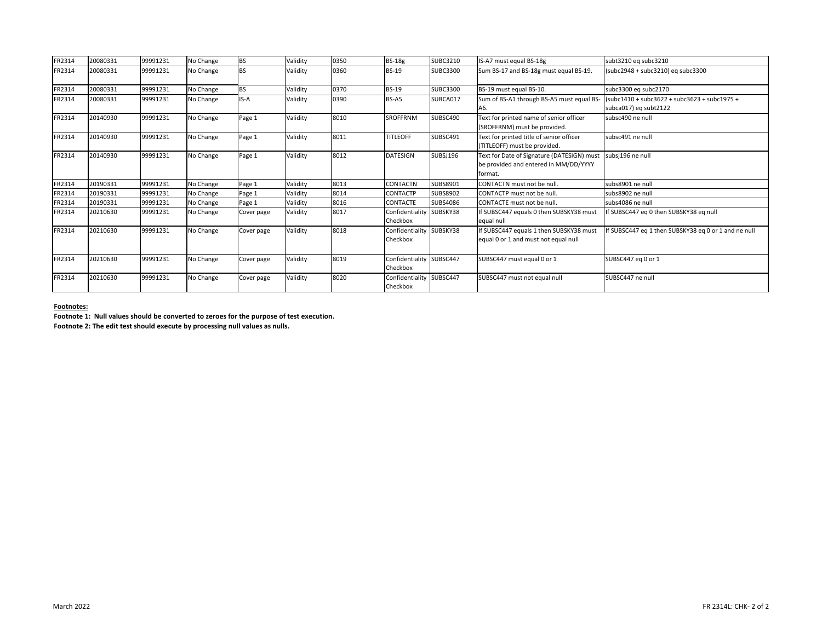| FR2314 | 20080331 | 99991231 | No Change | <b>BS</b>  | Validity | 0350 | <b>BS-18g</b>                               | <b>SUBC3210</b> | IS-A7 must equal BS-18g                                                                        | subt3210 eq subc3210                                                    |
|--------|----------|----------|-----------|------------|----------|------|---------------------------------------------|-----------------|------------------------------------------------------------------------------------------------|-------------------------------------------------------------------------|
| FR2314 | 20080331 | 99991231 | No Change | <b>BS</b>  | Validity | 0360 | <b>BS-19</b>                                | <b>SUBC3300</b> | Sum BS-17 and BS-18g must equal BS-19.                                                         | $(subc2948 + subc3210)$ eq subc3300                                     |
| FR2314 | 20080331 | 99991231 | No Change | <b>BS</b>  | Validity | 0370 | <b>BS-19</b>                                | <b>SUBC3300</b> | BS-19 must equal BS-10.                                                                        | subc3300 eq subc2170                                                    |
| FR2314 | 20080331 | 99991231 | No Change | IS-A       | Validity | 0390 | BS-A5                                       | SUBCA017        | Sum of BS-A1 through BS-A5 must equal BS-<br>A6.                                               | $(subc1410 + subc3622 + subc3623 + subc1975 +$<br>subca017) eq subt2122 |
| FR2314 | 20140930 | 99991231 | No Change | Page 1     | Validity | 8010 | <b>SROFFRNM</b>                             | SUBSC490        | Text for printed name of senior officer<br>(SROFFRNM) must be provided.                        | subsc490 ne null                                                        |
| FR2314 | 20140930 | 99991231 | No Change | Page 1     | Validity | 8011 | <b>TITLEOFF</b>                             | SUBSC491        | Text for printed title of senior officer<br>(TITLEOFF) must be provided.                       | subsc491 ne null                                                        |
| FR2314 | 20140930 | 99991231 | No Change | Page 1     | Validity | 8012 | <b>DATESIGN</b>                             | SUBSJ196        | Text for Date of Signature (DATESIGN) must<br>be provided and entered in MM/DD/YYYY<br>format. | subsj196 ne null                                                        |
| FR2314 | 20190331 | 99991231 | No Change | Page 1     | Validity | 8013 | <b>CONTACTN</b>                             | SUBS8901        | <b>CONTACTN</b> must not be null                                                               | subs8901 ne null                                                        |
| FR2314 | 20190331 | 99991231 | No Change | Page 1     | Validity | 8014 | <b>CONTACTP</b>                             | <b>SUBS8902</b> | CONTACTP must not be null.                                                                     | subs8902 ne null                                                        |
| FR2314 | 20190331 | 99991231 | No Change | Page 1     | Validity | 8016 | <b>CONTACTE</b>                             | <b>SUBS4086</b> | <b>CONTACTE</b> must not be null.                                                              | subs4086 ne null                                                        |
| FR2314 | 20210630 | 99991231 | No Change | Cover page | Validity | 8017 | Confidentiality SUBSKY38<br>Checkbox        |                 | If SUBSC447 equals 0 then SUBSKY38 must<br>equal null                                          | If SUBSC447 eq 0 then SUBSKY38 eq null                                  |
| FR2314 | 20210630 | 99991231 | No Change | Cover page | Validity | 8018 | Confidentiality SUBSKY38<br><b>Checkbox</b> |                 | If SUBSC447 equals 1 then SUBSKY38 must<br>equal 0 or 1 and must not equal null                | If SUBSC447 eq 1 then SUBSKY38 eq 0 or 1 and ne null                    |
| FR2314 | 20210630 | 99991231 | No Change | Cover page | Validity | 8019 | Confidentiality SUBSC447<br>Checkbox        |                 | SUBSC447 must equal 0 or 1                                                                     | SUBSC447 eq 0 or 1                                                      |
| FR2314 | 20210630 | 99991231 | No Change | Cover page | Validity | 8020 | Confidentiality SUBSC447<br>Checkbox        |                 | SUBSC447 must not equal null                                                                   | SUBSC447 ne null                                                        |

**Footnotes:**

**Footnote 1: Null values should be converted to zeroes for the purpose of test execution.**

**Footnote 2: The edit test should execute by processing null values as nulls.**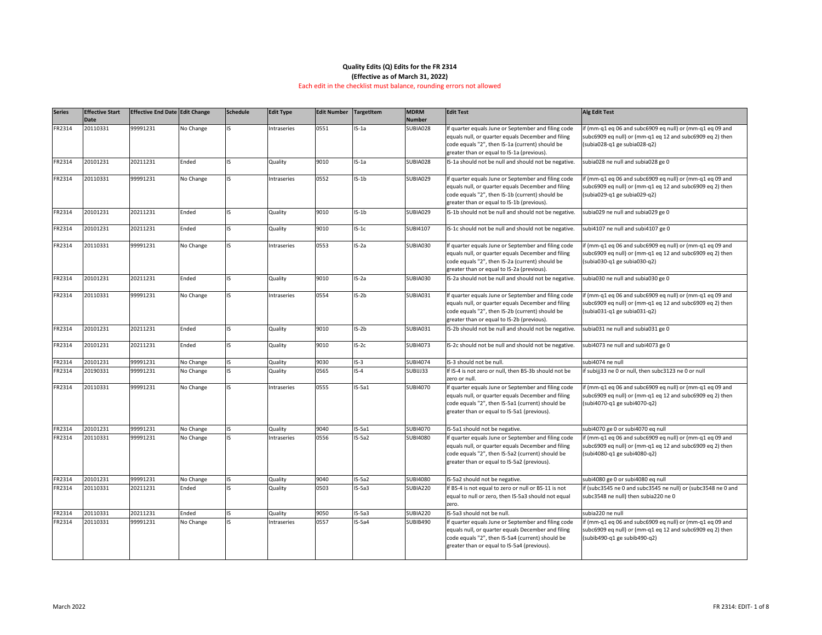| <b>Series</b> | <b>Effective Start</b><br>Date | <b>Effective End Date Edit Change</b> |           | <b>Schedule</b> | <b>Edit Type</b> | <b>Edit Number</b> | <b>TargetItem</b> | <b>MDRM</b><br>Number | <b>Edit Test</b>                                                                                                                                                                                             | <b>Alg Edit Test</b>                                                                                                                                     |
|---------------|--------------------------------|---------------------------------------|-----------|-----------------|------------------|--------------------|-------------------|-----------------------|--------------------------------------------------------------------------------------------------------------------------------------------------------------------------------------------------------------|----------------------------------------------------------------------------------------------------------------------------------------------------------|
| FR2314        | 20110331                       | 99991231                              | No Change |                 | Intraseries      | 0551               | $IS-1a$           | SUBIA028              | If quarter equals June or September and filing code<br>equals null, or quarter equals December and filing<br>code equals "2", then IS-1a (current) should be<br>greater than or equal to IS-1a (previous).   | if (mm-q1 eq 06 and subc6909 eq null) or (mm-q1 eq 09 and<br>subc6909 eq null) or (mm-q1 eq 12 and subc6909 eq 2) then<br>(subia028-q1 ge subia028-q2)   |
| FR2314        | 20101231                       | 20211231                              | Ended     | IS.             | Quality          | 9010               | $IS-1a$           | SUBIA028              | IS-1a should not be null and should not be negative.                                                                                                                                                         | subia028 ne null and subia028 ge 0                                                                                                                       |
| FR2314        | 20110331                       | 99991231                              | No Change |                 | Intraseries      | 0552               | $IS-1b$           | SUBIA029              | If quarter equals June or September and filing code<br>equals null, or quarter equals December and filing<br>code equals "2", then IS-1b (current) should be<br>greater than or equal to IS-1b (previous).   | if (mm-q1 eq 06 and subc6909 eq null) or (mm-q1 eq 09 and<br>subc6909 eq null) or (mm-q1 eq 12 and subc6909 eq 2) then<br>(subia029-q1 ge subia029-q2)   |
| FR2314        | 20101231                       | 20211231                              | Ended     | IS.             | Quality          | 9010               | $IS-1b$           | SUBIA029              | IS-1b should not be null and should not be negative.                                                                                                                                                         | ubia029 ne null and subia029 ge 0                                                                                                                        |
| FR2314        | 20101231                       | 20211231                              | Ended     | IS.             | Quality          | 9010               | $IS-1c$           | SUBI4107              | IS-1c should not be null and should not be negative.                                                                                                                                                         | subi4107 ne null and subi4107 ge 0                                                                                                                       |
| FR2314        | 20110331                       | 99991231                              | No Change |                 | Intraseries      | 0553               | $IS-2a$           | SUBIA030              | If quarter equals June or September and filing code<br>equals null, or quarter equals December and filing<br>code equals "2", then IS-2a (current) should be<br>greater than or equal to IS-2a (previous).   | if (mm-q1 eq 06 and subc6909 eq null) or (mm-q1 eq 09 and<br>subc6909 eq null) or (mm-q1 eq 12 and subc6909 eq 2) then<br>(subia030-q1 ge subia030-q2)   |
| FR2314        | 20101231                       | 20211231                              | Ended     | I۲              | Quality          | 9010               | $IS-2a$           | SUBIA030              | IS-2a should not be null and should not be negative.                                                                                                                                                         | subia030 ne null and subia030 ge 0                                                                                                                       |
| FR2314        | 20110331                       | 99991231                              | No Change | ıς              | Intraseries      | 0554               | $IS-2b$           | SUBIA031              | If quarter equals June or September and filing code<br>equals null, or quarter equals December and filing<br>code equals "2", then IS-2b (current) should be<br>greater than or equal to IS-2b (previous).   | if (mm-q1 eq 06 and subc6909 eq null) or (mm-q1 eq 09 and<br>subc6909 eq null) or (mm-q1 eq 12 and subc6909 eq 2) then<br>(subia031-q1 ge subia031-q2)   |
| FR2314        | 20101231                       | 20211231                              | Ended     | IS.             | Quality          | 9010               | $IS-2b$           | SUBIA031              | IS-2b should not be null and should not be negative.                                                                                                                                                         | subia031 ne null and subia031 ge 0                                                                                                                       |
| FR2314        | 20101231                       | 20211231                              | Ended     | IS.             | Quality          | 9010               | $IS-2c$           | <b>SUBI4073</b>       | IS-2c should not be null and should not be negative.                                                                                                                                                         | subi4073 ne null and subi4073 ge 0                                                                                                                       |
| FR2314        | 20101231                       | 99991231                              | No Change |                 | Quality          | 9030               | $IS-3$            | <b>SUBI4074</b>       | IS-3 should not be null.                                                                                                                                                                                     | subi4074 ne null                                                                                                                                         |
| FR2314        | 20190331                       | 99991231                              | No Change |                 | Quality          | 0565               | $IS-4$            | SUBIJJ33              | If IS-4 is not zero or null, then BS-3b should not be<br>zero or null.                                                                                                                                       | if subijj33 ne 0 or null, then subc3123 ne 0 or null                                                                                                     |
| FR2314        | 20110331                       | 99991231                              | No Change |                 | Intraseries      | 0555               | $IS-5a1$          | <b>SUBI4070</b>       | If quarter equals June or September and filing code<br>equals null, or quarter equals December and filing<br>code equals "2", then IS-5a1 (current) should be<br>greater than or equal to IS-5a1 (previous). | if (mm-q1 eq 06 and subc6909 eq null) or (mm-q1 eq 09 and<br>subc6909 eq null) or (mm-q1 eq 12 and subc6909 eq 2) then<br>(subi4070-q1 ge subi4070-q2)   |
| FR2314        | 20101231                       | 99991231                              | No Change |                 | Quality          | 9040               | $IS-5a1$          | <b>SUBI4070</b>       | IS-5a1 should not be negative.                                                                                                                                                                               | subi4070 ge 0 or subi4070 eq null                                                                                                                        |
| FR2314        | 20110331                       | 99991231                              | No Change |                 | Intraseries      | 0556               | $IS-5a2$          | <b>SUBI4080</b>       | If quarter equals June or September and filing code<br>equals null, or quarter equals December and filing<br>code equals "2", then IS-5a2 (current) should be<br>greater than or equal to IS-5a2 (previous). | if (mm-q1 eq 06 and subc6909 eq null) or (mm-q1 eq 09 and<br>subc6909 eq null) or (mm-q1 eq 12 and subc6909 eq 2) then<br>(subi4080-q1 ge subi4080-q2)   |
| FR2314        | 20101231                       | 99991231                              | No Change |                 | Quality          | 9040               | $IS-5a2$          | <b>SUBI4080</b>       | IS-5a2 should not be negative.                                                                                                                                                                               | subi4080 ge 0 or subi4080 eq null                                                                                                                        |
| FR2314        | 20110331                       | 20211231                              | Ended     |                 | Quality          | 0503               | $IS-5a3$          | SUBIA220              | If BS-4 is not equal to zero or null or BS-11 is not<br>equal to null or zero, then IS-5a3 should not equal<br>zero.                                                                                         | if (subc3545 ne 0 and subc3545 ne null) or (subc3548 ne 0 and<br>subc3548 ne null) then subia220 ne 0                                                    |
| FR2314        | 20110331                       | 20211231                              | Ended     |                 | Quality          | 9050               | $IS-5a3$          | SUBIA220              | IS-5a3 should not be null.                                                                                                                                                                                   | subia220 ne null                                                                                                                                         |
| FR2314        | 20110331                       | 99991231                              | No Change |                 | Intraseries      | 0557               | $IS-5a4$          | SUBIB490              | If quarter equals June or September and filing code<br>equals null, or quarter equals December and filing<br>code equals "2", then IS-5a4 (current) should be<br>greater than or equal to IS-5a4 (previous). | if (mm-q1 eq 06 and subc6909 eq null) or (mm-q1 eq 09 and<br>subc6909 eq null) or (mm-q1 eq 12 and subc6909 eq 2) then<br>$(subib490-q1 ge subib490-q2)$ |

### **Quality Edits (Q) Edits for the FR 2314 (Effective as of March 31, 2022)**

### Each edit in the checklist must balance, rounding errors not allowed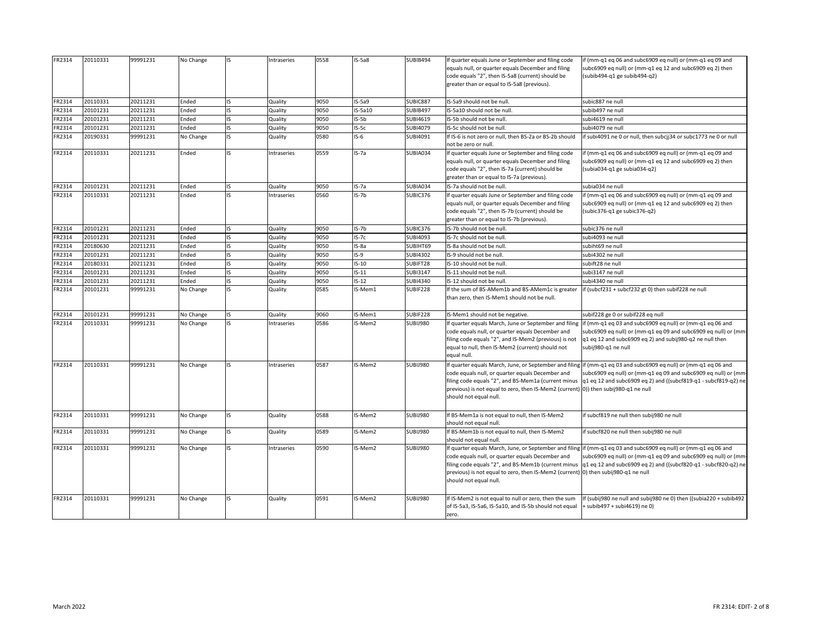| FR2314 | 20110331 | 99991231 | No Change |     | Intraseries | 0558 | $IS-5a8$ | SUBIB494        | If quarter equals June or September and filing code<br>equals null, or quarter equals December and filing<br>code equals "2", then IS-5a8 (current) should be<br>greater than or equal to IS-5a8 (previous). | if (mm-q1 eq 06 and subc6909 eq null) or (mm-q1 eq 09 and<br>subc6909 eq null) or (mm-q1 eq 12 and subc6909 eq 2) then<br>(subib494-q1 ge subib494-q2)                                                                                                                                                      |
|--------|----------|----------|-----------|-----|-------------|------|----------|-----------------|--------------------------------------------------------------------------------------------------------------------------------------------------------------------------------------------------------------|-------------------------------------------------------------------------------------------------------------------------------------------------------------------------------------------------------------------------------------------------------------------------------------------------------------|
| FR2314 | 20110331 | 20211231 | Ended     |     | Quality     | 9050 | $IS-5a9$ | SUBIC887        | IS-5a9 should not be null.                                                                                                                                                                                   | subic887 ne null                                                                                                                                                                                                                                                                                            |
| FR2314 | 20101231 | 20211231 | Ended     |     | Quality     | 9050 | IS-5a10  | SUBIB497        | IS-5a10 should not be null.                                                                                                                                                                                  | subib497 ne null                                                                                                                                                                                                                                                                                            |
| FR2314 | 20101231 | 20211231 | Ended     |     | Quality     | 9050 | $IS-5b$  | <b>SUBI4619</b> | IS-5b should not be null.                                                                                                                                                                                    | subi4619 ne null                                                                                                                                                                                                                                                                                            |
| FR2314 | 20101231 | 20211231 | Ended     |     | Quality     | 9050 | $IS-5c$  | <b>SUBI4079</b> | IS-5c should not be null.                                                                                                                                                                                    | subi4079 ne null                                                                                                                                                                                                                                                                                            |
| FR2314 | 20190331 | 99991231 | No Change |     | Quality     | 0580 | $IS-6$   | SUBI4091        | If IS-6 is not zero or null, then BS-2a or BS-2b should<br>not be zero or null.                                                                                                                              | if subi4091 ne 0 or null, then subcjj34 or subc1773 ne 0 or null                                                                                                                                                                                                                                            |
| FR2314 | 20110331 | 20211231 | Ended     |     | Intraseries | 0559 | $IS-7a$  | SUBIA034        | If quarter equals June or September and filing code<br>equals null, or quarter equals December and filing<br>code equals "2", then IS-7a (current) should be<br>greater than or equal to IS-7a (previous).   | if (mm-q1 eq 06 and subc6909 eq null) or (mm-q1 eq 09 and<br>subc6909 eq null) or (mm-q1 eq 12 and subc6909 eq 2) then<br>$(subia034-q1 ge subia034-q2)$                                                                                                                                                    |
| FR2314 | 20101231 | 20211231 | Ended     | IS. | Quality     | 9050 | $IS-7a$  | SUBIA034        | IS-7a should not be null.                                                                                                                                                                                    | subia034 ne null                                                                                                                                                                                                                                                                                            |
| FR2314 | 20110331 | 20211231 | Ended     |     | Intraseries | 0560 | $IS-7b$  | SUBIC376        | If quarter equals June or September and filing code<br>equals null, or quarter equals December and filing<br>code equals "2", then IS-7b (current) should be<br>greater than or equal to IS-7b (previous).   | if (mm-q1 eq 06 and subc6909 eq null) or (mm-q1 eq 09 and<br>subc6909 eq null) or (mm-q1 eq 12 and subc6909 eq 2) then<br>(subic376-q1 ge subic376-q2)                                                                                                                                                      |
| FR2314 | 20101231 | 20211231 | Ended     | IS  | Quality     | 9050 | IS-7b    | SUBIC376        | IS-7b should not be null.                                                                                                                                                                                    | subic376 ne null                                                                                                                                                                                                                                                                                            |
| FR2314 | 20101231 | 20211231 | Ended     |     | Quality     | 9050 | $IS-7c$  | <b>SUBI4093</b> | IS-7c should not be null.                                                                                                                                                                                    | ubi4093 ne null                                                                                                                                                                                                                                                                                             |
| FR2314 | 20180630 | 20211231 | Ended     |     | Quality     | 9050 | IS-8a    | SUBIHT69        | IS-8a should not be null.                                                                                                                                                                                    | subiht69 ne null                                                                                                                                                                                                                                                                                            |
| FR2314 | 20101231 | 20211231 | Ended     | IS. | Quality     | 9050 | $IS-9$   | <b>SUBI4302</b> | IS-9 should not be null.                                                                                                                                                                                     | subi4302 ne null                                                                                                                                                                                                                                                                                            |
| FR2314 | 20180331 | 20211231 | Ended     |     | Quality     | 9050 | $IS-10$  | SUBIFT28        | IS-10 should not be null.                                                                                                                                                                                    | subift28 ne null                                                                                                                                                                                                                                                                                            |
| FR2314 | 20101231 | 20211231 | Ended     |     | Quality     | 9050 | $IS-11$  | <b>SUBI3147</b> | IS-11 should not be null.                                                                                                                                                                                    | subi3147 ne null                                                                                                                                                                                                                                                                                            |
| FR2314 | 20101231 | 20211231 | Ended     |     | Quality     | 9050 | $IS-12$  | <b>SUBI4340</b> | IS-12 should not be null.                                                                                                                                                                                    | subi4340 ne null                                                                                                                                                                                                                                                                                            |
| FR2314 | 20101231 | 99991231 | No Change |     | Quality     | 0585 | IS-Mem1  | SUBIF228        | If the sum of BS-AMem1b and BS-AMem1c is greater<br>than zero, then IS-Mem1 should not be null.                                                                                                              | if (subcf231 + subcf232 gt 0) then subif228 ne null                                                                                                                                                                                                                                                         |
| FR2314 | 20101231 | 99991231 | No Change |     | Quality     | 9060 | IS-Mem1  | SUBIF228        | IS-Mem1 should not be negative.                                                                                                                                                                              | subif228 ge 0 or subif228 eq null                                                                                                                                                                                                                                                                           |
| FR2314 | 20110331 | 99991231 | No Change |     | Intraseries | 0586 | IS-Mem2  | <b>SUBIJ980</b> |                                                                                                                                                                                                              | If quarter equals March, June or September and filing lif (mm-q1 eq 03 and subc6909 eq null) or (mm-q1 eq 06 and                                                                                                                                                                                            |
|        |          |          |           |     |             |      |          |                 | code equals null, or quarter equals December and<br>filing code equals "2", and IS-Mem2 (previous) is not<br>equal to null, then IS-Mem2 (current) should not<br>equal null.                                 | subc6909 eq null) or (mm-q1 eq 09 and subc6909 eq null) or (mm-<br>$q1$ eq 12 and subc6909 eq 2) and subij980-q2 ne null then<br>subij980-q1 ne null                                                                                                                                                        |
| FR2314 | 20110331 | 99991231 | No Change |     | Intraseries | 0587 | IS-Mem2  | <b>SUBIJ980</b> | code equals null, or quarter equals December and<br>previous) is not equal to zero, then IS-Mem2 (current) (0)) then subij980-q1 ne null<br>should not equal null.                                           | If quarter equals March, June, or September and filing if (mm-q1 eq 03 and subc6909 eq null) or (mm-q1 eq 06 and<br>subc6909 eq null) or (mm-q1 eq 09 and subc6909 eq null) or (mm-<br>filing code equals "2", and BS-Mem1a (current minus  q1 eq 12 and subc6909 eq 2) and ((subcf819-q1 - subcf819-q2) ne |
| FR2314 | 20110331 | 99991231 | No Change |     | Quality     | 0588 | IS-Mem2  | SUBIJ980        | If BS-Mem1a is not equal to null, then IS-Mem2<br>should not equal null.                                                                                                                                     | if subcf819 ne null then subij980 ne null                                                                                                                                                                                                                                                                   |
| FR2314 | 20110331 | 99991231 | No Change |     | Quality     | 0589 | IS-Mem2  | SUBIJ980        | If BS-Mem1b is not equal to null, then IS-Mem2<br>should not equal null.                                                                                                                                     | if subcf820 ne null then subij980 ne null                                                                                                                                                                                                                                                                   |
| FR2314 | 20110331 | 99991231 | No Change |     | Intraseries | 0590 | IS-Mem2  | SUBIJ980        | code equals null, or quarter equals December and<br>previous) is not equal to zero, then IS-Mem2 (current) 0) then subij980-q1 ne null<br>should not equal null.                                             | If quarter equals March, June, or September and filing if (mm-q1 eq 03 and subc6909 eq null) or (mm-q1 eq 06 and<br>subc6909 eq null) or (mm-q1 eq 09 and subc6909 eq null) or (mm-<br>filing code equals "2", and BS-Mem1b (current minus  q1 eq 12 and subc6909 eq 2) and ((subcf820-q1 - subcf820-q2) ne |
| FR2314 | 20110331 | 99991231 | No Change |     | Quality     | 0591 | IS-Mem2  | SUBIJ980        | If IS-Mem2 is not equal to null or zero, then the sum<br>of IS-5a3, IS-5a6, IS-5a10, and IS-5b should not equal<br>zero.                                                                                     | If (subij980 ne null and subij980 ne 0) then ((subia220 + subib492<br>+ subib497 + subi4619) ne 0)                                                                                                                                                                                                          |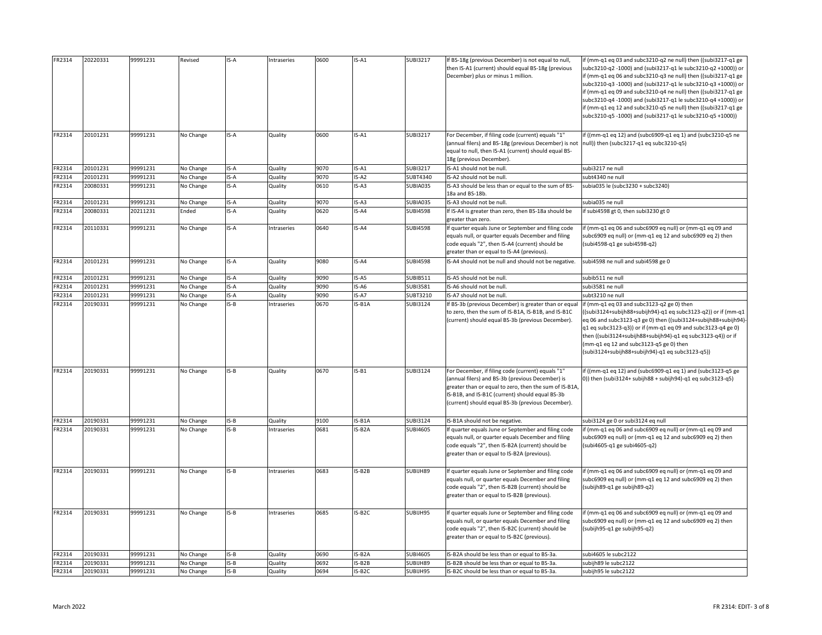| FR2314 | 20220331 | 99991231 | Revised   | IS-A   | Intraseries | 0600 | $IS-A1$  | <b>SUBI3217</b> | If BS-18g (previous December) is not equal to null,<br>then IS-A1 (current) should equal BS-18g (previous<br>December) plus or minus 1 million.                                                                                                                         | lif (mm-q1 eq 03 and subc3210-q2 ne null) then ((subi3217-q1 ge<br>subc3210-q2 -1000) and (subi3217-q1 le subc3210-q2 +1000)) or<br>if (mm-q1 eq 06 and subc3210-q3 ne null) then ((subi3217-q1 ge<br>subc3210-q3 -1000) and (subi3217-q1 le subc3210-q3 +1000)) or<br>if (mm-q1 eq 09 and subc3210-q4 ne null) then ((subi3217-q1 ge<br>subc3210-q4 -1000) and (subi3217-q1 le subc3210-q4 +1000)) or<br>if (mm-q1 eq 12 and subc3210-q5 ne null) then ((subi3217-q1 ge<br>subc3210-q5 -1000) and (subi3217-q1 le subc3210-q5 +1000)) |
|--------|----------|----------|-----------|--------|-------------|------|----------|-----------------|-------------------------------------------------------------------------------------------------------------------------------------------------------------------------------------------------------------------------------------------------------------------------|----------------------------------------------------------------------------------------------------------------------------------------------------------------------------------------------------------------------------------------------------------------------------------------------------------------------------------------------------------------------------------------------------------------------------------------------------------------------------------------------------------------------------------------|
| FR2314 | 20101231 | 99991231 | No Change | IS-A   | Quality     | 0600 | $IS-A1$  | <b>SUBI3217</b> | For December, if filing code (current) equals "1"<br>(annual filers) and BS-18g (previous December) is not  null)) then (subc3217-q1 eq subc3210-q5)<br>equal to null, then IS-A1 (current) should equal BS-<br>18g (previous December).                                | $\frac{1}{2}$ if ((mm-q1 eq 12) and (subc6909-q1 eq 1) and (subc3210-q5 ne                                                                                                                                                                                                                                                                                                                                                                                                                                                             |
| FR2314 | 20101231 | 99991231 | No Change | IS-A   | Quality     | 9070 | $IS-A1$  | <b>SUBI3217</b> | IS-A1 should not be null.                                                                                                                                                                                                                                               | subi3217 ne null                                                                                                                                                                                                                                                                                                                                                                                                                                                                                                                       |
| FR2314 | 20101231 | 99991231 | No Change | IS-A   | Quality     | 9070 | $IS-A2$  | <b>SUBT4340</b> | IS-A2 should not be null.                                                                                                                                                                                                                                               | subt4340 ne null                                                                                                                                                                                                                                                                                                                                                                                                                                                                                                                       |
| FR2314 | 20080331 | 99991231 | No Change | IS-A   | Quality     | 0610 | $IS- A3$ | SUBIA035        | IS-A3 should be less than or equal to the sum of BS-<br>18a and BS-18b.                                                                                                                                                                                                 | subia035 le (subc3230 + subc3240)                                                                                                                                                                                                                                                                                                                                                                                                                                                                                                      |
| FR2314 | 20101231 | 99991231 | No Change | IS-A   | Quality     | 9070 | $IS- A3$ | SUBIA035        | IS-A3 should not be null.                                                                                                                                                                                                                                               | subia035 ne null                                                                                                                                                                                                                                                                                                                                                                                                                                                                                                                       |
| FR2314 | 20080331 | 20211231 | Ended     | IS-A   | Quality     | 0620 | IS-A4    | <b>SUBI4598</b> | If IS-A4 is greater than zero, then BS-18a should be<br>greater than zero.                                                                                                                                                                                              | if subi4598 gt 0, then subi3230 gt 0                                                                                                                                                                                                                                                                                                                                                                                                                                                                                                   |
| FR2314 | 20110331 | 99991231 | No Change | IS-A   | Intraseries | 0640 | IS-A4    | <b>SUBI4598</b> | If quarter equals June or September and filing code<br>equals null, or quarter equals December and filing<br>code equals "2", then IS-A4 (current) should be<br>greater than or equal to IS-A4 (previous).                                                              | if (mm-q1 eq 06 and subc6909 eq null) or (mm-q1 eq 09 and<br>subc6909 eq null) or (mm-q1 eq 12 and subc6909 eq 2) then<br>(subi4598-q1 ge subi4598-q2)                                                                                                                                                                                                                                                                                                                                                                                 |
| FR2314 | 20101231 | 99991231 | No Change | IS-A   | Quality     | 9080 | IS-A4    | <b>SUBI4598</b> | IS-A4 should not be null and should not be negative.                                                                                                                                                                                                                    | subi4598 ne null and subi4598 ge 0                                                                                                                                                                                                                                                                                                                                                                                                                                                                                                     |
| FR2314 | 20101231 | 99991231 | No Change | IS-A   | Quality     | 9090 | $IS-AS$  | <b>SUBIB511</b> | IS-A5 should not be null.                                                                                                                                                                                                                                               | subib511 ne null                                                                                                                                                                                                                                                                                                                                                                                                                                                                                                                       |
| FR2314 | 20101231 | 99991231 | No Change | IS-A   | Quality     | 9090 | IS-A6    | <b>SUBI3581</b> | IS-A6 should not be null.                                                                                                                                                                                                                                               | subi3581 ne null                                                                                                                                                                                                                                                                                                                                                                                                                                                                                                                       |
| FR2314 | 20101231 | 99991231 | No Change | IS-A   | Quality     | 9090 | IS-A7    | <b>SUBT3210</b> | IS-A7 should not be null.                                                                                                                                                                                                                                               | subt3210 ne null                                                                                                                                                                                                                                                                                                                                                                                                                                                                                                                       |
| FR2314 | 20190331 | 99991231 | No Change | $IS-B$ | Intraseries | 0670 | IS-B1A   | <b>SUBI3124</b> | If BS-3b (previous December) is greater than or equal<br>to zero, then the sum of IS-B1A, IS-B1B, and IS-B1C<br>(current) should equal BS-3b (previous December).                                                                                                       | $\left  \text{if (mm-q1 eq 03 and subc3123-q2 ge 0)} \right $ then<br>$((\text{subi3124}+\text{subi})88+\text{subi})94)$ -q1 eq subc3123-q2) or if (mm-q1<br>eq 06 and subc3123-q3 ge 0) then ((subi3124+subijh88+subijh94)-<br>$q1$ eq subc3123-q3)) or if (mm-q1 eq 09 and subc3123-q4 ge 0)<br>then ((subi3124+subijh88+subijh94)-q1 eq subc3123-q4)) or if<br>$\frac{1}{2}$ (mm-q1 eq 12 and subc3123-q5 ge 0) then<br>$(subi3124+subjh88+subjh94)-q1 eq subc3123-q5)$                                                             |
| FR2314 | 20190331 | 99991231 | No Change | $IS-B$ | Quality     | 0670 | $IS-B1$  | <b>SUBI3124</b> | For December, if filing code (current) equals "1"<br>(annual filers) and BS-3b (previous December) is<br>greater than or equal to zero, then the sum of IS-B1A,<br>IS-B1B, and IS-B1C (current) should equal BS-3b<br>(current) should equal BS-3b (previous December). | $\frac{1}{2}$ if ((mm-q1 eq 12) and (subc6909-q1 eq 1) and (subc3123-q5 ge<br>$ 0\rangle$ ) then (subi3124+ subijh88 + subijh94)-q1 eq subc3123-q5)                                                                                                                                                                                                                                                                                                                                                                                    |
| FR2314 | 20190331 | 99991231 | No Change | $IS-B$ | Quality     | 9100 | IS-B1A   | <b>SUBI3124</b> | IS-B1A should not be negative.                                                                                                                                                                                                                                          | subi3124 ge 0 or subi3124 eq null                                                                                                                                                                                                                                                                                                                                                                                                                                                                                                      |
| FR2314 | 20190331 | 99991231 | No Change | $IS-B$ | Intraseries | 0681 | IS-B2A   | <b>SUBI4605</b> | If quarter equals June or September and filing code<br>equals null, or quarter equals December and filing<br>code equals "2", then IS-B2A (current) should be<br>greater than or equal to IS-B2A (previous).                                                            | if (mm-q1 eq 06 and subc6909 eq null) or (mm-q1 eq 09 and<br>subc6909 eq null) or (mm-q1 eq 12 and subc6909 eq 2) then<br>(subi4605-q1 ge subi4605-q2)                                                                                                                                                                                                                                                                                                                                                                                 |
| FR2314 | 20190331 | 99991231 | No Change | $IS-B$ | Intraseries | 0683 | IS-B2B   | SUBIJH89        | If quarter equals June or September and filing code<br>equals null, or quarter equals December and filing<br>code equals "2", then IS-B2B (current) should be<br>greater than or equal to IS-B2B (previous).                                                            | if (mm-q1 eq 06 and subc6909 eq null) or (mm-q1 eq 09 and<br>subc6909 eq null) or (mm-q1 eq 12 and subc6909 eq 2) then<br>(subijh89-q1 ge subijh89-q2)                                                                                                                                                                                                                                                                                                                                                                                 |
| FR2314 | 20190331 | 99991231 | No Change | $IS-B$ | Intraseries | 0685 | IS-B2C   | SUBIJH95        | If quarter equals June or September and filing code<br>equals null, or quarter equals December and filing<br>code equals "2", then IS-B2C (current) should be<br>greater than or equal to IS-B2C (previous).                                                            | if (mm-q1 eq 06 and subc6909 eq null) or (mm-q1 eq 09 and<br>subc6909 eq null) or (mm-q1 eq 12 and subc6909 eq 2) then<br>(subijh95-q1 ge subijh95-q2)                                                                                                                                                                                                                                                                                                                                                                                 |
| FR2314 | 20190331 | 99991231 | No Change | $IS-B$ | Quality     | 0690 | IS-B2A   | <b>SUBI4605</b> | IS-B2A should be less than or equal to BS-3a.                                                                                                                                                                                                                           | subi4605 le subc2122                                                                                                                                                                                                                                                                                                                                                                                                                                                                                                                   |
| FR2314 | 20190331 | 99991231 | No Change | $IS-B$ | Quality     | 0692 | IS-B2B   | SUBIJH89        | IS-B2B should be less than or equal to BS-3a.                                                                                                                                                                                                                           | subijh89 le subc2122                                                                                                                                                                                                                                                                                                                                                                                                                                                                                                                   |
| FR2314 | 20190331 | 99991231 | No Change | $IS-B$ | Quality     | 0694 | IS-B2C   | SUBIJH95        | IS-B2C should be less than or equal to BS-3a.                                                                                                                                                                                                                           | subijh95 le subc2122                                                                                                                                                                                                                                                                                                                                                                                                                                                                                                                   |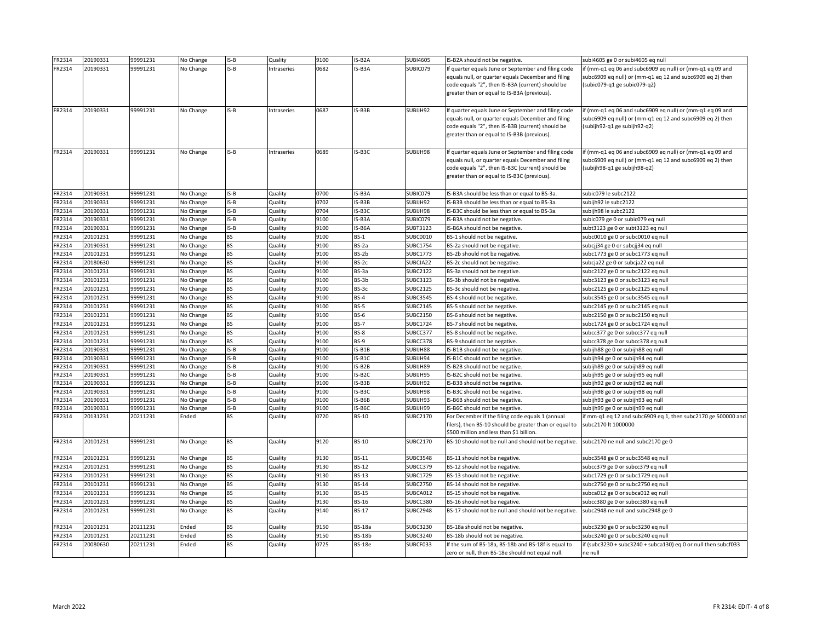| FR2314 | 20190331 | 99991231 | No Change | $IS-B$           | Quality     | 9100         | IS-B2A           | <b>SUBI4605</b> | IS-B2A should not be negative.                                                                             | subi4605 ge 0 or subi4605 eq null                                                    |
|--------|----------|----------|-----------|------------------|-------------|--------------|------------------|-----------------|------------------------------------------------------------------------------------------------------------|--------------------------------------------------------------------------------------|
| FR2314 | 20190331 | 99991231 | No Change | $IS-B$           | Intraseries | 0682         | IS-B3A           | SUBIC079        | If quarter equals June or September and filing code                                                        | lif (mm-q1 eq 06 and subc6909 eq null) or (mm-q1 eq 09 and                           |
|        |          |          |           |                  |             |              |                  |                 | equals null, or quarter equals December and filing                                                         | subc6909 eq null) or (mm-q1 eq 12 and subc6909 eq 2) then                            |
|        |          |          |           |                  |             |              |                  |                 | code equals "2", then IS-B3A (current) should be                                                           | $(subic079-q1 ge subic079-q2)$                                                       |
|        |          |          |           |                  |             |              |                  |                 | greater than or equal to IS-B3A (previous).                                                                |                                                                                      |
|        |          |          |           |                  |             |              |                  |                 |                                                                                                            |                                                                                      |
| FR2314 | 20190331 | 99991231 | No Change | $IS-B$           | Intraseries | 0687         | $IS-B3B$         | SUBIJH92        | If quarter equals June or September and filing code                                                        | f (mm-q1 eq 06 and subc6909 eq null) or (mm-q1 eq 09 and                             |
|        |          |          |           |                  |             |              |                  |                 | equals null, or quarter equals December and filing                                                         | subc6909 eq null) or (mm-q1 eq 12 and subc6909 eq 2) then                            |
|        |          |          |           |                  |             |              |                  |                 | code equals "2", then IS-B3B (current) should be                                                           | (subijh92-q1 ge subijh92-q2)                                                         |
|        |          |          |           |                  |             |              |                  |                 | greater than or equal to IS-B3B (previous).                                                                |                                                                                      |
|        |          |          |           |                  |             |              |                  |                 |                                                                                                            |                                                                                      |
| FR2314 | 20190331 | 99991231 | No Change | $IS-B$           | Intraseries | 0689         | IS-B3C           | SUBIJH98        | If quarter equals June or September and filing code                                                        | f (mm-q1 eq 06 and subc6909 eq null) or (mm-q1 eq 09 and                             |
|        |          |          |           |                  |             |              |                  |                 | equals null, or quarter equals December and filing                                                         | subc6909 eq null) or (mm-q1 eq 12 and subc6909 eq 2) then                            |
|        |          |          |           |                  |             |              |                  |                 | code equals "2", then IS-B3C (current) should be                                                           | (subijh98-q1 ge subijh98-q2)                                                         |
|        |          |          |           |                  |             |              |                  |                 | greater than or equal to IS-B3C (previous).                                                                |                                                                                      |
|        |          |          |           |                  |             |              |                  |                 |                                                                                                            |                                                                                      |
| FR2314 | 20190331 | 99991231 | No Change | $IS-B$           | Quality     | 0700         | IS-B3A           | SUBIC079        | IS-B3A should be less than or equal to BS-3a.                                                              | subic079 le subc2122                                                                 |
| FR2314 | 20190331 | 99991231 | No Change | $IS-B$           | Quality     | 0702         | IS-B3B           | SUBIJH92        | IS-B3B should be less than or equal to BS-3a.                                                              | subijh92 le subc2122                                                                 |
| FR2314 | 20190331 | 99991231 | No Change | $IS-B$           | Quality     | 0704         | IS-B3C           | SUBIJH98        | IS-B3C should be less than or equal to BS-3a.                                                              | subijh98 le subc2122                                                                 |
| FR2314 | 20190331 | 99991231 | No Change | $IS-B$           | Quality     | 9100         | IS-B3A           | SUBIC079        | IS-B3A should not be negative.                                                                             | subic079 ge 0 or subic079 eq null                                                    |
| FR2314 | 20190331 | 99991231 | No Change | $IS-B$           | Quality     | 9100         | IS-B6A           | <b>SUBT3123</b> | IS-B6A should not be negative.                                                                             | subt3123 ge 0 or subt3123 eq null                                                    |
| FR2314 | 20101231 | 99991231 | No Change | <b>BS</b>        | Quality     | 9100         | $BS-1$           | <b>SUBC0010</b> | BS-1 should not be negative.                                                                               | subc0010 ge 0 or subc0010 eq null                                                    |
| FR2314 | 20190331 | 99991231 | No Change | <b>BS</b>        | Quality     | 9100         | BS-2a            | <b>SUBC1754</b> | BS-2a should not be negative.                                                                              | subcjj34 ge 0 or subcjj34 eq null                                                    |
| FR2314 | 20101231 | 99991231 | No Change | <b>BS</b>        | Quality     | 9100         | BS-2b            | <b>SUBC1773</b> | BS-2b should not be negative.                                                                              | subc1773 ge 0 or subc1773 eq null                                                    |
| FR2314 | 20180630 | 99991231 | No Change | <b>BS</b>        | Quality     | 9100         | BS-2c            | SUBCJA22        | BS-2c should not be negative.                                                                              | subcja22 ge 0 or subcja22 eq null                                                    |
| FR2314 | 20101231 | 99991231 | No Change | <b>BS</b>        | Quality     | 9100         | BS-3a            | <b>SUBC2122</b> | BS-3a should not be negative.                                                                              | subc2122 ge 0 or subc2122 eq null                                                    |
| FR2314 | 20101231 | 99991231 | No Change | <b>BS</b>        | Quality     | 9100         | BS-3b            | <b>SUBC3123</b> | BS-3b should not be negative.                                                                              | subc3123 ge 0 or subc3123 eq null                                                    |
| FR2314 | 20101231 | 99991231 | No Change | <b>BS</b>        | Quality     | 9100         | BS-3c            | <b>SUBC2125</b> | BS-3c should not be negative.                                                                              | subc2125 ge 0 or subc2125 eq null                                                    |
| FR2314 | 20101231 | 99991231 | No Change | <b>BS</b>        | Quality     | 9100         | $BS-4$           | <b>SUBC3545</b> | BS-4 should not be negative.                                                                               | subc3545 ge 0 or subc3545 eq null                                                    |
| FR2314 | 20101231 | 99991231 | No Change | <b>BS</b>        | Quality     | 9100         | <b>BS-5</b>      | <b>SUBC2145</b> | BS-5 should not be negative.                                                                               | subc2145 ge 0 or subc2145 eq null                                                    |
| FR2314 | 20101231 | 99991231 | No Change | <b>BS</b>        | Quality     | 9100         | <b>BS-6</b>      | <b>SUBC2150</b> | BS-6 should not be negative.                                                                               | subc2150 ge 0 or subc2150 eq null                                                    |
| FR2314 | 20101231 | 99991231 | No Change | <b>BS</b>        | Quality     | 9100         | <b>BS-7</b>      | <b>SUBC1724</b> | BS-7 should not be negative.                                                                               | subc1724 ge 0 or subc1724 eq null                                                    |
| FR2314 | 20101231 | 99991231 | No Change | <b>BS</b>        | Quality     | 9100         | <b>BS-8</b>      | SUBCC377        | BS-8 should not be negative.                                                                               | subcc377 ge 0 or subcc377 eq null                                                    |
| FR2314 | 20101231 | 99991231 | No Change | <b>BS</b>        | Quality     | 9100         | <b>BS-9</b>      | SUBCC378        | BS-9 should not be negative.                                                                               | subcc378 ge 0 or subcc378 eq null                                                    |
| FR2314 | 20190331 | 99991231 | No Change | $IS-B$           | Quality     | 9100         | $IS-B1B$         | SUBIJH88        | IS-B1B should not be negative.                                                                             | subijh 88 ge 0 or subijh 88 eq null                                                  |
| FR2314 | 20190331 | 99991231 | No Change | $IS-B$           | Quality     | 9100         | IS-B1C           | SUBIJH94        | IS-B1C should not be negative.                                                                             | subijh94 ge 0 or subijh94 eq null                                                    |
| FR2314 | 20190331 | 99991231 | No Change | $IS-B$           | Quality     | 9100         | IS-B2B           | SUBIJH89        | IS-B2B should not be negative.                                                                             | subijh 89 ge 0 or subijh 89 eq null                                                  |
| FR2314 | 20190331 | 99991231 | No Change | $IS-B$           | Quality     | 9100         | IS-B2C           | SUBIJH95        | IS-B2C should not be negative.                                                                             | subijh95 ge 0 or subijh95 eq null                                                    |
| FR2314 | 20190331 | 99991231 | No Change | $IS-B$           | Quality     | 9100         | $IS-B3B$         | SUBIJH92        | IS-B3B should not be negative.                                                                             | subijh92 ge 0 or subijh92 eq null                                                    |
| FR2314 | 20190331 | 99991231 | No Change | $IS-B$           | Quality     | 9100         | IS-B3C           | SUBIJH98        | IS-B3C should not be negative.                                                                             | subijh98 ge 0 or subijh98 eq null                                                    |
| FR2314 | 20190331 | 99991231 | No Change | $IS-B$<br>$IS-B$ | Quality     | 9100         | IS-B6B<br>IS-B6C | SUBIJH93        | IS-B6B should not be negative.                                                                             | subijh93 ge 0 or subijh93 eq null                                                    |
| FR2314 | 20190331 | 99991231 | No Change |                  | Quality     | 9100<br>0720 |                  | SUBIJH99        | IS-B6C should not be negative.                                                                             | subijh99 ge 0 or subijh99 eq null                                                    |
| FR2314 | 20131231 | 20211231 | Ended     | <b>BS</b>        | Quality     |              | <b>BS-10</b>     | SUBC2170        | For December if the filing code equals 1 (annual<br>filers), then BS-10 should be greater than or equal to | if mm-q1 eq 12 and subc6909 eq 1, then subc2170 ge 500000 and<br>subc2170 lt 1000000 |
|        |          |          |           |                  |             |              |                  |                 | \$500 million and less than \$1 billion.                                                                   |                                                                                      |
| FR2314 | 20101231 | 99991231 | No Change | <b>BS</b>        | Quality     | 9120         | <b>BS-10</b>     | <b>SUBC2170</b> | BS-10 should not be null and should not be negative.                                                       | subc2170 ne null and subc2170 ge 0                                                   |
|        |          |          |           |                  |             |              |                  |                 |                                                                                                            |                                                                                      |
| FR2314 | 20101231 | 99991231 | No Change | <b>BS</b>        | Quality     | 9130         | <b>BS-11</b>     | <b>SUBC3548</b> | BS-11 should not be negative.                                                                              | subc3548 ge 0 or subc3548 eq null                                                    |
| FR2314 | 20101231 | 99991231 | No Change | <b>BS</b>        | Quality     | 9130         | <b>BS-12</b>     | SUBCC379        | BS-12 should not be negative.                                                                              | subcc379 ge 0 or subcc379 eq null                                                    |
| FR2314 | 20101231 | 99991231 | No Change | <b>BS</b>        | Quality     | 9130         | <b>BS-13</b>     | <b>SUBC1729</b> | BS-13 should not be negative.                                                                              | subc1729 ge 0 or subc1729 eq null                                                    |
| FR2314 | 20101231 | 99991231 | No Change | <b>BS</b>        | Quality     | 9130         | <b>BS-14</b>     | <b>SUBC2750</b> | BS-14 should not be negative.                                                                              | subc2750 ge 0 or subc2750 eq null                                                    |
| FR2314 | 20101231 | 99991231 | No Change | <b>BS</b>        | Quality     | 9130         | <b>BS-15</b>     | SUBCA012        | BS-15 should not be negative.                                                                              | subca012 ge 0 or subca012 eq null                                                    |
| FR2314 | 20101231 | 99991231 | No Change | <b>BS</b>        | Quality     | 9130         | <b>BS-16</b>     | SUBCC380        | BS-16 should not be negative.                                                                              | subcc380 ge 0 or subcc380 eq null                                                    |
| FR2314 | 20101231 | 99991231 | No Change | <b>BS</b>        | Quality     | 9140         | <b>BS-17</b>     | <b>SUBC2948</b> | BS-17 should not be null and should not be negative.                                                       | subc2948 ne null and subc2948 ge 0                                                   |
|        |          |          |           |                  |             |              |                  |                 |                                                                                                            |                                                                                      |
| FR2314 | 20101231 | 20211231 | Ended     | <b>BS</b>        | Quality     | 9150         | <b>BS-18a</b>    | <b>SUBC3230</b> | BS-18a should not be negative.                                                                             | subc3230 ge 0 or subc3230 eq null                                                    |
| FR2314 | 20101231 | 20211231 | Ended     | <b>BS</b>        | Quality     | 9150         | <b>BS-18b</b>    | <b>SUBC3240</b> | BS-18b should not be negative.                                                                             | subc3240 ge 0 or subc3240 eq null                                                    |
| FR2314 | 20080630 | 20211231 | Ended     | <b>BS</b>        | Quality     | 0725         | <b>BS-18e</b>    | SUBCF033        | If the sum of BS-18a, BS-18b and BS-18f is equal to                                                        | if (subc3230 + subc3240 + subca130) eq 0 or null then subcf033                       |
|        |          |          |           |                  |             |              |                  |                 | zero or null, then BS-18e should not equal null.                                                           | ne null                                                                              |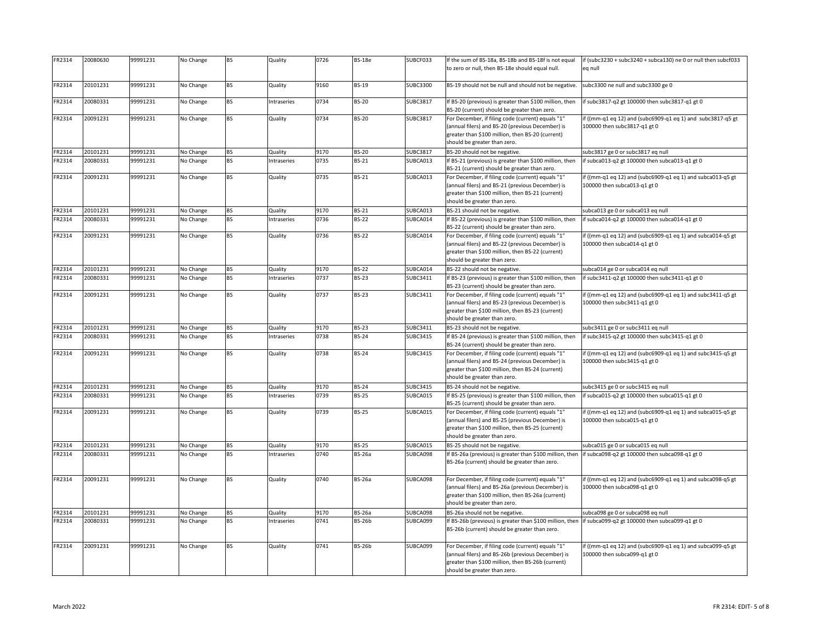| FR2314 | 20080630 | 99991231 | No Change | <b>BS</b> | Quality     | 0726 | <b>BS-18e</b> | SUBCF033        | If the sum of BS-18a, BS-18b and BS-18f is not equal<br>to zero or null, then BS-18e should equal null.                                                                                     | if (subc3230 + subc3240 + subca130) ne 0 or null then subcf033<br>eq null                   |
|--------|----------|----------|-----------|-----------|-------------|------|---------------|-----------------|---------------------------------------------------------------------------------------------------------------------------------------------------------------------------------------------|---------------------------------------------------------------------------------------------|
| FR2314 | 20101231 | 99991231 | No Change | <b>BS</b> | Quality     | 9160 | <b>BS-19</b>  | <b>SUBC3300</b> | BS-19 should not be null and should not be negative.                                                                                                                                        | ubc3300 ne null and subc3300 ge 0                                                           |
| FR2314 | 20080331 | 99991231 | No Change | <b>BS</b> | Intraseries | 0734 | <b>BS-20</b>  | <b>SUBC3817</b> | If BS-20 (previous) is greater than \$100 million, then<br>BS-20 (current) should be greater than zero.                                                                                     | if subc3817-q2 gt 100000 then subc3817-q1 gt 0                                              |
| FR2314 | 20091231 | 99991231 | No Change | <b>BS</b> | Quality     | 0734 | <b>BS-20</b>  | <b>SUBC3817</b> | For December, if filing code (current) equals "1"<br>(annual filers) and BS-20 (previous December) is<br>greater than \$100 million, then BS-20 (current)<br>should be greater than zero.   | if ((mm-q1 eq 12) and (subc6909-q1 eq 1) and subc3817-q5 gt<br>100000 then subc3817-q1 gt 0 |
| FR2314 | 20101231 | 99991231 | No Change | <b>BS</b> | Quality     | 9170 | <b>BS-20</b>  | <b>SUBC3817</b> | BS-20 should not be negative.                                                                                                                                                               | subc3817 ge 0 or subc3817 eq null                                                           |
| FR2314 | 20080331 | 99991231 | No Change | <b>BS</b> | Intraseries | 0735 | <b>BS-21</b>  | SUBCA013        | If BS-21 (previous) is greater than \$100 million, then<br>BS-21 (current) should be greater than zero.                                                                                     | if subca013-q2 gt 100000 then subca013-q1 gt 0                                              |
| FR2314 | 20091231 | 99991231 | No Change | <b>BS</b> | Quality     | 0735 | <b>BS-21</b>  | SUBCA013        | For December, if filing code (current) equals "1"<br>(annual filers) and BS-21 (previous December) is<br>greater than \$100 million, then BS-21 (current)<br>should be greater than zero.   | if ((mm-q1 eq 12) and (subc6909-q1 eq 1) and subca013-q5 gt<br>100000 then subca013-q1 gt 0 |
| FR2314 | 20101231 | 99991231 | No Change | <b>BS</b> | Quality     | 9170 | <b>BS-21</b>  | SUBCA013        | BS-21 should not be negative.                                                                                                                                                               | subca013 ge 0 or subca013 eq null                                                           |
| FR2314 | 20080331 | 99991231 | No Change | <b>BS</b> | Intraseries | 0736 | <b>BS-22</b>  | SUBCA014        | If BS-22 (previous) is greater than \$100 million, then<br>BS-22 (current) should be greater than zero.                                                                                     | if subca014-q2 gt 100000 then subca014-q1 gt 0                                              |
| FR2314 | 20091231 | 99991231 | No Change | <b>BS</b> | Quality     | 0736 | <b>BS-22</b>  | SUBCA014        | For December, if filing code (current) equals "1"<br>(annual filers) and BS-22 (previous December) is<br>greater than \$100 million, then BS-22 (current)<br>should be greater than zero.   | if ((mm-q1 eq 12) and (subc6909-q1 eq 1) and subca014-q5 gt<br>100000 then subca014-q1 gt 0 |
| FR2314 | 20101231 | 99991231 | No Change | <b>BS</b> | Quality     | 9170 | <b>BS-22</b>  | SUBCA014        | BS-22 should not be negative.                                                                                                                                                               | subca014 ge 0 or subca014 eq null                                                           |
| FR2314 | 20080331 | 99991231 | No Change | <b>BS</b> | Intraseries | 0737 | <b>BS-23</b>  | SUBC3411        | If BS-23 (previous) is greater than \$100 million, then<br>BS-23 (current) should be greater than zero.                                                                                     | if subc3411-q2 gt 100000 then subc3411-q1 gt 0                                              |
| FR2314 | 20091231 | 99991231 | No Change | <b>BS</b> | Quality     | 0737 | <b>BS-23</b>  | SUBC3411        | For December, if filing code (current) equals "1"<br>(annual filers) and BS-23 (previous December) is<br>greater than \$100 million, then BS-23 (current)<br>should be greater than zero.   | if ((mm-q1 eq 12) and (subc6909-q1 eq 1) and subc3411-q5 gt<br>100000 then subc3411-q1 gt 0 |
| FR2314 | 20101231 | 99991231 | No Change | <b>BS</b> | Quality     | 9170 | <b>BS-23</b>  | SUBC3411        | BS-23 should not be negative.                                                                                                                                                               | subc3411 ge 0 or subc3411 eq null                                                           |
| FR2314 | 20080331 | 99991231 | No Change | <b>BS</b> | Intraseries | 0738 | <b>BS-24</b>  | <b>SUBC3415</b> | If BS-24 (previous) is greater than \$100 million, then<br>BS-24 (current) should be greater than zero.                                                                                     | if subc3415-q2 gt 100000 then subc3415-q1 gt 0                                              |
| FR2314 | 20091231 | 99991231 | No Change | <b>BS</b> | Quality     | 0738 | <b>BS-24</b>  | <b>SUBC3415</b> | For December, if filing code (current) equals "1"<br>(annual filers) and BS-24 (previous December) is<br>greater than \$100 million, then BS-24 (current)<br>should be greater than zero.   | if ((mm-q1 eq 12) and (subc6909-q1 eq 1) and subc3415-q5 gt<br>100000 then subc3415-q1 gt 0 |
| FR2314 | 20101231 | 99991231 | No Change | <b>BS</b> | Quality     | 9170 | <b>BS-24</b>  | <b>SUBC3415</b> | BS-24 should not be negative.                                                                                                                                                               | subc3415 ge 0 or subc3415 eq null                                                           |
| FR2314 | 20080331 | 99991231 | No Change | <b>BS</b> | Intraseries | 0739 | <b>BS-25</b>  | SUBCA015        | If BS-25 (previous) is greater than \$100 million, then<br>BS-25 (current) should be greater than zero.                                                                                     | if subca015-q2 gt 100000 then subca015-q1 gt 0                                              |
| FR2314 | 20091231 | 99991231 | No Change | <b>BS</b> | Quality     | 0739 | <b>BS-25</b>  | SUBCA015        | For December, if filing code (current) equals "1"<br>(annual filers) and BS-25 (previous December) is<br>greater than \$100 million, then BS-25 (current)<br>should be greater than zero.   | if ((mm-q1 eq 12) and (subc6909-q1 eq 1) and subca015-q5 gt<br>100000 then subca015-q1 gt 0 |
| FR2314 | 20101231 | 99991231 | No Change | <b>BS</b> | Quality     | 9170 | <b>BS-25</b>  | SUBCA015        | BS-25 should not be negative.                                                                                                                                                               | subca015 ge 0 or subca015 eq null                                                           |
| FR2314 | 20080331 | 99991231 | No Change | <b>BS</b> | Intraseries | 0740 | <b>BS-26a</b> | SUBCA098        | If BS-26a (previous) is greater than \$100 million, then<br>BS-26a (current) should be greater than zero.                                                                                   | if subca098-q2 gt 100000 then subca098-q1 gt 0                                              |
| FR2314 | 20091231 | 99991231 | No Change | <b>BS</b> | Quality     | 0740 | <b>BS-26a</b> | SUBCA098        | For December, if filing code (current) equals "1"<br>(annual filers) and BS-26a (previous December) is<br>greater than \$100 million, then BS-26a (current)<br>should be greater than zero. | if ((mm-q1 eq 12) and (subc6909-q1 eq 1) and subca098-q5 gt<br>100000 then subca098-q1 gt 0 |
| FR2314 | 20101231 | 99991231 | No Change | <b>BS</b> | Quality     | 9170 | <b>BS-26a</b> | SUBCA098        | BS-26a should not be negative.                                                                                                                                                              | subca098 ge 0 or subca098 eq null                                                           |
| FR2314 | 20080331 | 99991231 | No Change | <b>BS</b> | Intraseries | 0741 | <b>BS-26b</b> | SUBCA099        | If BS-26b (previous) is greater than \$100 million, then  if subca099-q2 gt 100000 then subca099-q1 gt 0<br>BS-26b (current) should be greater than zero.                                   |                                                                                             |
| FR2314 | 20091231 | 99991231 | No Change | <b>BS</b> | Quality     | 0741 | <b>BS-26b</b> | SUBCA099        | For December, if filing code (current) equals "1"<br>(annual filers) and BS-26b (previous December) is<br>greater than \$100 million, then BS-26b (current)<br>should be greater than zero. | if ((mm-q1 eq 12) and (subc6909-q1 eq 1) and subca099-q5 gt<br>100000 then subca099-q1 gt 0 |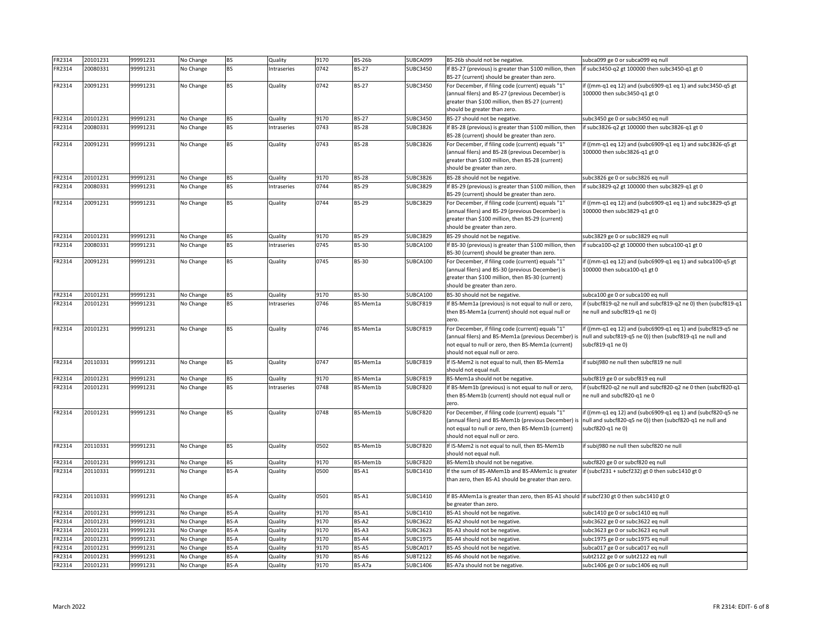| FR2314 | 20101231 | 99991231 | No Change | <b>BS</b>   | Quality     | 9170 | <b>BS-26b</b> | SUBCA099        | BS-26b should not be negative.                                                                           | subca099 ge 0 or subca099 eq null                                                                              |
|--------|----------|----------|-----------|-------------|-------------|------|---------------|-----------------|----------------------------------------------------------------------------------------------------------|----------------------------------------------------------------------------------------------------------------|
| FR2314 | 20080331 | 99991231 | No Change | <b>BS</b>   | Intraseries | 0742 | <b>BS-27</b>  | <b>SUBC3450</b> | If BS-27 (previous) is greater than \$100 million, then                                                  | f subc3450-q2 gt 100000 then subc3450-q1 gt 0                                                                  |
|        |          |          |           |             |             |      |               |                 | BS-27 (current) should be greater than zero.                                                             |                                                                                                                |
| FR2314 | 20091231 | 99991231 | No Change | <b>BS</b>   | Quality     | 0742 | <b>BS-27</b>  | <b>SUBC3450</b> | For December, if filing code (current) equals "1"                                                        | if ((mm-q1 eq 12) and (subc6909-q1 eq 1) and subc3450-q5 gt                                                    |
|        |          |          |           |             |             |      |               |                 | (annual filers) and BS-27 (previous December) is                                                         | 100000 then subc3450-q1 gt 0                                                                                   |
|        |          |          |           |             |             |      |               |                 | greater than \$100 million, then BS-27 (current)                                                         |                                                                                                                |
|        |          |          |           |             |             |      |               |                 | should be greater than zero.                                                                             |                                                                                                                |
| FR2314 | 20101231 | 99991231 | No Change | <b>BS</b>   | Quality     | 9170 | <b>BS-27</b>  | <b>SUBC3450</b> | BS-27 should not be negative.                                                                            | subc3450 ge 0 or subc3450 eq null                                                                              |
| FR2314 | 20080331 | 99991231 | No Change | <b>BS</b>   | Intraseries | 0743 | <b>BS-28</b>  | <b>SUBC3826</b> | If BS-28 (previous) is greater than \$100 million, then                                                  | f subc3826-q2 gt 100000 then subc3826-q1 gt 0                                                                  |
|        |          |          |           |             |             |      |               |                 | BS-28 (current) should be greater than zero.                                                             |                                                                                                                |
| FR2314 | 20091231 | 99991231 | No Change | <b>BS</b>   | Quality     | 0743 | <b>BS-28</b>  | <b>SUBC3826</b> | For December, if filing code (current) equals "1"                                                        | if ((mm-q1 eq 12) and (subc6909-q1 eq 1) and subc3826-q5 gt                                                    |
|        |          |          |           |             |             |      |               |                 | (annual filers) and BS-28 (previous December) is                                                         | 100000 then subc3826-q1 gt 0                                                                                   |
|        |          |          |           |             |             |      |               |                 | greater than \$100 million, then BS-28 (current)                                                         |                                                                                                                |
|        |          |          |           |             |             |      |               |                 | should be greater than zero.                                                                             |                                                                                                                |
| FR2314 | 20101231 | 99991231 | No Change | <b>BS</b>   | Quality     | 9170 | <b>BS-28</b>  | <b>SUBC3826</b> | BS-28 should not be negative.                                                                            | subc3826 ge 0 or subc3826 eq null                                                                              |
| FR2314 | 20080331 | 99991231 | No Change | <b>BS</b>   | Intraseries | 0744 | <b>BS-29</b>  | <b>SUBC3829</b> | If BS-29 (previous) is greater than \$100 million, then                                                  | f subc3829-q2 gt 100000 then subc3829-q1 gt 0                                                                  |
|        |          |          |           |             |             |      |               |                 | BS-29 (current) should be greater than zero.                                                             |                                                                                                                |
| FR2314 | 20091231 | 99991231 | No Change | <b>BS</b>   | Quality     | 0744 | <b>BS-29</b>  | <b>SUBC3829</b> | For December, if filing code (current) equals "1"                                                        | if ((mm-q1 eq 12) and (subc6909-q1 eq 1) and subc3829-q5 gt                                                    |
|        |          |          |           |             |             |      |               |                 | (annual filers) and BS-29 (previous December) is<br>greater than \$100 million, then BS-29 (current)     | 100000 then subc3829-q1 gt 0                                                                                   |
|        |          |          |           |             |             |      |               |                 | should be greater than zero.                                                                             |                                                                                                                |
| FR2314 | 20101231 | 99991231 | No Change | <b>BS</b>   | Quality     | 9170 | <b>BS-29</b>  | <b>SUBC3829</b> | BS-29 should not be negative.                                                                            | subc3829 ge 0 or subc3829 eq null                                                                              |
| FR2314 | 20080331 | 99991231 | No Change | <b>BS</b>   | Intraseries | 0745 | <b>BS-30</b>  | SUBCA100        | If BS-30 (previous) is greater than \$100 million, then                                                  | f subca100-q2 gt 100000 then subca100-q1 gt 0                                                                  |
|        |          |          |           |             |             |      |               |                 | BS-30 (current) should be greater than zero.                                                             |                                                                                                                |
| FR2314 | 20091231 | 99991231 | No Change | <b>BS</b>   | Quality     | 0745 | <b>BS-30</b>  | SUBCA100        | For December, if filing code (current) equals "1"                                                        | if ((mm-q1 eq 12) and (subc6909-q1 eq 1) and subca100-q5 gt                                                    |
|        |          |          |           |             |             |      |               |                 | (annual filers) and BS-30 (previous December) is                                                         | 100000 then subca100-q1 gt 0                                                                                   |
|        |          |          |           |             |             |      |               |                 | greater than \$100 million, then BS-30 (current)                                                         |                                                                                                                |
|        |          |          |           |             |             |      |               |                 | should be greater than zero.                                                                             |                                                                                                                |
| FR2314 | 20101231 | 99991231 | No Change | <b>BS</b>   | Quality     | 9170 | <b>BS-30</b>  | SUBCA100        | BS-30 should not be negative.                                                                            | subca100 ge 0 or subca100 eq null                                                                              |
| FR2314 | 20101231 | 99991231 | No Change | <b>BS</b>   | Intraseries | 0746 | BS-Mem1a      | SUBCF819        | If BS-Mem1a (previous) is not equal to null or zero,                                                     | if (subcf819-q2 ne null and subcf819-q2 ne 0) then (subcf819-q1                                                |
|        |          |          |           |             |             |      |               |                 | then BS-Mem1a (current) should not equal null or                                                         | ne null and subcf819-q1 ne 0)                                                                                  |
|        |          |          |           |             |             |      |               |                 | zero.                                                                                                    |                                                                                                                |
| FR2314 | 20101231 | 99991231 | No Change | <b>BS</b>   | Quality     | 0746 | BS-Mem1a      | SUBCF819        | For December, if filing code (current) equals "1"                                                        | lif ((mm-q1 eq 12) and (subc6909-q1 eq 1) and (subcf819-q5 ne                                                  |
|        |          |          |           |             |             |      |               |                 |                                                                                                          | (annual filers) and BS-Mem1a (previous December) is  null and subcf819-q5 ne 0)) then (subcf819-q1 ne null and |
|        |          |          |           |             |             |      |               |                 | not equal to null or zero, then BS-Mem1a (current)                                                       | subcf819-q1 ne 0)                                                                                              |
|        |          |          |           |             |             |      |               |                 | should not equal null or zero.                                                                           |                                                                                                                |
| FR2314 | 20110331 | 99991231 | No Change | <b>BS</b>   | Quality     | 0747 | BS-Mem1a      | SUBCF819        | If IS-Mem2 is not equal to null, then BS-Mem1a                                                           | f subij980 ne null then subcf819 ne null                                                                       |
|        |          |          |           |             |             |      |               |                 | should not equal null.                                                                                   |                                                                                                                |
| FR2314 | 20101231 | 99991231 | No Change | <b>BS</b>   | Quality     | 9170 | BS-Mem1a      | SUBCF819        | BS-Mem1a should not be negative.                                                                         | subcf819 ge 0 or subcf819 eq null                                                                              |
| FR2314 | 20101231 | 99991231 | No Change | <b>BS</b>   | Intraseries | 0748 | BS-Mem1b      | SUBCF820        | If BS-Mem1b (previous) is not equal to null or zero,<br>then BS-Mem1b (current) should not equal null or | if (subcf820-q2 ne null and subcf820-q2 ne 0 then (subcf820-q1                                                 |
|        |          |          |           |             |             |      |               |                 | zero.                                                                                                    | ne null and subcf820-q1 ne 0                                                                                   |
| FR2314 | 20101231 | 99991231 |           | <b>BS</b>   | Quality     | 0748 | BS-Mem1b      | SUBCF820        | For December, if filing code (current) equals "1"                                                        | if ((mm-q1 eq 12) and (subc6909-q1 eq 1) and (subcf820-q5 ne                                                   |
|        |          |          | No Change |             |             |      |               |                 |                                                                                                          | (annual filers) and BS-Mem1b (previous December) is  null and subcf820-q5 ne 0)) then (subcf820-q1 ne null and |
|        |          |          |           |             |             |      |               |                 | not equal to null or zero, then BS-Mem1b (current)                                                       | subcf820-q1 ne 0)                                                                                              |
|        |          |          |           |             |             |      |               |                 | should not equal null or zero.                                                                           |                                                                                                                |
| FR2314 | 20110331 | 99991231 | No Change | <b>BS</b>   | Quality     | 0502 | BS-Mem1b      | SUBCF820        | If IS-Mem2 is not equal to null, then BS-Mem1b                                                           | if subij980 ne null then subcf820 ne null                                                                      |
|        |          |          |           |             |             |      |               |                 | should not equal null.                                                                                   |                                                                                                                |
| FR2314 | 20101231 | 99991231 | No Change | <b>BS</b>   | Quality     | 9170 | BS-Mem1b      | SUBCF820        | BS-Mem1b should not be negative.                                                                         | subcf820 ge 0 or subcf820 eq null                                                                              |
| FR2314 | 20110331 | 99991231 | No Change | BS-A        | Quality     | 0500 | BS-A1         | SUBC1410        | If the sum of BS-AMem1b and BS-AMem1c is greater                                                         | If (subcf231 + subcf232) gt 0 then subc1410 gt 0                                                               |
|        |          |          |           |             |             |      |               |                 | than zero, then BS-A1 should be greater than zero.                                                       |                                                                                                                |
|        |          |          |           |             |             |      |               |                 |                                                                                                          |                                                                                                                |
| FR2314 | 20110331 | 99991231 | No Change | BS-A        | Quality     | 0501 | BS-A1         | SUBC1410        | If BS-AMem1a is greater than zero, then BS-A1 should if subcf230 gt 0 then subc1410 gt 0                 |                                                                                                                |
|        |          |          |           |             |             |      |               |                 | be greater than zero.                                                                                    |                                                                                                                |
| FR2314 | 20101231 | 99991231 | No Change | <b>BS-A</b> | Quality     | 9170 | BS-A1         | SUBC1410        | BS-A1 should not be negative.                                                                            | subc1410 ge 0 or subc1410 eq null                                                                              |
| FR2314 | 20101231 | 99991231 | No Change | BS-A        | Quality     | 9170 | BS-A2         | <b>SUBC3622</b> | BS-A2 should not be negative.                                                                            | subc3622 ge 0 or subc3622 eq null                                                                              |
| FR2314 | 20101231 | 99991231 | No Change | BS-A        | Quality     | 9170 | BS-A3         | <b>SUBC3623</b> | BS-A3 should not be negative.                                                                            | subc3623 ge 0 or subc3623 eq null                                                                              |
| FR2314 | 20101231 | 99991231 | No Change | BS-A        | Quality     | 9170 | BS-A4         | <b>SUBC1975</b> | BS-A4 should not be negative.                                                                            | subc1975 ge 0 or subc1975 eq null                                                                              |
| FR2314 | 20101231 | 99991231 | No Change | <b>BS-A</b> | Quality     | 9170 | BS-A5         | SUBCA017        | BS-A5 should not be negative.                                                                            | subca017 ge 0 or subca017 eq null                                                                              |
| FR2314 | 20101231 | 99991231 | No Change | BS-A        | Quality     | 9170 | BS-A6         | <b>SUBT2122</b> | BS-A6 should not be negative.                                                                            | subt2122 ge 0 or subt2122 eq null                                                                              |
| FR2314 | 20101231 | 99991231 | No Change | BS-A        | Quality     | 9170 | BS-A7a        | <b>SUBC1406</b> | BS-A7a should not be negative.                                                                           | subc1406 ge 0 or subc1406 eq null                                                                              |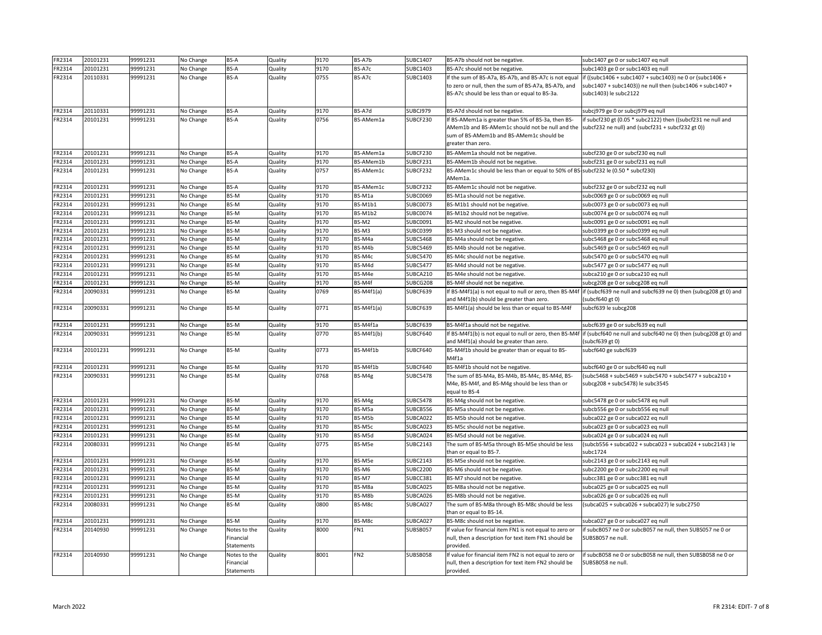| FR2314 | 20101231             | 99991231             | No Change | <b>BS-A</b>                             | Quality | 9170         | BS-A7b                 | <b>SUBC1407</b>      | BS-A7b should not be negative.                                                                                                                                                                                            | subc1407 ge 0 or subc1407 eq null                                                                                                                              |
|--------|----------------------|----------------------|-----------|-----------------------------------------|---------|--------------|------------------------|----------------------|---------------------------------------------------------------------------------------------------------------------------------------------------------------------------------------------------------------------------|----------------------------------------------------------------------------------------------------------------------------------------------------------------|
| FR2314 | 20101231             | 99991231             | No Change | BS-A                                    | Quality | 9170         | BS-A7c                 | <b>SUBC1403</b>      | BS-A7c should not be negative.                                                                                                                                                                                            | subc1403 ge 0 or subc1403 eq null                                                                                                                              |
| FR2314 | 20110331             | 99991231             | No Change | BS-A                                    | Quality | 0755         | BS-A7c                 | <b>SUBC1403</b>      | If the sum of BS-A7a, BS-A7b, and BS-A7c is not equal<br>to zero or null, then the sum of BS-A7a, BS-A7b, and<br>BS-A7c should be less than or equal to BS-3a.                                                            | $if ((subc1406 + subc1407 + subc1403)$ ne 0 or $(subc1406 +$<br>subc1407 + subc1403)) ne null then (subc1406 + subc1407 +<br>subc1403) le subc2122             |
| FR2314 | 20110331             | 99991231             | No Change | BS-A                                    | Quality | 9170         | BS-A7d                 | SUBCJ979             | BS-A7d should not be negative.                                                                                                                                                                                            | subcj979 ge 0 or subcj979 eq null                                                                                                                              |
| FR2314 | 20101231             | 99991231             | No Change | BS-A                                    | Quality | 0756         | BS-AMem1a              | SUBCF230             | If BS-AMem1a is greater than 5% of BS-3a, then BS-<br>AMem1b and BS-AMem1c should not be null and the subcf232 ne null) and (subcf231 + subcf232 gt 0))<br>sum of BS-AMem1b and BS-AMem1c should be<br>greater than zero. | if subcf230 gt (0.05 * subc2122) then ((subcf231 ne null and                                                                                                   |
| FR2314 | 20101231             | 99991231             | No Change | BS-A                                    | Quality | 9170         | BS-AMem1a              | SUBCF230             | BS-AMem1a should not be negative.                                                                                                                                                                                         | subcf230 ge 0 or subcf230 eq null                                                                                                                              |
| FR2314 | 20101231             | 99991231             | No Change | BS-A                                    | Quality | 9170         | BS-AMem1b              | SUBCF231             | BS-AMem1b should not be negative.                                                                                                                                                                                         | subcf231 ge 0 or subcf231 eq null                                                                                                                              |
| FR2314 | 20101231             | 99991231             | No Change | <b>BS-A</b>                             | Quality | 0757         | BS-AMem1c              | SUBCF232             | BS-AMem1c should be less than or equal to 50% of BS-subcf232 le (0.50 * subcf230)<br>AMem1a.                                                                                                                              |                                                                                                                                                                |
| FR2314 | 20101231             | 99991231             | No Change | BS-A                                    | Quality | 9170         | BS-AMem1c              | SUBCF232             | BS-AMem1c should not be negative.                                                                                                                                                                                         | subcf232 ge 0 or subcf232 eq null                                                                                                                              |
| FR2314 | 20101231             | 99991231             | No Change | BS-M                                    | Quality | 9170         | BS-M1a                 | <b>SUBC0069</b>      | BS-M1a should not be negative.                                                                                                                                                                                            | subc0069 ge 0 or subc0069 eq null                                                                                                                              |
| FR2314 | 20101231             | 99991231             | No Change | BS-M                                    | Quality | 9170         | <b>BS-M1b1</b>         | <b>SUBC0073</b>      | BS-M1b1 should not be negative.                                                                                                                                                                                           | subc0073 ge 0 or subc0073 eq null                                                                                                                              |
| FR2314 | 20101231             | 99991231             | No Change | BS-M                                    | Quality | 9170         | BS-M1b2                | <b>SUBC0074</b>      | BS-M1b2 should not be negative.                                                                                                                                                                                           | subc0074 ge 0 or subc0074 eq null                                                                                                                              |
| FR2314 | 20101231             | 99991231             | No Change | BS-M                                    | Quality | 9170         | BS-M2                  | SUBC0091             | BS-M2 should not be negative.                                                                                                                                                                                             | subc0091 ge 0 or subc0091 eq null                                                                                                                              |
| FR2314 | 20101231             | 99991231             | No Change | BS-M                                    | Quality | 9170         | BS-M3                  | <b>SUBC0399</b>      | BS-M3 should not be negative.                                                                                                                                                                                             | subc0399 ge 0 or subc0399 eq null                                                                                                                              |
| FR2314 | 20101231             | 99991231             | No Change | BS-M                                    | Quality | 9170         | BS-M4a                 | <b>SUBC5468</b>      | BS-M4a should not be negative.                                                                                                                                                                                            | subc5468 ge 0 or subc5468 eq null                                                                                                                              |
| FR2314 | 20101231             | 99991231             | No Change | BS-M                                    | Quality | 9170         | BS-M4b                 | <b>SUBC5469</b>      | BS-M4b should not be negative.                                                                                                                                                                                            | subc5469 ge 0 or subc5469 eq null                                                                                                                              |
| FR2314 | 20101231             | 99991231             | No Change | BS-M                                    | Quality | 9170         | BS-M4c                 | <b>SUBC5470</b>      | BS-M4c should not be negative.                                                                                                                                                                                            | subc5470 ge 0 or subc5470 eq null                                                                                                                              |
| FR2314 | 20101231             | 99991231             | No Change | BS-M                                    | Quality | 9170         | BS-M4d                 | <b>SUBC5477</b>      | BS-M4d should not be negative.                                                                                                                                                                                            | subc5477 ge 0 or subc5477 eq null                                                                                                                              |
| FR2314 | 20101231             | 99991231             | No Change | BS-M                                    | Quality | 9170         | BS-M4e                 | SUBCA210             | BS-M4e should not be negative.                                                                                                                                                                                            | subca210 ge 0 or subca210 eq null                                                                                                                              |
| FR2314 | 20101231<br>20090331 | 99991231<br>99991231 | No Change | BS-M<br>BS-M                            | Quality | 9170<br>0769 | BS-M4f<br>$BS-M4f1(a)$ | SUBCG208<br>SUBCF639 | BS-M4f should not be negative.                                                                                                                                                                                            | subcg208 ge 0 or subcg208 eq null<br>If BS-M4f1(a) is not equal to null or zero, then BS-M4f  if (subcf639 ne null and subcf639 ne 0) then (subcg208 gt 0) and |
| FR2314 |                      |                      | No Change |                                         | Quality |              |                        |                      | and M4f1(b) should be greater than zero.                                                                                                                                                                                  | (subcf640 gt 0)                                                                                                                                                |
| FR2314 | 20090331             | 99991231             | No Change | BS-M                                    | Quality | 0771         | $BS-M4f1(a)$           | SUBCF639             | BS-M4f1(a) should be less than or equal to BS-M4f                                                                                                                                                                         | subcf639 le subcg208                                                                                                                                           |
| FR2314 | 20101231             | 99991231             | No Change | BS-M                                    | Quality | 9170         | BS-M4f1a               | SUBCF639             | BS-M4f1a should not be negative.                                                                                                                                                                                          | subcf639 ge 0 or subcf639 eq null                                                                                                                              |
| FR2314 | 20090331             | 99991231             | No Change | BS-M                                    | Quality | 0770         | $BS-M4f1(b)$           | SUBCF640             | and M4f1(a) should be greater than zero.                                                                                                                                                                                  | If BS-M4f1(b) is not equal to null or zero, then BS-M4f lif (subcf640 ne null and subcf640 ne 0) then (subcg208 gt 0) and<br>(subc639gt0)                      |
| FR2314 | 20101231             | 99991231             | No Change | BS-M                                    | Quality | 0773         | BS-M4f1b               | SUBCF640             | BS-M4f1b should be greater than or equal to BS-<br>M4f1a                                                                                                                                                                  | subcf640 ge subcf639                                                                                                                                           |
| FR2314 | 20101231             | 99991231             | No Change | BS-M                                    | Quality | 9170         | BS-M4f1b               | SUBCF640             | BS-M4f1b should not be negative.                                                                                                                                                                                          | subcf640 ge 0 or subcf640 eq null                                                                                                                              |
| FR2314 | 20090331             | 99991231             | No Change | BS-M                                    | Quality | 0768         | BS-M4g                 | <b>SUBC5478</b>      | The sum of BS-M4a, BS-M4b, BS-M4c, BS-M4d, BS-<br>M4e, BS-M4f, and BS-M4g should be less than or<br>equal to BS-4                                                                                                         | (subc5468 + subc5469 + subc5470 + subc5477 + subca210 +<br>subcg208 + subc5478) le subc3545                                                                    |
| FR2314 | 20101231             | 99991231             | No Change | BS-M                                    | Quality | 9170         | BS-M4g                 | <b>SUBC5478</b>      | BS-M4g should not be negative.                                                                                                                                                                                            | subc5478 ge 0 or subc5478 eq null                                                                                                                              |
| FR2314 | 20101231             | 99991231             | No Change | BS-M                                    | Quality | 9170         | BS-M5a                 | SUBCB556             | BS-M5a should not be negative.                                                                                                                                                                                            | subcb556 ge 0 or subcb556 eq null                                                                                                                              |
| FR2314 | 20101231             | 99991231             | No Change | BS-M                                    | Quality | 9170         | BS-M5b                 | SUBCA022             | BS-M5b should not be negative.                                                                                                                                                                                            | subca022 ge 0 or subca022 eq null                                                                                                                              |
| FR2314 | 20101231             | 99991231             | No Change | BS-M                                    | Quality | 9170         | BS-M5c                 | SUBCA023             | BS-M5c should not be negative.                                                                                                                                                                                            | subca023 ge 0 or subca023 eq null                                                                                                                              |
| FR2314 | 20101231             | 99991231             | No Change | BS-M                                    | Quality | 9170         | BS-M5d                 | SUBCA024             | BS-M5d should not be negative.                                                                                                                                                                                            | subca024 ge 0 or subca024 eq null                                                                                                                              |
| FR2314 | 20080331             | 99991231             | No Change | BS-M                                    | Quality | 0775         | BS-M5e                 | <b>SUBC2143</b>      | The sum of BS-M5a through BS-M5e should be less<br>than or equal to BS-7.                                                                                                                                                 | (subcb556 + subca022 + subca023 + subca024 + subc2143 ) le<br>subc1724                                                                                         |
| FR2314 | 20101231             | 99991231             | No Change | BS-M                                    | Quality | 9170         | BS-M5e                 | <b>SUBC2143</b>      | BS-M5e should not be negative.                                                                                                                                                                                            | subc2143 ge 0 or subc2143 eq null                                                                                                                              |
| FR2314 | 20101231             | 99991231             | No Change | BS-M                                    | Quality | 9170         | BS-M6                  | <b>SUBC2200</b>      | BS-M6 should not be negative.                                                                                                                                                                                             | subc2200 ge 0 or subc2200 eq null                                                                                                                              |
| FR2314 | 20101231             | 99991231             | No Change | BS-M                                    | Quality | 9170         | BS-M7                  | SUBCC381             | BS-M7 should not be negative.                                                                                                                                                                                             | subcc381 ge 0 or subcc381 eq null                                                                                                                              |
| FR2314 | 20101231             | 99991231             | No Change | BS-M                                    | Quality | 9170         | BS-M8a                 | SUBCA025             | BS-M8a should not be negative.                                                                                                                                                                                            | subca025 ge 0 or subca025 eq null                                                                                                                              |
| FR2314 | 20101231             | 99991231             | No Change | BS-M                                    | Quality | 9170         | BS-M8b                 | SUBCA026             | BS-M8b should not be negative.                                                                                                                                                                                            | subca026 ge 0 or subca026 eq null                                                                                                                              |
| FR2314 | 20080331             | 99991231             | No Change | BS-M                                    | Quality | 0800         | BS-M8c                 | SUBCA027             | The sum of BS-M8a through BS-M8c should be less<br>than or equal to BS-14.                                                                                                                                                | (subca025 + subca026 + subca027) le subc2750                                                                                                                   |
| FR2314 | 20101231             | 99991231             | No Change | BS-M                                    | Quality | 9170         | BS-M8c                 | SUBCA027             | BS-M8c should not be negative.                                                                                                                                                                                            | subca027 ge 0 or subca027 eq null                                                                                                                              |
| FR2314 | 20140930             | 99991231             | No Change | Notes to the<br>Financial<br>Statements | Quality | 8000         | FN1                    | SUBSB057             | If value for financial item FN1 is not equal to zero or<br>null, then a description for text item FN1 should be<br>provided.                                                                                              | if subcB057 ne 0 or subcB057 ne null, then SUBS057 ne 0 or<br>SUBSB057 ne null.                                                                                |
| FR2314 | 20140930             | 99991231             | No Change | Notes to the<br>Financial<br>Statements | Quality | 8001         | FN <sub>2</sub>        | SUBSB058             | If value for financial item FN2 is not equal to zero or<br>null, then a description for text item FN2 should be<br>provided.                                                                                              | if subcB058 ne 0 or subcB058 ne null, then SUBSB058 ne 0 or<br>SUBSB058 ne null.                                                                               |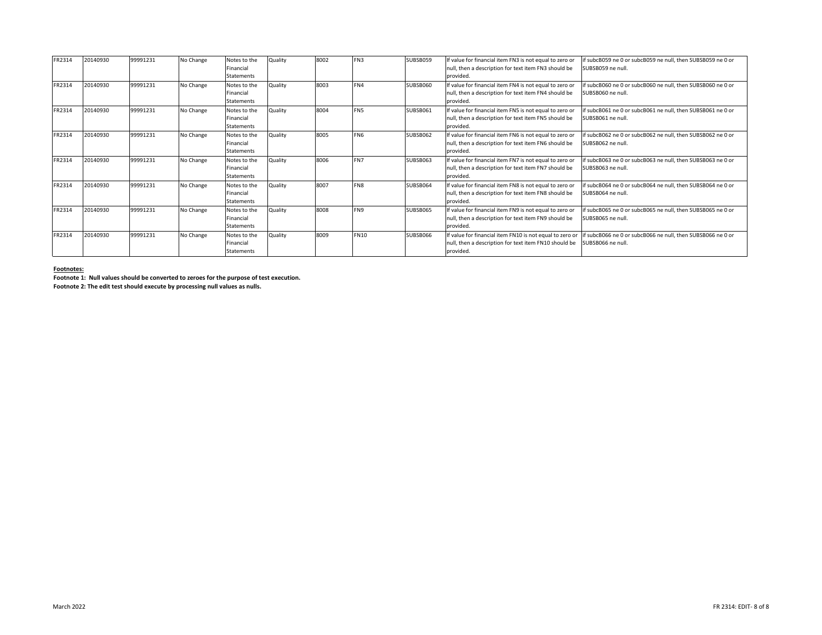| FR2314 | 20140930 | 99991231 | No Change | Notes to the      | Quality | 8002 | FN3             | SUBSB059 | f value for financial item FN3 is not equal to zero or  | if subcB059 ne 0 or subcB059 ne null, then SUBSB059 ne 0 or |
|--------|----------|----------|-----------|-------------------|---------|------|-----------------|----------|---------------------------------------------------------|-------------------------------------------------------------|
|        |          |          |           | Financial         |         |      |                 |          | null, then a description for text item FN3 should be    | SUBSB059 ne null.                                           |
|        |          |          |           | <b>Statements</b> |         |      |                 |          | provided.                                               |                                                             |
| FR2314 | 20140930 | 99991231 | No Change | Notes to the      | Quality | 8003 | IFN4            | SUBSB060 | If value for financial item FN4 is not equal to zero or | f subcB060 ne 0 or subcB060 ne null, then SUBSB060 ne 0 or  |
|        |          |          |           | Financial         |         |      |                 |          | null, then a description for text item FN4 should be    | SUBSB060 ne null.                                           |
|        |          |          |           | <b>Statements</b> |         |      |                 |          | provided.                                               |                                                             |
| FR2314 | 20140930 | 99991231 | No Change | Notes to the      | Quality | 8004 | FN <sub>5</sub> | SUBSB061 | f value for financial item FN5 is not equal to zero or  | f subcB061 ne 0 or subcB061 ne null, then SUBSB061 ne 0 or  |
|        |          |          |           | Financial         |         |      |                 |          | null, then a description for text item FN5 should be    | SUBSB061 ne null.                                           |
|        |          |          |           | <b>Statements</b> |         |      |                 |          | provided.                                               |                                                             |
| FR2314 | 20140930 | 99991231 | No Change | Notes to the      | Quality | 8005 | <b>FN6</b>      | SUBSB062 | f value for financial item FN6 is not equal to zero or  | f subcB062 ne 0 or subcB062 ne null, then SUBSB062 ne 0 or  |
|        |          |          |           | Financial         |         |      |                 |          | null, then a description for text item FN6 should be    | SUBSB062 ne null.                                           |
|        |          |          |           | <b>Statements</b> |         |      |                 |          | provided.                                               |                                                             |
| FR2314 | 20140930 | 99991231 | No Change | Notes to the      | Quality | 8006 | FN7             | SUBSB063 | f value for financial item FN7 is not equal to zero or  | if subcB063 ne 0 or subcB063 ne null, then SUBSB063 ne 0 or |
|        |          |          |           | Financial         |         |      |                 |          | null, then a description for text item FN7 should be    | SUBSB063 ne null.                                           |
|        |          |          |           | <b>Statements</b> |         |      |                 |          | provided.                                               |                                                             |
| FR2314 | 20140930 | 99991231 | No Change | Notes to the      | Quality | 8007 | FN <sub>8</sub> | SUBSB064 | If value for financial item FN8 is not equal to zero or | f subcB064 ne 0 or subcB064 ne null, then SUBSB064 ne 0 or  |
|        |          |          |           | Financial         |         |      |                 |          | null, then a description for text item FN8 should be    | SUBSB064 ne null.                                           |
|        |          |          |           | <b>Statements</b> |         |      |                 |          | provided.                                               |                                                             |
| FR2314 | 20140930 | 99991231 | No Change | Notes to the      | Quality | 8008 | <b>IFN9</b>     | SUBSB065 | f value for financial item FN9 is not equal to zero or  | if subcB065 ne 0 or subcB065 ne null, then SUBSB065 ne 0 or |
|        |          |          |           | Financial         |         |      |                 |          | null, then a description for text item FN9 should be    | SUBSB065 ne null.                                           |
|        |          |          |           | <b>Statements</b> |         |      |                 |          | provided.                                               |                                                             |
| FR2314 | 20140930 | 99991231 | No Change | Notes to the      | Quality | 8009 | <b>FN10</b>     | SUBSB066 | f value for financial item FN10 is not equal to zero or | if subcB066 ne 0 or subcB066 ne null, then SUBSB066 ne 0 or |
|        |          |          |           | Financial         |         |      |                 |          | null, then a description for text item FN10 should be   | SUBSB066 ne null                                            |
|        |          |          |           | Statements        |         |      |                 |          | provided.                                               |                                                             |
|        |          |          |           |                   |         |      |                 |          |                                                         |                                                             |

#### **Footnotes:**

**Footnote 1: Null values should be converted to zeroes for the purpose of test execution.**

**Footnote 2: The edit test should execute by processing null values as nulls.**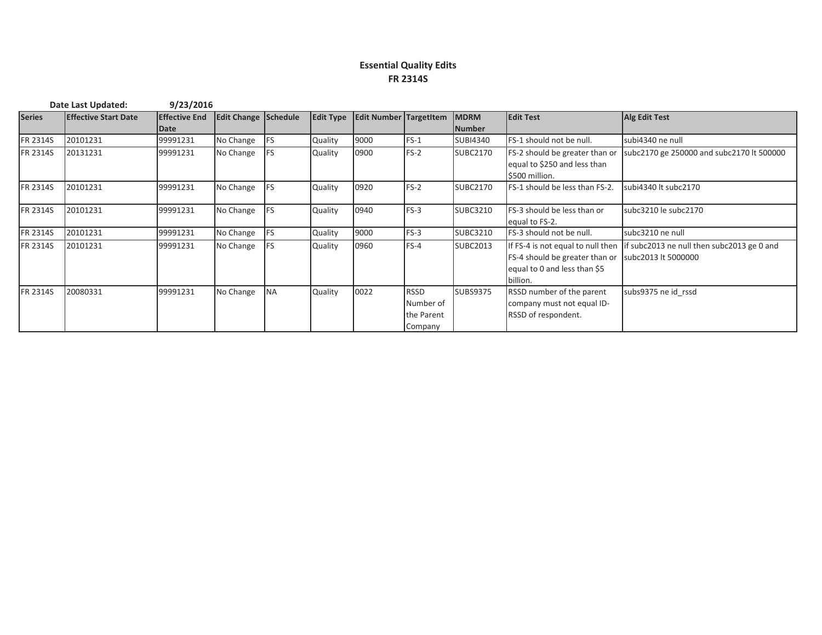#### **Essential Quality Edits FR 2314S**

| Date Last Updated: |                             | 9/23/2016            |                      |           |                |                                  |             |                 |                                   |                                             |
|--------------------|-----------------------------|----------------------|----------------------|-----------|----------------|----------------------------------|-------------|-----------------|-----------------------------------|---------------------------------------------|
| <b>Series</b>      | <b>Effective Start Date</b> | <b>Effective End</b> | Edit Change Schedule |           |                | Edit Type Edit Number Targetitem |             | <b>IMDRM</b>    | <b>Edit Test</b>                  | Alg Edit Test                               |
|                    |                             | Date                 |                      |           |                |                                  |             | <b>Number</b>   |                                   |                                             |
| FR 2314S           | 20101231                    | 99991231             | No Change            | FS        | Quality        | 9000                             | $FS-1$      | <b>SUBI4340</b> | FS-1 should not be null.          | subi4340 ne null                            |
| <b>FR 2314S</b>    | 20131231                    | 99991231             | No Change            | FS        | Quality        | 0900                             | $FS-2$      | <b>SUBC2170</b> | FS-2 should be greater than or    | subc2170 ge 250000 and subc2170 lt 500000   |
|                    |                             |                      |                      |           |                |                                  |             |                 | equal to \$250 and less than      |                                             |
|                    |                             |                      |                      |           |                |                                  |             |                 | \$500 million.                    |                                             |
| FR 2314S           | 20101231                    | 99991231             | No Change            | <b>FS</b> | Quality        | 0920                             | $FS-2$      | <b>SUBC2170</b> | FS-1 should be less than FS-2.    | subi4340 lt subc2170                        |
|                    |                             |                      |                      |           |                |                                  |             |                 |                                   |                                             |
| <b>FR 2314S</b>    | 20101231                    | 99991231             | No Change            | FS        | Quality        | 0940                             | $FS-3$      | <b>SUBC3210</b> | FS-3 should be less than or       | subc3210 le subc2170                        |
|                    |                             |                      |                      |           |                |                                  |             |                 | equal to FS-2.                    |                                             |
| FR 2314S           | 20101231                    | 99991231             | No Change            | FS        | <b>Quality</b> | 9000                             | $FS-3$      | <b>SUBC3210</b> | FS-3 should not be null.          | subc3210 ne null                            |
| FR 2314S           | 20101231                    | 99991231             | No Change            | <b>FS</b> | Quality        | 0960                             | $FS-4$      | <b>SUBC2013</b> | If FS-4 is not equal to null then | lif subc2013 ne null then subc2013 ge 0 and |
|                    |                             |                      |                      |           |                |                                  |             |                 | FS-4 should be greater than or    | subc2013 lt 5000000                         |
|                    |                             |                      |                      |           |                |                                  |             |                 | equal to 0 and less than \$5      |                                             |
|                    |                             |                      |                      |           |                |                                  |             |                 | billion.                          |                                             |
| <b>FR 2314S</b>    | 20080331                    | 99991231             | No Change            | <b>NA</b> | Quality        | 0022                             | <b>RSSD</b> | <b>SUBS9375</b> | RSSD number of the parent         | subs9375 ne id rssd                         |
|                    |                             |                      |                      |           |                |                                  | Number of   |                 | company must not equal ID-        |                                             |
|                    |                             |                      |                      |           |                |                                  | the Parent  |                 | RSSD of respondent.               |                                             |
|                    |                             |                      |                      |           |                |                                  | Company     |                 |                                   |                                             |